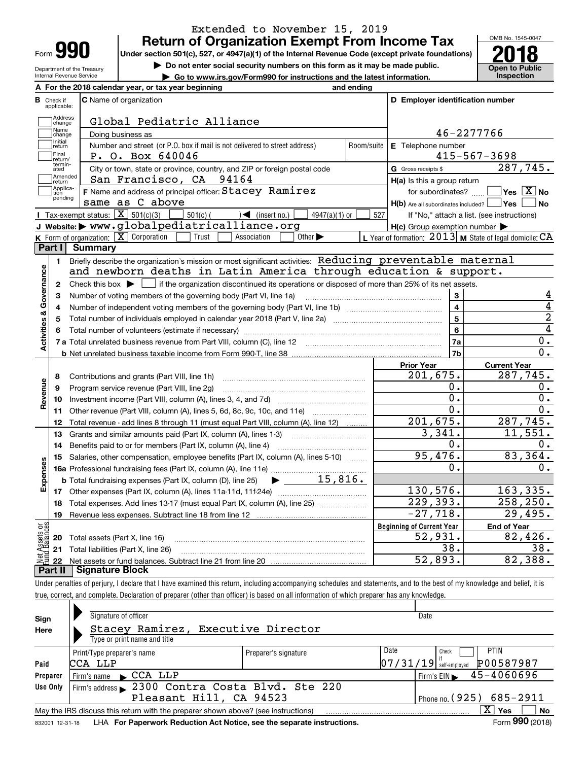| Form |  |
|------|--|

Department of the Treasury Internal Revenue Service

# **Return of Organization Exempt From Income Tax** Extended to November 15, 2019

Under section 501(c), 527, or 4947(a)(1) of the Internal Revenue Code (except private foundations) **2018** 

**| Do not enter social security numbers on this form as it may be made public.**

**| Go to www.irs.gov/Form990 for instructions and the latest information. Inspection**



|                         |                                  | A For the 2018 calendar year, or tax year beginning                                                                                         | and ending |                                                     |                                                           |
|-------------------------|----------------------------------|---------------------------------------------------------------------------------------------------------------------------------------------|------------|-----------------------------------------------------|-----------------------------------------------------------|
|                         | <b>B</b> Check if<br>applicable: | <b>C</b> Name of organization                                                                                                               |            | D Employer identification number                    |                                                           |
|                         | Address<br>Change                | Global Pediatric Alliance                                                                                                                   |            |                                                     |                                                           |
|                         | Name<br>change                   | Doing business as                                                                                                                           |            |                                                     | 46-2277766                                                |
|                         | Initial<br> return               | Number and street (or P.O. box if mail is not delivered to street address)                                                                  | Room/suite | E Telephone number                                  |                                                           |
|                         | Final<br>return/                 | P. O. Box 640046                                                                                                                            |            |                                                     | $415 - 567 - 3698$                                        |
|                         | termin-<br>ated                  | City or town, state or province, country, and ZIP or foreign postal code                                                                    |            | G Gross receipts \$                                 | 287,745.                                                  |
|                         | Amended<br>return                | San Francisco, CA 94164                                                                                                                     |            | $H(a)$ is this a group return                       |                                                           |
|                         | Applica-<br>tion                 | F Name and address of principal officer: Stacey Ramirez                                                                                     |            |                                                     | for subordinates? $\Box$ Yes $\boxed{X}$ No               |
|                         | pending                          | same as C above                                                                                                                             |            | H(b) Are all subordinates included? Ves             | <b>No</b>                                                 |
|                         |                                  | Tax-exempt status: $\boxed{\mathbf{X}}$ 501(c)(3) [<br>$\sum$ (insert no.)<br>$501(c)$ (<br>$4947(a)(1)$ or                                 | 527        |                                                     | If "No," attach a list. (see instructions)                |
|                         |                                  | J Website: > www.globalpediatricalliance.org                                                                                                |            | $H(c)$ Group exemption number $\blacktriangleright$ |                                                           |
|                         |                                  | K Form of organization: $X$ Corporation<br>Other $\blacktriangleright$<br>Trust<br>Association                                              |            |                                                     | L Year of formation: $2013$ M State of legal domicile: CA |
|                         | Part I                           | <b>Summary</b>                                                                                                                              |            |                                                     |                                                           |
|                         | 1.                               | Briefly describe the organization's mission or most significant activities: Reducing preventable maternal                                   |            |                                                     |                                                           |
|                         |                                  | and newborn deaths in Latin America through education & support.                                                                            |            |                                                     |                                                           |
| Activities & Governance | $\mathbf{2}$                     | Check this box $\blacktriangleright$ $\Box$ if the organization discontinued its operations or disposed of more than 25% of its net assets. |            |                                                     |                                                           |
|                         | з                                | Number of voting members of the governing body (Part VI, line 1a)                                                                           |            | $\mathbf{3}$                                        | 4                                                         |
|                         | 4                                |                                                                                                                                             |            | $\overline{\mathbf{4}}$                             | $\overline{4}$                                            |
|                         | 5                                | Total number of individuals employed in calendar year 2018 (Part V, line 2a)                                                                |            | $\overline{5}$                                      | $\overline{2}$                                            |
|                         | 6                                |                                                                                                                                             |            | 6                                                   | $\overline{4}$                                            |
|                         |                                  |                                                                                                                                             |            | 7a                                                  | 0.                                                        |
|                         |                                  |                                                                                                                                             |            | 7b                                                  | $\overline{0}$ .                                          |
|                         |                                  |                                                                                                                                             |            | <b>Prior Year</b>                                   | <b>Current Year</b>                                       |
|                         | 8                                | Contributions and grants (Part VIII, line 1h)                                                                                               |            | 201,675.                                            | 287,745.                                                  |
| Revenue                 | 9                                | Program service revenue (Part VIII, line 2g)                                                                                                |            | 0.                                                  | 0.                                                        |
|                         | 10                               |                                                                                                                                             |            | $\overline{0}$ .                                    | $\overline{0}$ .                                          |
|                         |                                  | 11 Other revenue (Part VIII, column (A), lines 5, 6d, 8c, 9c, 10c, and 11e)                                                                 |            | $\overline{0}$ .                                    | 0.                                                        |
|                         | 12                               | Total revenue - add lines 8 through 11 (must equal Part VIII, column (A), line 12)                                                          |            | 201,675.                                            | 287,745.                                                  |
|                         | 13                               | Grants and similar amounts paid (Part IX, column (A), lines 1-3) <i>manumumumumum</i>                                                       |            | 3,341.                                              | 11,551.                                                   |
|                         | 14                               |                                                                                                                                             |            | 0.                                                  | 0.                                                        |
|                         | 15                               | Salaries, other compensation, employee benefits (Part IX, column (A), lines 5-10)                                                           |            | 95,476.                                             | 83,364.                                                   |
| Expenses                |                                  |                                                                                                                                             |            | 0.                                                  | 0.                                                        |
|                         |                                  | $\blacktriangleright$ 15,816.<br><b>b</b> Total fundraising expenses (Part IX, column (D), line 25)                                         |            |                                                     |                                                           |
|                         |                                  |                                                                                                                                             |            | 130,576.                                            | 163,335.                                                  |
|                         | 18                               | Total expenses. Add lines 13-17 (must equal Part IX, column (A), line 25) <i>marronomica</i>                                                |            | 229,393.                                            | 258, 250.                                                 |
|                         | 19                               |                                                                                                                                             |            | $-27,718.$                                          | 29,495.                                                   |
| ăğ                      |                                  |                                                                                                                                             |            | <b>Beginning of Current Year</b>                    | <b>End of Year</b>                                        |
| ssets                   |                                  | 20 Total assets (Part X, line 16)                                                                                                           |            | 52,931.                                             | 82,426.                                                   |
|                         |                                  | 21 Total liabilities (Part X, line 26)                                                                                                      |            | 38.                                                 | 38.                                                       |
|                         | 22                               | <b>Part II</b> Signature Block                                                                                                              |            | 52,893.                                             | 82,388.                                                   |

Under penalties of perjury, I declare that I have examined this return, including accompanying schedules and statements, and to the best of my knowledge and belief, it is true, correct, and complete. Declaration of preparer (other than officer) is based on all information of which preparer has any knowledge.

| Sign            | Signature of officer                                                              |                              | Date                                           |
|-----------------|-----------------------------------------------------------------------------------|------------------------------|------------------------------------------------|
| Here            | Stacey Ramirez, Executive Director                                                |                              |                                                |
|                 | Type or print name and title                                                      |                              |                                                |
|                 | Print/Type preparer's name                                                        | Date<br>Preparer's signature | <b>PTIN</b><br>Check                           |
| Paid            | CCA LLP                                                                           |                              | P00587987<br>$07/31/19$ self-employed          |
| Preparer        | $\blacktriangleright$ CCA LLP<br>Firm's name                                      |                              | 45-4060696<br>Firm's $EIN \blacktriangleright$ |
| Use Only        | Firm's address 2300 Contra Costa Blvd. Ste 220                                    |                              |                                                |
|                 | Pleasant Hill, CA 94523                                                           |                              | Phone no. $(925) 685 - 2911$                   |
|                 | May the IRS discuss this return with the preparer shown above? (see instructions) |                              | X.<br><b>No</b><br>Yes                         |
| 832001 12-31-18 | LHA For Paperwork Reduction Act Notice, see the separate instructions.            |                              | Form 990 (2018)                                |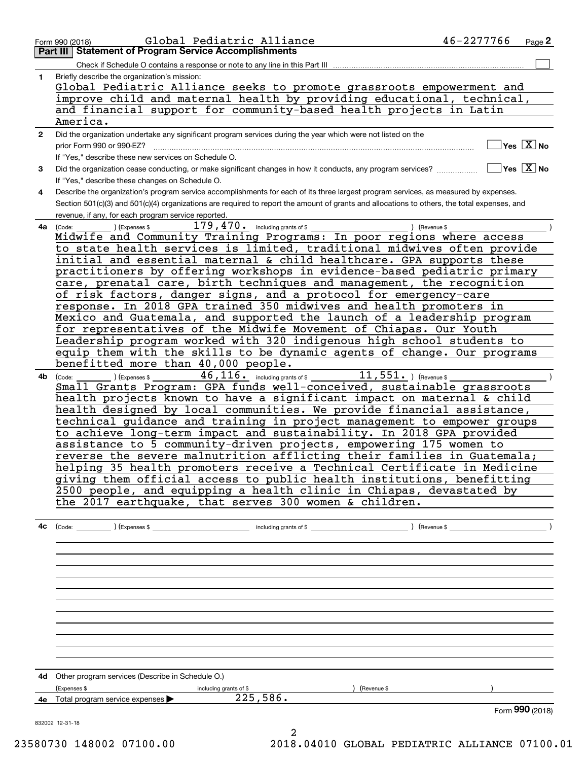| $\sqrt{}$ Yes $\sqrt{}$ $\overline{\rm X}$ No                                                                                                                                                                                                                                                          |
|--------------------------------------------------------------------------------------------------------------------------------------------------------------------------------------------------------------------------------------------------------------------------------------------------------|
|                                                                                                                                                                                                                                                                                                        |
| $\overline{\ }$ Yes $\overline{\phantom{a}X}$ No                                                                                                                                                                                                                                                       |
|                                                                                                                                                                                                                                                                                                        |
|                                                                                                                                                                                                                                                                                                        |
|                                                                                                                                                                                                                                                                                                        |
|                                                                                                                                                                                                                                                                                                        |
|                                                                                                                                                                                                                                                                                                        |
|                                                                                                                                                                                                                                                                                                        |
| to state health services is limited, traditional midwives often provide                                                                                                                                                                                                                                |
|                                                                                                                                                                                                                                                                                                        |
| practitioners by offering workshops in evidence-based pediatric primary                                                                                                                                                                                                                                |
|                                                                                                                                                                                                                                                                                                        |
|                                                                                                                                                                                                                                                                                                        |
|                                                                                                                                                                                                                                                                                                        |
|                                                                                                                                                                                                                                                                                                        |
|                                                                                                                                                                                                                                                                                                        |
| equip them with the skills to be dynamic agents of change. Our programs                                                                                                                                                                                                                                |
|                                                                                                                                                                                                                                                                                                        |
|                                                                                                                                                                                                                                                                                                        |
|                                                                                                                                                                                                                                                                                                        |
|                                                                                                                                                                                                                                                                                                        |
|                                                                                                                                                                                                                                                                                                        |
|                                                                                                                                                                                                                                                                                                        |
|                                                                                                                                                                                                                                                                                                        |
|                                                                                                                                                                                                                                                                                                        |
|                                                                                                                                                                                                                                                                                                        |
| helping 35 health promoters receive a Technical Certificate in Medicine                                                                                                                                                                                                                                |
|                                                                                                                                                                                                                                                                                                        |
|                                                                                                                                                                                                                                                                                                        |
|                                                                                                                                                                                                                                                                                                        |
|                                                                                                                                                                                                                                                                                                        |
|                                                                                                                                                                                                                                                                                                        |
|                                                                                                                                                                                                                                                                                                        |
|                                                                                                                                                                                                                                                                                                        |
|                                                                                                                                                                                                                                                                                                        |
| health designed by local communities. We provide financial assistance,<br>technical guidance and training in project management to empower groups<br>reverse the severe malnutrition afflicting their families in Guatemala;<br>giving them official access to public health institutions, benefitting |

|    | 4d Other program services (Describe in Schedule O.) |                        |            |                 |
|----|-----------------------------------------------------|------------------------|------------|-----------------|
|    | (Expenses \$                                        | including grants of \$ | Revenue \$ |                 |
| 4е | Total program service expenses >                    | 225,586.               |            |                 |
|    |                                                     |                        |            | Form 990 (2018) |

832002 12-31-18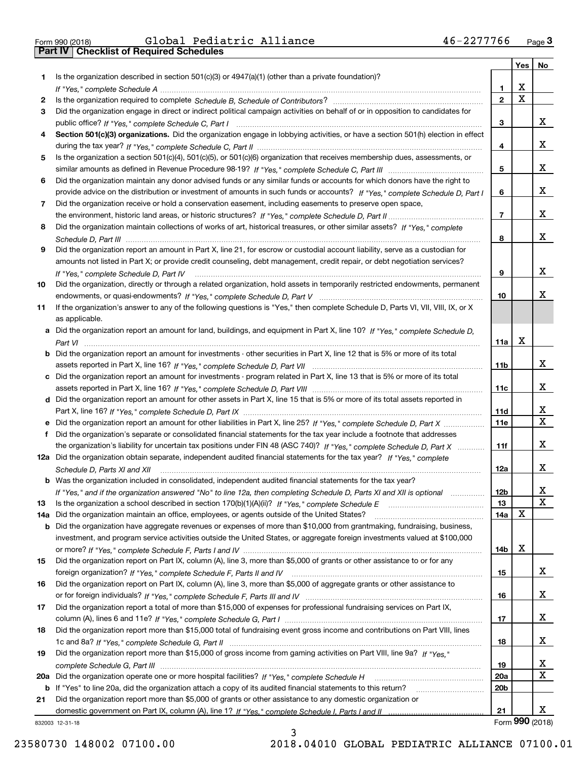| Form 990 (2018) |  |  |
|-----------------|--|--|

|     |                                                                                                                                                                                                                                |                 | Yes         | No              |
|-----|--------------------------------------------------------------------------------------------------------------------------------------------------------------------------------------------------------------------------------|-----------------|-------------|-----------------|
| 1.  | Is the organization described in section $501(c)(3)$ or $4947(a)(1)$ (other than a private foundation)?                                                                                                                        |                 |             |                 |
|     | If "Yes," complete Schedule A measure and a control of the state of the state of the state of the state of the state of the state of the state of the state of the state of the state of the state of the state of the state o | 1               | х           |                 |
| 2   |                                                                                                                                                                                                                                | $\mathbf{2}$    | $\mathbf X$ |                 |
| 3   | Did the organization engage in direct or indirect political campaign activities on behalf of or in opposition to candidates for                                                                                                |                 |             |                 |
|     |                                                                                                                                                                                                                                | 3               |             | x               |
| 4   | Section 501(c)(3) organizations. Did the organization engage in lobbying activities, or have a section 501(h) election in effect                                                                                               |                 |             |                 |
|     |                                                                                                                                                                                                                                | 4               |             | x               |
| 5   | Is the organization a section 501(c)(4), 501(c)(5), or 501(c)(6) organization that receives membership dues, assessments, or                                                                                                   |                 |             |                 |
|     |                                                                                                                                                                                                                                | 5               |             | x               |
| 6   | Did the organization maintain any donor advised funds or any similar funds or accounts for which donors have the right to                                                                                                      |                 |             |                 |
|     | provide advice on the distribution or investment of amounts in such funds or accounts? If "Yes," complete Schedule D, Part I                                                                                                   | 6               |             | x               |
| 7   | Did the organization receive or hold a conservation easement, including easements to preserve open space,                                                                                                                      |                 |             |                 |
|     |                                                                                                                                                                                                                                | $\overline{7}$  |             | x               |
| 8   | Did the organization maintain collections of works of art, historical treasures, or other similar assets? If "Yes," complete                                                                                                   |                 |             |                 |
|     |                                                                                                                                                                                                                                | 8               |             | x               |
| 9   | Did the organization report an amount in Part X, line 21, for escrow or custodial account liability, serve as a custodian for                                                                                                  |                 |             |                 |
|     | amounts not listed in Part X; or provide credit counseling, debt management, credit repair, or debt negotiation services?                                                                                                      |                 |             |                 |
|     | If "Yes," complete Schedule D, Part IV                                                                                                                                                                                         | 9               |             | x               |
| 10  | Did the organization, directly or through a related organization, hold assets in temporarily restricted endowments, permanent                                                                                                  |                 |             | x               |
|     |                                                                                                                                                                                                                                | 10              |             |                 |
| 11  | If the organization's answer to any of the following questions is "Yes," then complete Schedule D, Parts VI, VII, VIII, IX, or X                                                                                               |                 |             |                 |
|     | as applicable.<br>a Did the organization report an amount for land, buildings, and equipment in Part X, line 10? If "Yes," complete Schedule D.                                                                                |                 |             |                 |
|     |                                                                                                                                                                                                                                | 11a             | x           |                 |
|     | <b>b</b> Did the organization report an amount for investments - other securities in Part X, line 12 that is 5% or more of its total                                                                                           |                 |             |                 |
|     |                                                                                                                                                                                                                                | 11 <sub>b</sub> |             | x               |
|     | c Did the organization report an amount for investments - program related in Part X, line 13 that is 5% or more of its total                                                                                                   |                 |             |                 |
|     |                                                                                                                                                                                                                                | 11c             |             | x               |
|     | d Did the organization report an amount for other assets in Part X, line 15 that is 5% or more of its total assets reported in                                                                                                 |                 |             |                 |
|     |                                                                                                                                                                                                                                | 11d             |             | х               |
|     | e Did the organization report an amount for other liabilities in Part X, line 25? If "Yes," complete Schedule D, Part X                                                                                                        | <b>11e</b>      |             | X               |
| f   | Did the organization's separate or consolidated financial statements for the tax year include a footnote that addresses                                                                                                        |                 |             |                 |
|     | the organization's liability for uncertain tax positions under FIN 48 (ASC 740)? If "Yes," complete Schedule D, Part X                                                                                                         | 11f             |             | x               |
|     | 12a Did the organization obtain separate, independent audited financial statements for the tax year? If "Yes," complete                                                                                                        |                 |             |                 |
|     | Schedule D, Parts XI and XII                                                                                                                                                                                                   | 12a             |             | x               |
|     | <b>b</b> Was the organization included in consolidated, independent audited financial statements for the tax year?                                                                                                             |                 |             |                 |
|     | If "Yes," and if the organization answered "No" to line 12a, then completing Schedule D, Parts XI and XII is optional                                                                                                          | 12 <sub>b</sub> |             | X               |
| 13  |                                                                                                                                                                                                                                | 13              |             | X               |
| 14a | Did the organization maintain an office, employees, or agents outside of the United States?                                                                                                                                    | 14a             | X           |                 |
|     | <b>b</b> Did the organization have aggregate revenues or expenses of more than \$10,000 from grantmaking, fundraising, business,                                                                                               |                 |             |                 |
|     | investment, and program service activities outside the United States, or aggregate foreign investments valued at \$100,000                                                                                                     |                 |             |                 |
|     |                                                                                                                                                                                                                                | 14b             | х           |                 |
| 15  | Did the organization report on Part IX, column (A), line 3, more than \$5,000 of grants or other assistance to or for any                                                                                                      |                 |             |                 |
|     |                                                                                                                                                                                                                                | 15              |             | x               |
| 16  | Did the organization report on Part IX, column (A), line 3, more than \$5,000 of aggregate grants or other assistance to                                                                                                       |                 |             |                 |
|     |                                                                                                                                                                                                                                | 16              |             | x               |
| 17  | Did the organization report a total of more than \$15,000 of expenses for professional fundraising services on Part IX,                                                                                                        |                 |             |                 |
|     |                                                                                                                                                                                                                                | 17              |             | x               |
| 18  | Did the organization report more than \$15,000 total of fundraising event gross income and contributions on Part VIII, lines                                                                                                   |                 |             |                 |
|     |                                                                                                                                                                                                                                | 18              |             | x               |
| 19  | Did the organization report more than \$15,000 of gross income from gaming activities on Part VIII, line 9a? If "Yes."                                                                                                         |                 |             |                 |
|     |                                                                                                                                                                                                                                | 19              |             | x               |
|     |                                                                                                                                                                                                                                | 20a             |             | X               |
|     | <b>b</b> If "Yes" to line 20a, did the organization attach a copy of its audited financial statements to this return?                                                                                                          | 20 <sub>b</sub> |             |                 |
| 21  | Did the organization report more than \$5,000 of grants or other assistance to any domestic organization or                                                                                                                    |                 |             |                 |
|     |                                                                                                                                                                                                                                | 21              |             | x               |
|     | 832003 12-31-18                                                                                                                                                                                                                |                 |             | Form 990 (2018) |

832003 12-31-18

3 23580730 148002 07100.00 2018.04010 GLOBAL PEDIATRIC ALLIANCE 07100.01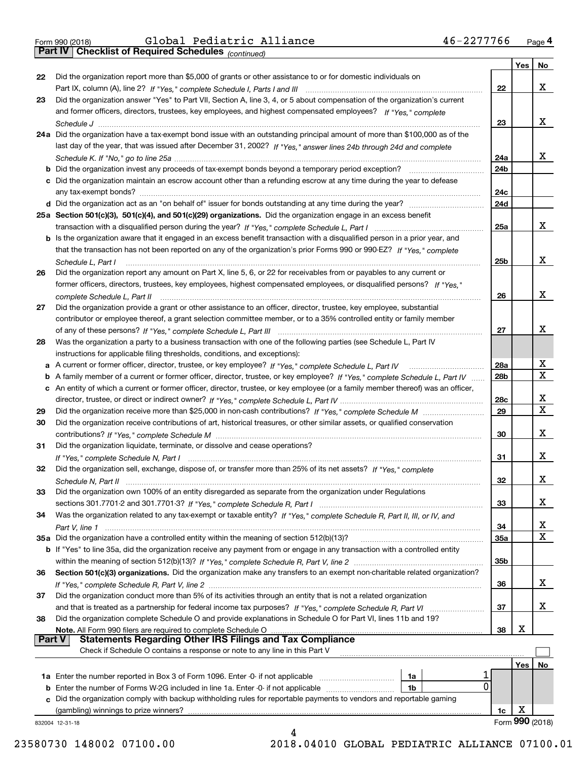|  | Form 990 (2018) |
|--|-----------------|

*(continued)*

|               |                                                                                                                                   |                 | Yes | No              |
|---------------|-----------------------------------------------------------------------------------------------------------------------------------|-----------------|-----|-----------------|
| 22            | Did the organization report more than \$5,000 of grants or other assistance to or for domestic individuals on                     |                 |     |                 |
|               |                                                                                                                                   | 22              |     | x               |
| 23            | Did the organization answer "Yes" to Part VII, Section A, line 3, 4, or 5 about compensation of the organization's current        |                 |     |                 |
|               | and former officers, directors, trustees, key employees, and highest compensated employees? If "Yes," complete                    |                 |     |                 |
|               |                                                                                                                                   | 23              |     | х               |
|               | 24a Did the organization have a tax-exempt bond issue with an outstanding principal amount of more than \$100,000 as of the       |                 |     |                 |
|               | last day of the year, that was issued after December 31, 2002? If "Yes," answer lines 24b through 24d and complete                |                 |     |                 |
|               |                                                                                                                                   | 24a             |     | x               |
|               | b Did the organization invest any proceeds of tax-exempt bonds beyond a temporary period exception?                               | 24b             |     |                 |
|               | c Did the organization maintain an escrow account other than a refunding escrow at any time during the year to defease            |                 |     |                 |
|               |                                                                                                                                   | 24c             |     |                 |
|               |                                                                                                                                   | 24d             |     |                 |
|               | 25a Section 501(c)(3), 501(c)(4), and 501(c)(29) organizations. Did the organization engage in an excess benefit                  |                 |     |                 |
|               |                                                                                                                                   | 25a             |     | x               |
|               | b Is the organization aware that it engaged in an excess benefit transaction with a disqualified person in a prior year, and      |                 |     |                 |
|               | that the transaction has not been reported on any of the organization's prior Forms 990 or 990-EZ? If "Yes," complete             |                 |     |                 |
|               | Schedule L. Part I                                                                                                                | 25 <sub>b</sub> |     | х               |
| 26            | Did the organization report any amount on Part X, line 5, 6, or 22 for receivables from or payables to any current or             |                 |     |                 |
|               | former officers, directors, trustees, key employees, highest compensated employees, or disqualified persons? If "Yes."            |                 |     |                 |
|               |                                                                                                                                   | 26              |     | х               |
|               | Did the organization provide a grant or other assistance to an officer, director, trustee, key employee, substantial              |                 |     |                 |
| 27            |                                                                                                                                   |                 |     |                 |
|               | contributor or employee thereof, a grant selection committee member, or to a 35% controlled entity or family member               |                 |     | х               |
|               |                                                                                                                                   | 27              |     |                 |
| 28            | Was the organization a party to a business transaction with one of the following parties (see Schedule L, Part IV                 |                 |     |                 |
|               | instructions for applicable filing thresholds, conditions, and exceptions):                                                       |                 |     |                 |
|               |                                                                                                                                   | 28a             |     | х               |
|               | b A family member of a current or former officer, director, trustee, or key employee? If "Yes," complete Schedule L, Part IV      | 28 <sub>b</sub> |     | $\mathbf X$     |
|               | c An entity of which a current or former officer, director, trustee, or key employee (or a family member thereof) was an officer, |                 |     |                 |
|               |                                                                                                                                   | 28c             |     | x               |
| 29            |                                                                                                                                   | 29              |     | $\mathbf x$     |
| 30            | Did the organization receive contributions of art, historical treasures, or other similar assets, or qualified conservation       |                 |     |                 |
|               |                                                                                                                                   | 30              |     | х               |
| 31            | Did the organization liquidate, terminate, or dissolve and cease operations?                                                      |                 |     |                 |
|               |                                                                                                                                   | 31              |     | х               |
| 32            | Did the organization sell, exchange, dispose of, or transfer more than 25% of its net assets? If "Yes," complete                  |                 |     |                 |
|               |                                                                                                                                   | 32              |     | х               |
| 33            | Did the organization own 100% of an entity disregarded as separate from the organization under Regulations                        |                 |     |                 |
|               |                                                                                                                                   | 33              |     | х               |
| 34            | Was the organization related to any tax-exempt or taxable entity? If "Yes," complete Schedule R, Part II, III, or IV, and         |                 |     |                 |
|               |                                                                                                                                   | 34              |     | х               |
|               | 35a Did the organization have a controlled entity within the meaning of section 512(b)(13)?                                       | 35a             |     | X               |
|               | b If "Yes" to line 35a, did the organization receive any payment from or engage in any transaction with a controlled entity       |                 |     |                 |
|               |                                                                                                                                   | 35 <sub>b</sub> |     |                 |
| 36            | Section 501(c)(3) organizations. Did the organization make any transfers to an exempt non-charitable related organization?        |                 |     |                 |
|               |                                                                                                                                   | 36              |     | x               |
| 37            | Did the organization conduct more than 5% of its activities through an entity that is not a related organization                  |                 |     |                 |
|               | and that is treated as a partnership for federal income tax purposes? If "Yes," complete Schedule R, Part VI                      | 37              |     | x               |
| 38            | Did the organization complete Schedule O and provide explanations in Schedule O for Part VI, lines 11b and 19?                    |                 |     |                 |
|               | Note. All Form 990 filers are required to complete Schedule O                                                                     | 38              | х   |                 |
| <b>Part V</b> | <b>Statements Regarding Other IRS Filings and Tax Compliance</b>                                                                  |                 |     |                 |
|               | Check if Schedule O contains a response or note to any line in this Part V                                                        |                 |     |                 |
|               |                                                                                                                                   |                 | Yes | No              |
|               | <b>1a</b> Enter the number reported in Box 3 of Form 1096. Enter -0- if not applicable <i>manumumumum</i><br>1a                   |                 |     |                 |
|               | 0<br>1b                                                                                                                           |                 |     |                 |
|               | c Did the organization comply with backup withholding rules for reportable payments to vendors and reportable gaming              |                 |     |                 |
|               | (gambling) winnings to prize winners?                                                                                             | 1c              | х   |                 |
|               |                                                                                                                                   |                 |     | Form 990 (2018) |
|               | 832004 12-31-18                                                                                                                   |                 |     |                 |

23580730 148002 07100.00 2018.04010 GLOBAL PEDIATRIC ALLIANCE 07100.01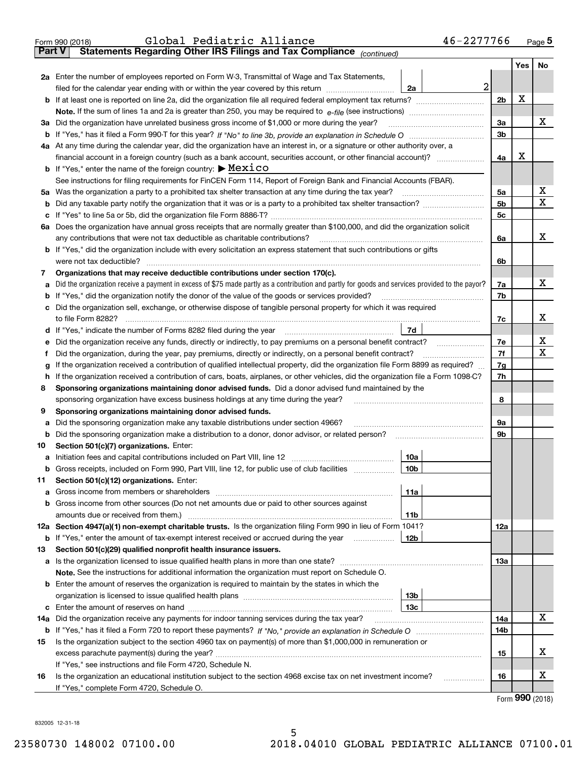|               | 46-2277766<br>Global Pediatric Alliance<br>Form 990 (2018)                                                                                      |                |     | Page $5$                            |
|---------------|-------------------------------------------------------------------------------------------------------------------------------------------------|----------------|-----|-------------------------------------|
| <b>Part V</b> | Statements Regarding Other IRS Filings and Tax Compliance (continued)                                                                           |                |     |                                     |
|               |                                                                                                                                                 |                | Yes | No                                  |
|               | 2a Enter the number of employees reported on Form W-3, Transmittal of Wage and Tax Statements,                                                  |                |     |                                     |
|               | $\overline{a}$<br>filed for the calendar year ending with or within the year covered by this return<br>2a                                       |                |     |                                     |
|               |                                                                                                                                                 | 2 <sub>b</sub> | X   |                                     |
|               |                                                                                                                                                 |                |     |                                     |
| За            | Did the organization have unrelated business gross income of \$1,000 or more during the year?                                                   | 3a             |     | х                                   |
|               |                                                                                                                                                 | 3 <sub>b</sub> |     |                                     |
|               | 4a At any time during the calendar year, did the organization have an interest in, or a signature or other authority over, a                    |                |     |                                     |
|               | financial account in a foreign country (such as a bank account, securities account, or other financial account)?                                | 4a             | X   |                                     |
|               | <b>b</b> If "Yes," enter the name of the foreign country: $\blacktriangleright$ Mexico                                                          |                |     |                                     |
|               | See instructions for filing requirements for FinCEN Form 114, Report of Foreign Bank and Financial Accounts (FBAR).                             |                |     |                                     |
| 5a            |                                                                                                                                                 | 5a             |     | х                                   |
| b             |                                                                                                                                                 | 5b             |     | Χ                                   |
| c             |                                                                                                                                                 | 5c             |     |                                     |
|               | 6a Does the organization have annual gross receipts that are normally greater than \$100,000, and did the organization solicit                  |                |     |                                     |
|               |                                                                                                                                                 | 6a             |     | x                                   |
|               | <b>b</b> If "Yes," did the organization include with every solicitation an express statement that such contributions or gifts                   |                |     |                                     |
|               | were not tax deductible?                                                                                                                        | 6b             |     |                                     |
| 7             | Organizations that may receive deductible contributions under section 170(c).                                                                   |                |     |                                     |
| a             | Did the organization receive a payment in excess of \$75 made partly as a contribution and partly for goods and services provided to the payor? | 7a             |     | х                                   |
| b             | If "Yes," did the organization notify the donor of the value of the goods or services provided?                                                 | 7b             |     |                                     |
|               | c Did the organization sell, exchange, or otherwise dispose of tangible personal property for which it was required                             |                |     |                                     |
|               |                                                                                                                                                 | 7c             |     | х                                   |
|               | 7d                                                                                                                                              |                |     |                                     |
| е             |                                                                                                                                                 | 7е             |     | х                                   |
| f             | Did the organization, during the year, pay premiums, directly or indirectly, on a personal benefit contract?                                    | 7f             |     | х                                   |
| g             | If the organization received a contribution of qualified intellectual property, did the organization file Form 8899 as required?                | 7g             |     |                                     |
| h             | If the organization received a contribution of cars, boats, airplanes, or other vehicles, did the organization file a Form 1098-C?              | 7h             |     |                                     |
| 8             | Sponsoring organizations maintaining donor advised funds. Did a donor advised fund maintained by the                                            |                |     |                                     |
|               | sponsoring organization have excess business holdings at any time during the year?                                                              | 8              |     |                                     |
| 9             | Sponsoring organizations maintaining donor advised funds.                                                                                       |                |     |                                     |
| а             | Did the sponsoring organization make any taxable distributions under section 4966?                                                              | 9а             |     |                                     |
| b             |                                                                                                                                                 | 9b             |     |                                     |
| 10            | Section 501(c)(7) organizations. Enter:                                                                                                         |                |     |                                     |
|               | 10a                                                                                                                                             |                |     |                                     |
|               | 10 <sub>b</sub><br>Gross receipts, included on Form 990, Part VIII, line 12, for public use of club facilities                                  |                |     |                                     |
| 11            | Section 501(c)(12) organizations. Enter:                                                                                                        |                |     |                                     |
| a             | 11a                                                                                                                                             |                |     |                                     |
|               | b Gross income from other sources (Do not net amounts due or paid to other sources against                                                      |                |     |                                     |
|               | 11b                                                                                                                                             |                |     |                                     |
|               | 12a Section 4947(a)(1) non-exempt charitable trusts. Is the organization filing Form 990 in lieu of Form 1041?                                  | 12a            |     |                                     |
|               | 12b<br><b>b</b> If "Yes," enter the amount of tax-exempt interest received or accrued during the year <i>manument</i>                           |                |     |                                     |
| 13            | Section 501(c)(29) qualified nonprofit health insurance issuers.                                                                                |                |     |                                     |
|               | a Is the organization licensed to issue qualified health plans in more than one state?                                                          | 13а            |     |                                     |
|               | Note. See the instructions for additional information the organization must report on Schedule O.                                               |                |     |                                     |
|               | <b>b</b> Enter the amount of reserves the organization is required to maintain by the states in which the                                       |                |     |                                     |
|               | 13b                                                                                                                                             |                |     |                                     |
|               | 13с                                                                                                                                             |                |     |                                     |
| 14a           | Did the organization receive any payments for indoor tanning services during the tax year?                                                      | 14a            |     | x                                   |
|               |                                                                                                                                                 | 14b            |     |                                     |
| 15            | Is the organization subject to the section 4960 tax on payment(s) of more than \$1,000,000 in remuneration or                                   |                |     |                                     |
|               |                                                                                                                                                 | 15             |     | X.                                  |
|               | If "Yes," see instructions and file Form 4720, Schedule N.                                                                                      |                |     |                                     |
| 16            | Is the organization an educational institution subject to the section 4968 excise tax on net investment income?                                 | 16             |     | x                                   |
|               | If "Yes," complete Form 4720, Schedule O.                                                                                                       |                |     | $T_{\text{arm}}$ QQ $\Omega$ (2010) |
|               |                                                                                                                                                 |                |     |                                     |

Form (2018) **990**

832005 12-31-18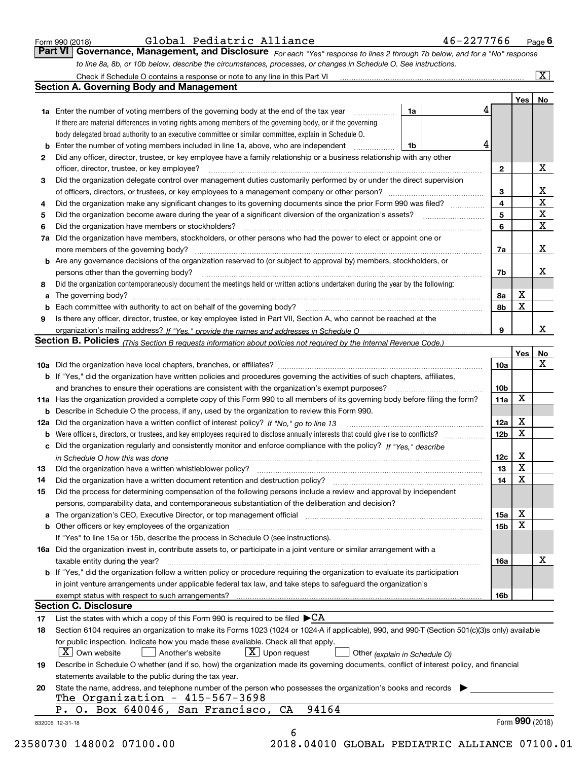|  | Form 990 (2018) |  |
|--|-----------------|--|
|  |                 |  |

| Form 990 (2018) | Global Pediatric Alliance | 46-2277766                                                                                                                    | $P$ <sub>age</sub> $6$ |
|-----------------|---------------------------|-------------------------------------------------------------------------------------------------------------------------------|------------------------|
|                 |                           | Part VI   Governance, Management, and Disclosure For each "Yes" response to lines 2 through 7b below, and for a "No" response |                        |
|                 |                           | to line 8a, 8b, or 10b below, describe the circumstances, processes, or changes in Schedule O. See instructions.              |                        |

|    |                                                                                                                                                                            |                               |   |                 | Yes             | No                      |
|----|----------------------------------------------------------------------------------------------------------------------------------------------------------------------------|-------------------------------|---|-----------------|-----------------|-------------------------|
|    | <b>1a</b> Enter the number of voting members of the governing body at the end of the tax year <i>manumum</i>                                                               | 1a                            | 4 |                 |                 |                         |
|    | If there are material differences in voting rights among members of the governing body, or if the governing                                                                |                               |   |                 |                 |                         |
|    | body delegated broad authority to an executive committee or similar committee, explain in Schedule O.                                                                      |                               |   |                 |                 |                         |
|    | <b>b</b> Enter the number of voting members included in line 1a, above, who are independent <i>manumum</i>                                                                 | 1b                            | 4 |                 |                 |                         |
| 2  | Did any officer, director, trustee, or key employee have a family relationship or a business relationship with any other                                                   |                               |   |                 |                 |                         |
|    | officer, director, trustee, or key employee?                                                                                                                               |                               |   | $\mathbf{2}$    |                 | X                       |
| 3  | Did the organization delegate control over management duties customarily performed by or under the direct supervision                                                      |                               |   |                 |                 |                         |
|    |                                                                                                                                                                            |                               |   | 3               |                 | X                       |
| 4  | Did the organization make any significant changes to its governing documents since the prior Form 990 was filed?                                                           |                               |   | 4               |                 | $\overline{\mathbf{x}}$ |
| 5  |                                                                                                                                                                            |                               |   | 5               |                 | $\mathbf X$             |
| 6  |                                                                                                                                                                            |                               |   | 6               |                 | $\mathbf X$             |
|    | 7a Did the organization have members, stockholders, or other persons who had the power to elect or appoint one or                                                          |                               |   |                 |                 |                         |
|    |                                                                                                                                                                            |                               |   | 7a              |                 | X                       |
|    | <b>b</b> Are any governance decisions of the organization reserved to (or subject to approval by) members, stockholders, or                                                |                               |   |                 |                 |                         |
|    | persons other than the governing body?                                                                                                                                     |                               |   | 7b              |                 | X                       |
| 8  | Did the organization contemporaneously document the meetings held or written actions undertaken during the year by the following:                                          |                               |   |                 |                 |                         |
| a  |                                                                                                                                                                            |                               |   | 8a              | X               |                         |
|    |                                                                                                                                                                            |                               |   | 8b              | X               |                         |
| 9  | Is there any officer, director, trustee, or key employee listed in Part VII, Section A, who cannot be reached at the                                                       |                               |   |                 |                 |                         |
|    |                                                                                                                                                                            |                               |   | 9               |                 | x                       |
|    | Section B. Policies (This Section B requests information about policies not required by the Internal Revenue Code.)                                                        |                               |   |                 |                 |                         |
|    |                                                                                                                                                                            |                               |   |                 | Yes∣            | No                      |
|    |                                                                                                                                                                            |                               |   | 10a             |                 | X                       |
|    | <b>b</b> If "Yes," did the organization have written policies and procedures governing the activities of such chapters, affiliates,                                        |                               |   |                 |                 |                         |
|    |                                                                                                                                                                            |                               |   | 10 <sub>b</sub> |                 |                         |
|    | 11a Has the organization provided a complete copy of this Form 990 to all members of its governing body before filing the form?                                            |                               |   | 11a             | $\mathbf X$     |                         |
|    | <b>b</b> Describe in Schedule O the process, if any, used by the organization to review this Form 990.                                                                     |                               |   |                 |                 |                         |
|    |                                                                                                                                                                            |                               |   | 12a             | X               |                         |
| b  |                                                                                                                                                                            |                               |   | 12b             | X               |                         |
|    | c Did the organization regularly and consistently monitor and enforce compliance with the policy? If "Yes," describe                                                       |                               |   |                 |                 |                         |
|    | in Schedule O how this was done measured and contained a state of the state of the state of the state of the s                                                             |                               |   | 12c             | X               |                         |
| 13 |                                                                                                                                                                            |                               |   | 13              | X               |                         |
| 14 | Did the organization have a written document retention and destruction policy? manufactured and the organization have a written document retention and destruction policy? |                               |   | 14              | $\mathbf X$     |                         |
| 15 | Did the process for determining compensation of the following persons include a review and approval by independent                                                         |                               |   |                 |                 |                         |
|    | persons, comparability data, and contemporaneous substantiation of the deliberation and decision?                                                                          |                               |   |                 |                 |                         |
|    |                                                                                                                                                                            |                               |   |                 | X               |                         |
|    |                                                                                                                                                                            |                               |   | 15a             | $\mathbf X$     |                         |
|    | <b>b</b> Other officers or key employees of the organization                                                                                                               |                               |   | 15b             |                 |                         |
|    | If "Yes" to line 15a or 15b, describe the process in Schedule O (see instructions).                                                                                        |                               |   |                 |                 |                         |
|    | 16a Did the organization invest in, contribute assets to, or participate in a joint venture or similar arrangement with a                                                  |                               |   |                 |                 |                         |
|    | taxable entity during the year?                                                                                                                                            |                               |   | 16a             |                 | X                       |
|    | b If "Yes," did the organization follow a written policy or procedure requiring the organization to evaluate its participation                                             |                               |   |                 |                 |                         |
|    | in joint venture arrangements under applicable federal tax law, and take steps to safeguard the organization's                                                             |                               |   |                 |                 |                         |
|    |                                                                                                                                                                            |                               |   | 16b             |                 |                         |
|    | <b>Section C. Disclosure</b>                                                                                                                                               |                               |   |                 |                 |                         |
| 17 | List the states with which a copy of this Form 990 is required to be filed $\blacktriangleright$ CA                                                                        |                               |   |                 |                 |                         |
| 18 | Section 6104 requires an organization to make its Forms 1023 (1024 or 1024 A if applicable), 990, and 990-T (Section 501(c)(3)s only) available                            |                               |   |                 |                 |                         |
|    | for public inspection. Indicate how you made these available. Check all that apply.                                                                                        |                               |   |                 |                 |                         |
|    | $\vert X \vert$ Own website<br>$X$ Upon request<br>Another's website                                                                                                       | Other (explain in Schedule O) |   |                 |                 |                         |
| 19 | Describe in Schedule O whether (and if so, how) the organization made its governing documents, conflict of interest policy, and financial                                  |                               |   |                 |                 |                         |
|    | statements available to the public during the tax year.                                                                                                                    |                               |   |                 |                 |                         |
| 20 | State the name, address, and telephone number of the person who possesses the organization's books and records $\blacktriangleright$                                       |                               |   |                 |                 |                         |
|    | The Organization - $415-567-3698$                                                                                                                                          |                               |   |                 |                 |                         |
|    | 94164<br>P. O. Box 640046, San Francisco,<br>CA                                                                                                                            |                               |   |                 |                 |                         |
|    |                                                                                                                                                                            |                               |   |                 | Form 990 (2018) |                         |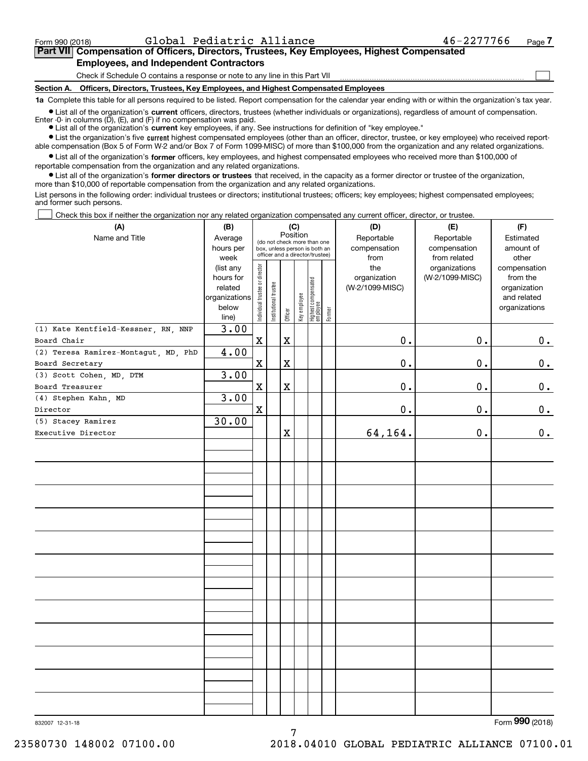$\mathcal{L}^{\text{max}}$ 

# **7Part VII Compensation of Officers, Directors, Trustees, Key Employees, Highest Compensated Employees, and Independent Contractors**

Check if Schedule O contains a response or note to any line in this Part VII

**Section A. Officers, Directors, Trustees, Key Employees, and Highest Compensated Employees**

**1a**  Complete this table for all persons required to be listed. Report compensation for the calendar year ending with or within the organization's tax year.

**•** List all of the organization's current officers, directors, trustees (whether individuals or organizations), regardless of amount of compensation. Enter -0- in columns  $(D)$ ,  $(E)$ , and  $(F)$  if no compensation was paid.

● List all of the organization's **current** key employees, if any. See instructions for definition of "key employee."

**•** List the organization's five current highest compensated employees (other than an officer, director, trustee, or key employee) who received reportable compensation (Box 5 of Form W-2 and/or Box 7 of Form 1099-MISC) of more than \$100,000 from the organization and any related organizations.

 $\bullet$  List all of the organization's **former** officers, key employees, and highest compensated employees who received more than \$100,000 of reportable compensation from the organization and any related organizations.

**•** List all of the organization's former directors or trustees that received, in the capacity as a former director or trustee of the organization, more than \$10,000 of reportable compensation from the organization and any related organizations.

List persons in the following order: individual trustees or directors; institutional trustees; officers; key employees; highest compensated employees; and former such persons.

Check this box if neither the organization nor any related organization compensated any current officer, director, or trustee.  $\mathcal{L}^{\text{max}}$ 

| (A)                                  | (B)                                                                          |                                |                       |             | (C)          |                                                                                                 |        | (D)                                            | (E)                                              | (F)                                                                               |
|--------------------------------------|------------------------------------------------------------------------------|--------------------------------|-----------------------|-------------|--------------|-------------------------------------------------------------------------------------------------|--------|------------------------------------------------|--------------------------------------------------|-----------------------------------------------------------------------------------|
| Name and Title                       | Average<br>hours per                                                         |                                |                       | Position    |              | (do not check more than one<br>box, unless person is both an<br>officer and a director/trustee) |        | Reportable<br>compensation                     | Reportable<br>compensation                       | Estimated<br>amount of                                                            |
|                                      | week<br>(list any<br>hours for<br>related<br>organizations<br>below<br>line) | Individual trustee or director | Institutional trustee | Officer     | Key employee | Highest compensated<br>  employee                                                               | Former | from<br>the<br>organization<br>(W-2/1099-MISC) | from related<br>organizations<br>(W-2/1099-MISC) | other<br>compensation<br>from the<br>organization<br>and related<br>organizations |
| (1) Kate Kentfield-Kessner, RN, NNP  | 3.00                                                                         |                                |                       |             |              |                                                                                                 |        |                                                |                                                  |                                                                                   |
| Board Chair                          |                                                                              | $\mathbf x$                    |                       | $\mathbf X$ |              |                                                                                                 |        | $\mathbf 0$ .                                  | 0.                                               | 0.                                                                                |
| (2) Teresa Ramirez-Montagut, MD, PhD | 4.00                                                                         |                                |                       |             |              |                                                                                                 |        |                                                |                                                  |                                                                                   |
| Board Secretary                      |                                                                              | $\mathbf x$                    |                       | $\mathbf X$ |              |                                                                                                 |        | $0$ .                                          | 0.                                               | $\mathbf 0$ .                                                                     |
| (3) Scott Cohen, MD, DTM             | 3.00                                                                         |                                |                       |             |              |                                                                                                 |        |                                                |                                                  |                                                                                   |
| Board Treasurer                      |                                                                              | X                              |                       | $\mathbf X$ |              |                                                                                                 |        | $\mathbf 0$ .                                  | 0.                                               | 0.                                                                                |
| (4) Stephen Kahn, MD                 | 3.00                                                                         |                                |                       |             |              |                                                                                                 |        |                                                |                                                  |                                                                                   |
| Director                             |                                                                              | $\mathbf x$                    |                       |             |              |                                                                                                 |        | $\mathbf 0$ .                                  | $0$ .                                            | $\mathbf 0$ .                                                                     |
| (5) Stacey Ramirez                   | 30.00                                                                        |                                |                       |             |              |                                                                                                 |        |                                                |                                                  |                                                                                   |
| Executive Director                   |                                                                              |                                |                       | X           |              |                                                                                                 |        | 64,164.                                        | 0.                                               | $0_{.}$                                                                           |
|                                      |                                                                              |                                |                       |             |              |                                                                                                 |        |                                                |                                                  |                                                                                   |
|                                      |                                                                              |                                |                       |             |              |                                                                                                 |        |                                                |                                                  |                                                                                   |
|                                      |                                                                              |                                |                       |             |              |                                                                                                 |        |                                                |                                                  |                                                                                   |
|                                      |                                                                              |                                |                       |             |              |                                                                                                 |        |                                                |                                                  |                                                                                   |
|                                      |                                                                              |                                |                       |             |              |                                                                                                 |        |                                                |                                                  |                                                                                   |
|                                      |                                                                              |                                |                       |             |              |                                                                                                 |        |                                                |                                                  |                                                                                   |
|                                      |                                                                              |                                |                       |             |              |                                                                                                 |        |                                                |                                                  |                                                                                   |
|                                      |                                                                              |                                |                       |             |              |                                                                                                 |        |                                                |                                                  |                                                                                   |
|                                      |                                                                              |                                |                       |             |              |                                                                                                 |        |                                                |                                                  |                                                                                   |
|                                      |                                                                              |                                |                       |             |              |                                                                                                 |        |                                                |                                                  |                                                                                   |
|                                      |                                                                              |                                |                       |             |              |                                                                                                 |        |                                                |                                                  |                                                                                   |
|                                      |                                                                              |                                |                       |             |              |                                                                                                 |        |                                                |                                                  |                                                                                   |
|                                      |                                                                              |                                |                       |             |              |                                                                                                 |        |                                                |                                                  |                                                                                   |
|                                      |                                                                              |                                |                       |             |              |                                                                                                 |        |                                                |                                                  |                                                                                   |
|                                      |                                                                              |                                |                       |             |              |                                                                                                 |        |                                                |                                                  |                                                                                   |
|                                      |                                                                              |                                |                       |             |              |                                                                                                 |        |                                                |                                                  |                                                                                   |
|                                      |                                                                              |                                |                       |             |              |                                                                                                 |        |                                                |                                                  |                                                                                   |
|                                      |                                                                              |                                |                       |             |              |                                                                                                 |        |                                                |                                                  |                                                                                   |
|                                      |                                                                              |                                |                       |             |              |                                                                                                 |        |                                                |                                                  |                                                                                   |
|                                      |                                                                              |                                |                       |             |              |                                                                                                 |        |                                                |                                                  |                                                                                   |
|                                      |                                                                              |                                |                       |             |              |                                                                                                 |        |                                                |                                                  |                                                                                   |
|                                      |                                                                              |                                |                       |             |              |                                                                                                 |        |                                                |                                                  |                                                                                   |
|                                      |                                                                              |                                |                       |             |              |                                                                                                 |        |                                                |                                                  |                                                                                   |
|                                      |                                                                              |                                |                       |             |              |                                                                                                 |        |                                                |                                                  |                                                                                   |

7

Form (2018) **990**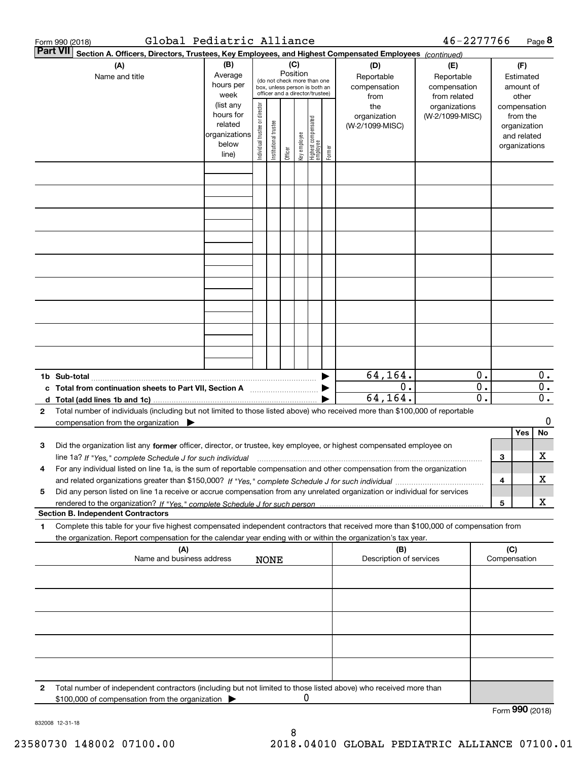|        | Global Pediatric Alliance<br>Form 990 (2018)                                                                                                                                                                                                           |                                                         |                                |                       |                                                                                                                    |              |                                 |        |                                           | 46-2277766                                                                                                   |                                      |     |                                        | Page 8                               |
|--------|--------------------------------------------------------------------------------------------------------------------------------------------------------------------------------------------------------------------------------------------------------|---------------------------------------------------------|--------------------------------|-----------------------|--------------------------------------------------------------------------------------------------------------------|--------------|---------------------------------|--------|-------------------------------------------|--------------------------------------------------------------------------------------------------------------|--------------------------------------|-----|----------------------------------------|--------------------------------------|
|        | <b>Part VII</b><br>Section A. Officers, Directors, Trustees, Key Employees, and Highest Compensated Employees (continued)                                                                                                                              |                                                         |                                |                       |                                                                                                                    |              |                                 |        |                                           |                                                                                                              |                                      |     |                                        |                                      |
|        | (A)<br>Name and title                                                                                                                                                                                                                                  | (B)<br>Average<br>hours per<br>week<br>(list any        |                                |                       | (C)<br>Position<br>(do not check more than one<br>box, unless person is both an<br>officer and a director/trustee) |              |                                 |        | (D)<br>Reportable<br>compensation<br>from | (E)<br>Reportable<br>compensation<br>from related                                                            |                                      |     | (F)<br>Estimated<br>amount of<br>other |                                      |
|        |                                                                                                                                                                                                                                                        | hours for<br>related<br>organizations<br>below<br>line) | Individual trustee or director | Institutional trustee | Officer                                                                                                            | Key employee | Highest compensated<br>employee | Former | the<br>organization<br>(W-2/1099-MISC)    | organizations<br>compensation<br>(W-2/1099-MISC)<br>from the<br>organization<br>and related<br>organizations |                                      |     |                                        |                                      |
|        |                                                                                                                                                                                                                                                        |                                                         |                                |                       |                                                                                                                    |              |                                 |        |                                           |                                                                                                              |                                      |     |                                        |                                      |
|        |                                                                                                                                                                                                                                                        |                                                         |                                |                       |                                                                                                                    |              |                                 |        |                                           |                                                                                                              |                                      |     |                                        |                                      |
|        |                                                                                                                                                                                                                                                        |                                                         |                                |                       |                                                                                                                    |              |                                 |        |                                           |                                                                                                              |                                      |     |                                        |                                      |
|        |                                                                                                                                                                                                                                                        |                                                         |                                |                       |                                                                                                                    |              |                                 |        |                                           |                                                                                                              |                                      |     |                                        |                                      |
|        |                                                                                                                                                                                                                                                        |                                                         |                                |                       |                                                                                                                    |              |                                 |        |                                           |                                                                                                              |                                      |     |                                        |                                      |
|        |                                                                                                                                                                                                                                                        |                                                         |                                |                       |                                                                                                                    |              |                                 |        |                                           |                                                                                                              |                                      |     |                                        |                                      |
|        |                                                                                                                                                                                                                                                        |                                                         |                                |                       |                                                                                                                    |              |                                 |        | 64, 164.                                  |                                                                                                              | 0.                                   |     |                                        | $0$ .                                |
| c<br>d | Total from continuation sheets to Part VII, Section A<br>Total (add lines 1b and 1c)                                                                                                                                                                   |                                                         |                                |                       |                                                                                                                    |              |                                 |        | $0$ .<br>64,164.                          |                                                                                                              | $\overline{0}$ .<br>$\overline{0}$ . |     |                                        | $\overline{0}$ .<br>$\overline{0}$ . |
| 2      | Total number of individuals (including but not limited to those listed above) who received more than \$100,000 of reportable<br>compensation from the organization $\blacktriangleright$                                                               |                                                         |                                |                       |                                                                                                                    |              |                                 |        |                                           |                                                                                                              |                                      |     | Yes                                    | 0<br>No                              |
| з      | Did the organization list any former officer, director, or trustee, key employee, or highest compensated employee on<br>line 1a? If "Yes," complete Schedule J for such individual                                                                     |                                                         |                                |                       |                                                                                                                    |              |                                 |        |                                           |                                                                                                              |                                      | З   |                                        | x                                    |
| 4<br>5 | For any individual listed on line 1a, is the sum of reportable compensation and other compensation from the organization<br>Did any person listed on line 1a receive or accrue compensation from any unrelated organization or individual for services |                                                         |                                |                       |                                                                                                                    |              |                                 |        |                                           |                                                                                                              |                                      | 4   |                                        | x                                    |
|        | <b>Section B. Independent Contractors</b>                                                                                                                                                                                                              |                                                         |                                |                       |                                                                                                                    |              |                                 |        |                                           |                                                                                                              |                                      | 5   |                                        | x                                    |
| 1      | Complete this table for your five highest compensated independent contractors that received more than \$100,000 of compensation from<br>the organization. Report compensation for the calendar year ending with or within the organization's tax year. |                                                         |                                |                       |                                                                                                                    |              |                                 |        |                                           |                                                                                                              |                                      |     |                                        |                                      |
|        | (A)<br>Name and business address                                                                                                                                                                                                                       |                                                         |                                | <b>NONE</b>           |                                                                                                                    |              |                                 |        | (B)<br>Description of services            |                                                                                                              |                                      | (C) | Compensation                           |                                      |
|        |                                                                                                                                                                                                                                                        |                                                         |                                |                       |                                                                                                                    |              |                                 |        |                                           |                                                                                                              |                                      |     |                                        |                                      |
|        |                                                                                                                                                                                                                                                        |                                                         |                                |                       |                                                                                                                    |              |                                 |        |                                           |                                                                                                              |                                      |     |                                        |                                      |
|        |                                                                                                                                                                                                                                                        |                                                         |                                |                       |                                                                                                                    |              |                                 |        |                                           |                                                                                                              |                                      |     |                                        |                                      |
| 2      | Total number of independent contractors (including but not limited to those listed above) who received more than                                                                                                                                       |                                                         |                                |                       |                                                                                                                    |              |                                 |        |                                           |                                                                                                              |                                      |     |                                        |                                      |
|        | \$100,000 of compensation from the organization                                                                                                                                                                                                        |                                                         |                                |                       |                                                                                                                    | 0            |                                 |        |                                           |                                                                                                              |                                      |     | Form 990 (2018)                        |                                      |

832008 12-31-18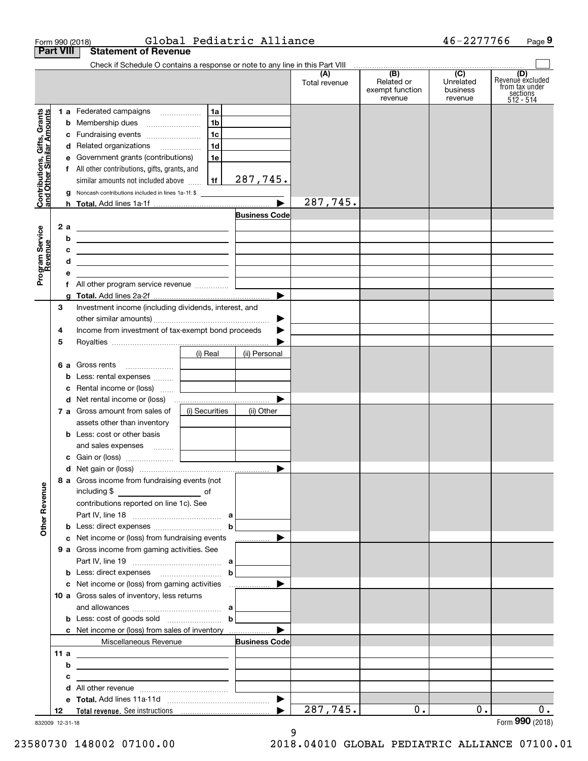| Form 990 (2018)                                           |                                                                                                       |                                   | Global Pediatric Alliance |               |                                          | 46-2277766                       | Page 9                                                      |
|-----------------------------------------------------------|-------------------------------------------------------------------------------------------------------|-----------------------------------|---------------------------|---------------|------------------------------------------|----------------------------------|-------------------------------------------------------------|
| <b>Part VIII</b>                                          | <b>Statement of Revenue</b>                                                                           |                                   |                           |               |                                          |                                  |                                                             |
|                                                           | Check if Schedule O contains a response or note to any line in this Part VIII                         |                                   |                           | (A)           | $\overline{AB}$ (B) (C)                  |                                  | (D)                                                         |
|                                                           |                                                                                                       |                                   |                           | Total revenue | Related or<br>exempt function<br>revenue | Unrelated<br>business<br>revenue | Revenue excluded<br>from tax under<br>sections<br>512 - 514 |
|                                                           | 1 a Federated campaigns                                                                               | 1a                                |                           |               |                                          |                                  |                                                             |
| Contributions, Gifts, Grants<br>and Other Similar Amounts | <b>b</b> Membership dues                                                                              | 1 <sub>b</sub>                    |                           |               |                                          |                                  |                                                             |
|                                                           | c Fundraising events                                                                                  | 1c                                |                           |               |                                          |                                  |                                                             |
|                                                           | d Related organizations                                                                               | 1d                                |                           |               |                                          |                                  |                                                             |
|                                                           | e Government grants (contributions)                                                                   | 1e                                |                           |               |                                          |                                  |                                                             |
|                                                           | f All other contributions, gifts, grants, and                                                         |                                   |                           |               |                                          |                                  |                                                             |
|                                                           | similar amounts not included above                                                                    | 1f                                | 287,745.                  |               |                                          |                                  |                                                             |
|                                                           | g Noncash contributions included in lines 1a-1f: \$                                                   |                                   |                           |               |                                          |                                  |                                                             |
|                                                           |                                                                                                       |                                   |                           | 287,745.      |                                          |                                  |                                                             |
|                                                           |                                                                                                       |                                   | Business Codel            |               |                                          |                                  |                                                             |
| 2a                                                        | <u> 1989 - Johann Barn, fransk politik amerikansk politik (</u>                                       |                                   |                           |               |                                          |                                  |                                                             |
| b                                                         | <u> 1989 - Johann Barn, amerikansk politiker (d. 1989)</u>                                            |                                   |                           |               |                                          |                                  |                                                             |
| с                                                         | <u> 1989 - Johann Barn, amerikansk politiker (</u>                                                    |                                   |                           |               |                                          |                                  |                                                             |
| d                                                         | <u> 1989 - Johann Stein, mars an de Frankrik (f. 1989)</u>                                            |                                   |                           |               |                                          |                                  |                                                             |
| Program Service<br>Revenue<br>е                           |                                                                                                       |                                   |                           |               |                                          |                                  |                                                             |
|                                                           |                                                                                                       |                                   |                           |               |                                          |                                  |                                                             |
|                                                           |                                                                                                       |                                   |                           |               |                                          |                                  |                                                             |
| 3                                                         | Investment income (including dividends, interest, and                                                 |                                   |                           |               |                                          |                                  |                                                             |
|                                                           |                                                                                                       |                                   | ▶                         |               |                                          |                                  |                                                             |
| 4                                                         | Income from investment of tax-exempt bond proceeds                                                    |                                   |                           |               |                                          |                                  |                                                             |
| 5                                                         |                                                                                                       |                                   |                           |               |                                          |                                  |                                                             |
|                                                           |                                                                                                       | (i) Real                          | (ii) Personal             |               |                                          |                                  |                                                             |
|                                                           | 6 a Gross rents                                                                                       | and the control of the control of |                           |               |                                          |                                  |                                                             |
|                                                           | <b>b</b> Less: rental expenses                                                                        |                                   |                           |               |                                          |                                  |                                                             |
|                                                           | c Rental income or (loss)                                                                             |                                   |                           |               |                                          |                                  |                                                             |
|                                                           |                                                                                                       |                                   |                           |               |                                          |                                  |                                                             |
|                                                           | 7 a Gross amount from sales of                                                                        | (i) Securities                    | (ii) Other                |               |                                          |                                  |                                                             |
|                                                           | assets other than inventory                                                                           |                                   |                           |               |                                          |                                  |                                                             |
|                                                           | <b>b</b> Less: cost or other basis<br>and sales expenses                                              |                                   |                           |               |                                          |                                  |                                                             |
|                                                           |                                                                                                       |                                   |                           |               |                                          |                                  |                                                             |
|                                                           |                                                                                                       |                                   |                           |               |                                          |                                  |                                                             |
|                                                           | 8 a Gross income from fundraising events (not                                                         |                                   |                           |               |                                          |                                  |                                                             |
|                                                           | including \$                                                                                          |                                   |                           |               |                                          |                                  |                                                             |
| <b>Other Revenue</b>                                      | contributions reported on line 1c). See                                                               |                                   |                           |               |                                          |                                  |                                                             |
|                                                           |                                                                                                       |                                   |                           |               |                                          |                                  |                                                             |
|                                                           |                                                                                                       | $\mathbf b$                       |                           |               |                                          |                                  |                                                             |
|                                                           | c Net income or (loss) from fundraising events<br><b>9 a</b> Gross income from gaming activities. See |                                   | .                         |               |                                          |                                  |                                                             |
|                                                           |                                                                                                       |                                   |                           |               |                                          |                                  |                                                             |
|                                                           |                                                                                                       |                                   |                           |               |                                          |                                  |                                                             |
|                                                           | <b>b</b> Less: direct expenses <b>contained b</b>                                                     |                                   |                           |               |                                          |                                  |                                                             |
|                                                           | 10 a Gross sales of inventory, less returns                                                           |                                   |                           |               |                                          |                                  |                                                             |
|                                                           |                                                                                                       |                                   |                           |               |                                          |                                  |                                                             |
|                                                           | <b>b</b> Less: cost of goods sold $\begin{bmatrix} b & b \end{bmatrix}$                               |                                   |                           |               |                                          |                                  |                                                             |
|                                                           | <b>c</b> Net income or (loss) from sales of inventory                                                 |                                   |                           |               |                                          |                                  |                                                             |
|                                                           | Miscellaneous Revenue                                                                                 |                                   | <b>Business Code</b>      |               |                                          |                                  |                                                             |
| 11a                                                       |                                                                                                       |                                   |                           |               |                                          |                                  |                                                             |
| b                                                         | <u> 2002 - Johann Barn, mars et al. (b. 1982)</u>                                                     |                                   |                           |               |                                          |                                  |                                                             |
| c                                                         | <u> 1989 - Johann Barbara, martxa eta idazlea (h. 1989).</u>                                          |                                   |                           |               |                                          |                                  |                                                             |
|                                                           | <u> 1989 - Johann Stein, fransk politik (d. 1989)</u>                                                 |                                   |                           |               |                                          |                                  |                                                             |
|                                                           |                                                                                                       |                                   |                           |               |                                          |                                  |                                                             |
|                                                           |                                                                                                       |                                   |                           |               |                                          |                                  |                                                             |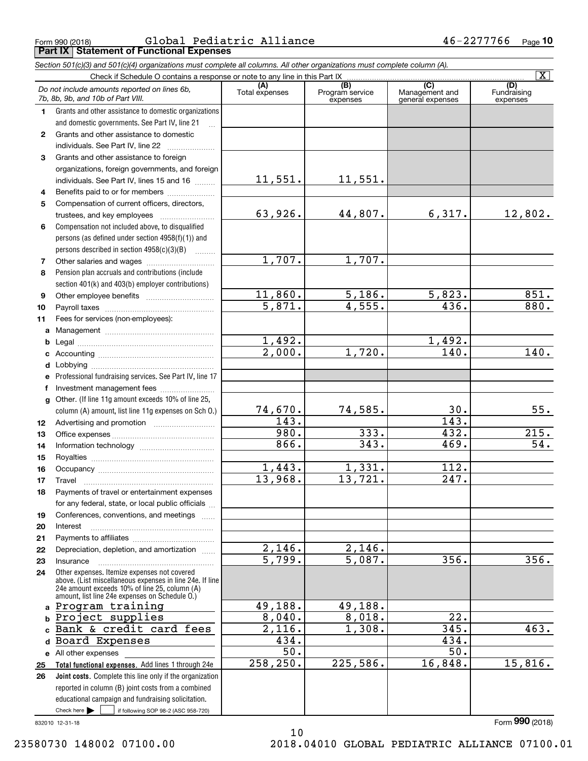Form 990 (2018) Page **Part IX Statement of Functional Expenses** Global Pediatric Alliance 46-2277766

*Section 501(c)(3) and 501(c)(4) organizations must complete all columns. All other organizations must complete column (A).*

|              |                                                                                                   |                               |                                    |                                                      | $\boxed{\text{X}}$             |
|--------------|---------------------------------------------------------------------------------------------------|-------------------------------|------------------------------------|------------------------------------------------------|--------------------------------|
|              | Do not include amounts reported on lines 6b,<br>7b, 8b, 9b, and 10b of Part VIII.                 | (A)<br>Total expenses         | (B)<br>Program service<br>expenses | $\overline{C}$<br>Management and<br>general expenses | (D)<br>Fundraising<br>expenses |
| 1.           | Grants and other assistance to domestic organizations                                             |                               |                                    |                                                      |                                |
|              | and domestic governments. See Part IV, line 21                                                    |                               |                                    |                                                      |                                |
| $\mathbf{2}$ | Grants and other assistance to domestic                                                           |                               |                                    |                                                      |                                |
|              | individuals. See Part IV, line 22                                                                 |                               |                                    |                                                      |                                |
| 3            | Grants and other assistance to foreign                                                            |                               |                                    |                                                      |                                |
|              | organizations, foreign governments, and foreign                                                   |                               |                                    |                                                      |                                |
|              | individuals. See Part IV, lines 15 and 16                                                         | 11,551.                       | 11,551.                            |                                                      |                                |
| 4            | Benefits paid to or for members                                                                   |                               |                                    |                                                      |                                |
| 5            | Compensation of current officers, directors,                                                      |                               |                                    |                                                      |                                |
|              | trustees, and key employees                                                                       | 63,926.                       | 44,807.                            | 6,317.                                               | 12,802.                        |
| 6            | Compensation not included above, to disqualified                                                  |                               |                                    |                                                      |                                |
|              | persons (as defined under section 4958(f)(1)) and                                                 |                               |                                    |                                                      |                                |
|              | persons described in section 4958(c)(3)(B)                                                        |                               |                                    |                                                      |                                |
| 7            |                                                                                                   | 1,707.                        | 1,707.                             |                                                      |                                |
| 8            | Pension plan accruals and contributions (include                                                  |                               |                                    |                                                      |                                |
|              | section 401(k) and 403(b) employer contributions)                                                 |                               |                                    |                                                      |                                |
| 9            |                                                                                                   | 11,860.                       | 5,186.                             | 5,823.                                               | 851.                           |
| 10           |                                                                                                   | 5,871.                        | 4,555.                             | 436.                                                 | 880.                           |
| 11           | Fees for services (non-employees):                                                                |                               |                                    |                                                      |                                |
| a            |                                                                                                   |                               |                                    |                                                      |                                |
| b            |                                                                                                   | 1,492.                        |                                    | 1,492.                                               |                                |
| c            |                                                                                                   | 2,000.                        | $\overline{1,720}$ .               | 140.                                                 | 140.                           |
| d            |                                                                                                   |                               |                                    |                                                      |                                |
| е            | Professional fundraising services. See Part IV, line 17                                           |                               |                                    |                                                      |                                |
| f            | Investment management fees                                                                        |                               |                                    |                                                      |                                |
| g            | Other. (If line 11g amount exceeds 10% of line 25,                                                |                               |                                    |                                                      |                                |
|              | column (A) amount, list line 11g expenses on Sch O.)                                              | 74,670.<br>$\overline{143}$ . | 74,585.                            | 30.<br>143.                                          | 55.                            |
| 12           |                                                                                                   | 980.                          |                                    | 432.                                                 | 215.                           |
| 13           |                                                                                                   | 866.                          | 333.<br>343.                       | 469.                                                 | 54.                            |
| 14           |                                                                                                   |                               |                                    |                                                      |                                |
| 15           |                                                                                                   | 1,443.                        | 1,331.                             | 112.                                                 |                                |
| 16           |                                                                                                   | 13,968.                       | 13,721.                            | 247.                                                 |                                |
| 17           | Travel                                                                                            |                               |                                    |                                                      |                                |
| 18           | Payments of travel or entertainment expenses<br>for any federal, state, or local public officials |                               |                                    |                                                      |                                |
|              | Conferences, conventions, and meetings                                                            |                               |                                    |                                                      |                                |
| 19<br>20     | Interest                                                                                          |                               |                                    |                                                      |                                |
| 21           |                                                                                                   |                               |                                    |                                                      |                                |
| 22           | Depreciation, depletion, and amortization                                                         | $\overline{2,146}$ .          | 2,146.                             |                                                      |                                |
| 23           | Insurance                                                                                         | $\overline{5,799}$ .          | 5,087.                             | 356.                                                 | 356.                           |
| 24           | Other expenses. Itemize expenses not covered                                                      |                               |                                    |                                                      |                                |
|              | above. (List miscellaneous expenses in line 24e. If line                                          |                               |                                    |                                                      |                                |
|              | 24e amount exceeds 10% of line 25, column (A)<br>amount, list line 24e expenses on Schedule O.)   |                               |                                    |                                                      |                                |
|              | a Program training                                                                                | 49,188.                       | 49,188.                            |                                                      |                                |
|              | <b>b</b> Project supplies                                                                         | 8,040.                        | 8,018.                             | 22.                                                  |                                |
|              | Bank & credit card fees                                                                           | 2,116.                        | 1,308.                             | 345.                                                 | 463.                           |
| d            | Board Expenses                                                                                    | 434.                          |                                    | 434.                                                 |                                |
|              | e All other expenses                                                                              | $\overline{50}$ .             |                                    | $\overline{50}$                                      |                                |
| 25           | Total functional expenses. Add lines 1 through 24e                                                | 258, 250.                     | 225,586.                           | 16,848.                                              | 15,816.                        |
| 26           | Joint costs. Complete this line only if the organization                                          |                               |                                    |                                                      |                                |
|              | reported in column (B) joint costs from a combined                                                |                               |                                    |                                                      |                                |
|              | educational campaign and fundraising solicitation.                                                |                               |                                    |                                                      |                                |
|              | Check here $\blacktriangleright$<br>if following SOP 98-2 (ASC 958-720)                           |                               |                                    |                                                      |                                |

10

832010 12-31-18

Form (2018) **990**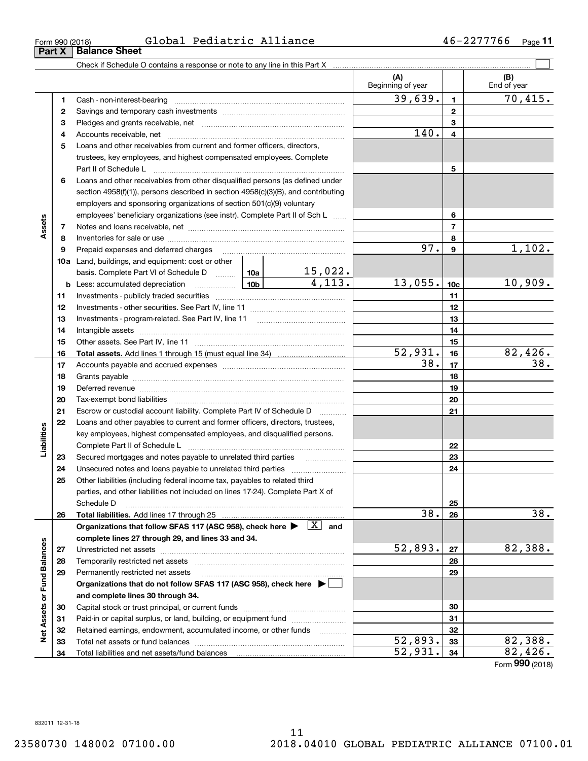| וטו ט∠<br>uluwai luuluulin milimu                                          |                   |   | <b>EV AAIIIV</b> | <u>г</u> |
|----------------------------------------------------------------------------|-------------------|---|------------------|----------|
| <b>Balance Sheet</b>                                                       |                   |   |                  |          |
| Check if Schedule O contains a response or note to any line in this Part X |                   |   |                  |          |
|                                                                            | Beginning of year |   | End of year      |          |
| Cash - non-interest-bearing                                                | 39,639            |   |                  | - 4      |
| Covings and temporary seek investments                                     |                   | ◠ |                  |          |

 $\Box$ 

|                             |    |                                                                                                                                                                                                                                |  |                      | (A)<br>Beginning of year |                 | (B)<br>End of year |
|-----------------------------|----|--------------------------------------------------------------------------------------------------------------------------------------------------------------------------------------------------------------------------------|--|----------------------|--------------------------|-----------------|--------------------|
|                             | 1  | Cash - non-interest-bearing                                                                                                                                                                                                    |  |                      | 39,639.                  | $\blacksquare$  | 70,415.            |
|                             | 2  |                                                                                                                                                                                                                                |  | $\mathbf{2}$         |                          |                 |                    |
|                             | 3  |                                                                                                                                                                                                                                |  |                      |                          | 3               |                    |
|                             | 4  |                                                                                                                                                                                                                                |  |                      | 140.                     | 4               |                    |
|                             | 5  | Loans and other receivables from current and former officers, directors,                                                                                                                                                       |  |                      |                          |                 |                    |
|                             |    | trustees, key employees, and highest compensated employees. Complete                                                                                                                                                           |  |                      |                          |                 |                    |
|                             |    | Part II of Schedule L                                                                                                                                                                                                          |  |                      |                          | 5               |                    |
|                             | 6  | Loans and other receivables from other disqualified persons (as defined under                                                                                                                                                  |  |                      |                          |                 |                    |
|                             |    | section 4958(f)(1)), persons described in section 4958(c)(3)(B), and contributing                                                                                                                                              |  |                      |                          |                 |                    |
|                             |    | employers and sponsoring organizations of section 501(c)(9) voluntary                                                                                                                                                          |  |                      |                          |                 |                    |
|                             |    | employees' beneficiary organizations (see instr). Complete Part II of Sch L                                                                                                                                                    |  |                      |                          | 6               |                    |
| Assets                      | 7  |                                                                                                                                                                                                                                |  |                      | $\overline{7}$           |                 |                    |
|                             | 8  |                                                                                                                                                                                                                                |  |                      |                          | 8               |                    |
|                             | 9  | Prepaid expenses and deferred charges [11] [11] Prepaid expenses and deferred charges [11] [11] American metal                                                                                                                 |  |                      | 97.                      | 9               | 1,102.             |
|                             |    | 10a Land, buildings, and equipment: cost or other                                                                                                                                                                              |  |                      |                          |                 |                    |
|                             |    | basis. Complete Part VI of Schedule D  10a                                                                                                                                                                                     |  | 15,022.              |                          |                 |                    |
|                             |    | <u>  10b</u>  <br><b>b</b> Less: accumulated depreciation                                                                                                                                                                      |  | $\overline{4,113}$ . | 13,055.                  | 10 <sub>c</sub> | 10,909.            |
|                             | 11 |                                                                                                                                                                                                                                |  |                      |                          | 11              |                    |
|                             | 12 |                                                                                                                                                                                                                                |  |                      |                          | 12              |                    |
|                             | 13 |                                                                                                                                                                                                                                |  |                      |                          | 13              |                    |
|                             | 14 |                                                                                                                                                                                                                                |  |                      |                          | 14              |                    |
|                             | 15 |                                                                                                                                                                                                                                |  |                      |                          | 15              |                    |
|                             | 16 |                                                                                                                                                                                                                                |  |                      | 52,931.                  | 16              | 82,426.            |
|                             | 17 |                                                                                                                                                                                                                                |  |                      | 38.                      | 17              | 38.                |
|                             | 18 |                                                                                                                                                                                                                                |  |                      | 18                       |                 |                    |
|                             | 19 | Deferred revenue material contracts and a contract of the contract of the contract of the contract of the contract of the contract of the contract of the contract of the contract of the contract of the contract of the cont |  |                      | 19                       |                 |                    |
|                             | 20 |                                                                                                                                                                                                                                |  |                      | 20                       |                 |                    |
|                             | 21 | Escrow or custodial account liability. Complete Part IV of Schedule D                                                                                                                                                          |  |                      |                          | 21              |                    |
|                             | 22 | Loans and other payables to current and former officers, directors, trustees,                                                                                                                                                  |  |                      |                          |                 |                    |
|                             |    | key employees, highest compensated employees, and disqualified persons.                                                                                                                                                        |  |                      |                          |                 |                    |
| Liabilities                 |    | Complete Part II of Schedule L                                                                                                                                                                                                 |  |                      |                          | 22              |                    |
|                             | 23 | Secured mortgages and notes payable to unrelated third parties                                                                                                                                                                 |  |                      |                          | 23              |                    |
|                             | 24 |                                                                                                                                                                                                                                |  |                      |                          | 24              |                    |
|                             | 25 | Other liabilities (including federal income tax, payables to related third                                                                                                                                                     |  |                      |                          |                 |                    |
|                             |    | parties, and other liabilities not included on lines 17-24). Complete Part X of                                                                                                                                                |  |                      |                          |                 |                    |
|                             |    | Schedule D                                                                                                                                                                                                                     |  |                      |                          | 25              |                    |
|                             | 26 | Total liabilities. Add lines 17 through 25                                                                                                                                                                                     |  |                      | 38.                      | 26              | $\overline{38}$ .  |
|                             |    | Organizations that follow SFAS 117 (ASC 958), check here $\blacktriangleright \begin{array}{c} \boxed{X} \\ \end{array}$ and                                                                                                   |  |                      |                          |                 |                    |
|                             |    | complete lines 27 through 29, and lines 33 and 34.                                                                                                                                                                             |  |                      | 52,893.                  |                 | 82,388.            |
|                             | 27 |                                                                                                                                                                                                                                |  |                      | 27                       |                 |                    |
|                             | 28 | Temporarily restricted net assets                                                                                                                                                                                              |  |                      |                          | 28<br>29        |                    |
| Net Assets or Fund Balances | 29 | Permanently restricted net assets<br>Organizations that do not follow SFAS 117 (ASC 958), check here ▶ □                                                                                                                       |  |                      |                          |                 |                    |
|                             |    | and complete lines 30 through 34.                                                                                                                                                                                              |  |                      |                          |                 |                    |
|                             | 30 |                                                                                                                                                                                                                                |  |                      |                          | 30              |                    |
|                             | 31 | Paid-in or capital surplus, or land, building, or equipment fund                                                                                                                                                               |  |                      |                          | 31              |                    |
|                             | 32 | Retained earnings, endowment, accumulated income, or other funds                                                                                                                                                               |  |                      |                          | 32              |                    |
|                             | 33 |                                                                                                                                                                                                                                |  |                      | $\overline{52}$ , 893.   | 33              | 82,388.            |
|                             | 34 |                                                                                                                                                                                                                                |  |                      | 52,931.                  | 34              | 82,426.            |

Form (2018) **990**

**Part X**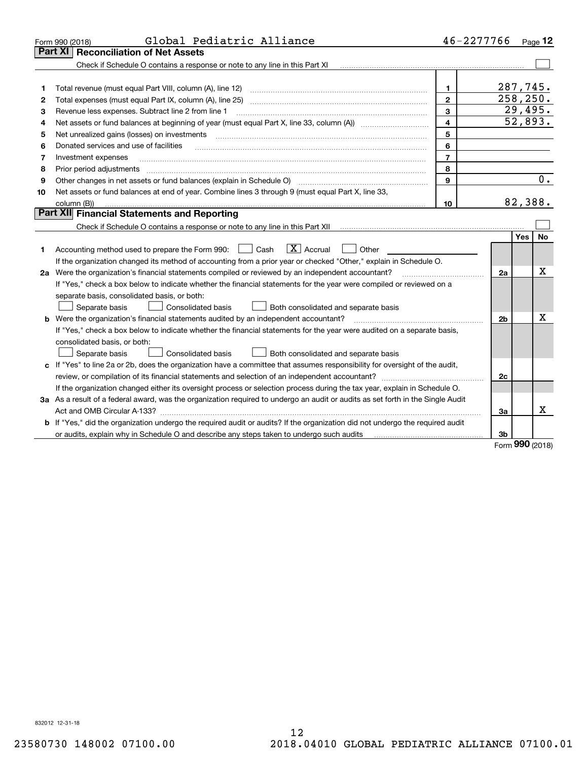|    | Global Pediatric Alliance<br>Form 990 (2018)                                                                                         | 46-2277766     |          |           | Page $12$        |
|----|--------------------------------------------------------------------------------------------------------------------------------------|----------------|----------|-----------|------------------|
|    | <b>Reconciliation of Net Assets</b><br>Part XI                                                                                       |                |          |           |                  |
|    | Check if Schedule O contains a response or note to any line in this Part XI                                                          |                |          |           |                  |
|    |                                                                                                                                      |                |          |           |                  |
| 1  | Total revenue (must equal Part VIII, column (A), line 12)                                                                            | 1.             | 287,745. |           |                  |
| 2  |                                                                                                                                      | $\mathbf{2}$   | 258,250. |           |                  |
| 3  | Revenue less expenses. Subtract line 2 from line 1                                                                                   | 3              |          |           | 29,495.          |
| 4  |                                                                                                                                      | $\overline{4}$ |          |           | 52,893.          |
| 5  | Net unrealized gains (losses) on investments                                                                                         | 5              |          |           |                  |
| 6  | Donated services and use of facilities                                                                                               | 6              |          |           |                  |
| 7  | Investment expenses                                                                                                                  | $\overline{7}$ |          |           |                  |
| 8  | Prior period adjustments                                                                                                             | 8              |          |           |                  |
| 9  |                                                                                                                                      | 9              |          |           | $\overline{0}$ . |
| 10 | Net assets or fund balances at end of year. Combine lines 3 through 9 (must equal Part X, line 33,                                   |                |          |           |                  |
|    | column (B))                                                                                                                          | 10             |          |           | 82,388.          |
|    | Part XII Financial Statements and Reporting                                                                                          |                |          |           |                  |
|    |                                                                                                                                      |                |          |           |                  |
|    |                                                                                                                                      |                |          | Yes       | <b>No</b>        |
| 1. | $\boxed{\mathbf{X}}$ Accrual<br>Accounting method used to prepare the Form 990: <u>[</u> Cash<br>Other                               |                |          |           |                  |
|    | If the organization changed its method of accounting from a prior year or checked "Other," explain in Schedule O.                    |                |          |           |                  |
|    | 2a Were the organization's financial statements compiled or reviewed by an independent accountant?                                   |                | 2a       |           | X                |
|    | If "Yes," check a box below to indicate whether the financial statements for the year were compiled or reviewed on a                 |                |          |           |                  |
|    | separate basis, consolidated basis, or both:                                                                                         |                |          |           |                  |
|    | Separate basis<br>Both consolidated and separate basis<br>Consolidated basis                                                         |                |          |           |                  |
|    | <b>b</b> Were the organization's financial statements audited by an independent accountant?                                          |                | 2b       |           | X                |
|    | If "Yes," check a box below to indicate whether the financial statements for the year were audited on a separate basis,              |                |          |           |                  |
|    | consolidated basis, or both:                                                                                                         |                |          |           |                  |
|    | Separate basis<br>Consolidated basis<br>Both consolidated and separate basis                                                         |                |          |           |                  |
|    | c If "Yes" to line 2a or 2b, does the organization have a committee that assumes responsibility for oversight of the audit,          |                |          |           |                  |
|    |                                                                                                                                      |                | 2c       |           |                  |
|    | If the organization changed either its oversight process or selection process during the tax year, explain in Schedule O.            |                |          |           |                  |
|    | 3a As a result of a federal award, was the organization required to undergo an audit or audits as set forth in the Single Audit      |                |          |           |                  |
|    |                                                                                                                                      |                | 3a       |           | x                |
|    | <b>b</b> If "Yes," did the organization undergo the required audit or audits? If the organization did not undergo the required audit |                |          |           |                  |
|    | or audits, explain why in Schedule O and describe any steps taken to undergo such audits matured and the matur                       |                | 3b       | $000 - 1$ |                  |

Form (2018) **990**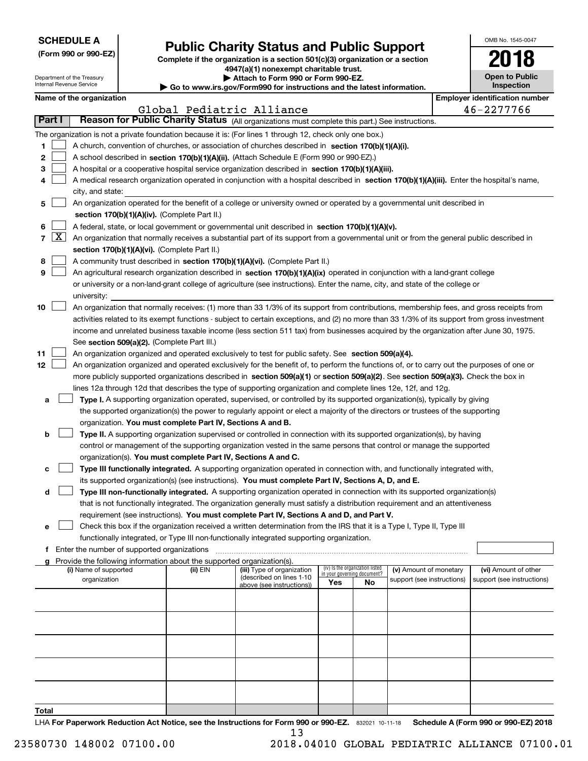| <b>SCHEDULE A</b> |
|-------------------|
|-------------------|

Department of the Treasury Internal Revenue Service

|  |  |  | (Form 990 or 990-EZ) |
|--|--|--|----------------------|
|--|--|--|----------------------|

# **Public Charity Status and Public Support**

**Complete if the organization is a section 501(c)(3) organization or a section 4947(a)(1) nonexempt charitable trust. | Attach to Form 990 or Form 990-EZ.** 

| ▶ Go to www.irs.gov/Form990 for instructions and the latest information. |  |  |  |
|--------------------------------------------------------------------------|--|--|--|
|                                                                          |  |  |  |
|                                                                          |  |  |  |

| OMB No. 1545-0047                   |
|-------------------------------------|
| 2018                                |
| <b>Open to Public</b><br>Inspection |

|  |  | Name of the organization |
|--|--|--------------------------|
|--|--|--------------------------|

| <b>Employer identification number</b><br>Name of the organization<br>Global Pediatric Alliance |            |                                                                                                                                                                                                                                                                 |          |                                                        |                             |                                 |                                                      |  |                                                    |
|------------------------------------------------------------------------------------------------|------------|-----------------------------------------------------------------------------------------------------------------------------------------------------------------------------------------------------------------------------------------------------------------|----------|--------------------------------------------------------|-----------------------------|---------------------------------|------------------------------------------------------|--|----------------------------------------------------|
|                                                                                                | Part I     | Reason for Public Charity Status (All organizations must complete this part.) See instructions.                                                                                                                                                                 |          |                                                        |                             |                                 |                                                      |  | 46-2277766                                         |
|                                                                                                |            |                                                                                                                                                                                                                                                                 |          |                                                        |                             |                                 |                                                      |  |                                                    |
|                                                                                                |            | The organization is not a private foundation because it is: (For lines 1 through 12, check only one box.)<br>A church, convention of churches, or association of churches described in section 170(b)(1)(A)(i).                                                 |          |                                                        |                             |                                 |                                                      |  |                                                    |
| 1                                                                                              |            |                                                                                                                                                                                                                                                                 |          |                                                        |                             |                                 |                                                      |  |                                                    |
| 2                                                                                              |            | A school described in section 170(b)(1)(A)(ii). (Attach Schedule E (Form 990 or 990-EZ).)                                                                                                                                                                       |          |                                                        |                             |                                 |                                                      |  |                                                    |
| 3                                                                                              |            | A hospital or a cooperative hospital service organization described in section 170(b)(1)(A)(iii).                                                                                                                                                               |          |                                                        |                             |                                 |                                                      |  |                                                    |
| 4                                                                                              |            | A medical research organization operated in conjunction with a hospital described in section 170(b)(1)(A)(iii). Enter the hospital's name,                                                                                                                      |          |                                                        |                             |                                 |                                                      |  |                                                    |
|                                                                                                |            | city, and state:<br>An organization operated for the benefit of a college or university owned or operated by a governmental unit described in                                                                                                                   |          |                                                        |                             |                                 |                                                      |  |                                                    |
| 5                                                                                              |            |                                                                                                                                                                                                                                                                 |          |                                                        |                             |                                 |                                                      |  |                                                    |
|                                                                                                |            | section 170(b)(1)(A)(iv). (Complete Part II.)                                                                                                                                                                                                                   |          |                                                        |                             |                                 |                                                      |  |                                                    |
| 6                                                                                              | $7 \times$ | A federal, state, or local government or governmental unit described in section 170(b)(1)(A)(v).                                                                                                                                                                |          |                                                        |                             |                                 |                                                      |  |                                                    |
|                                                                                                |            | An organization that normally receives a substantial part of its support from a governmental unit or from the general public described in                                                                                                                       |          |                                                        |                             |                                 |                                                      |  |                                                    |
|                                                                                                |            | section 170(b)(1)(A)(vi). (Complete Part II.)                                                                                                                                                                                                                   |          |                                                        |                             |                                 |                                                      |  |                                                    |
| 8<br>9                                                                                         |            | A community trust described in section 170(b)(1)(A)(vi). (Complete Part II.)                                                                                                                                                                                    |          |                                                        |                             |                                 |                                                      |  |                                                    |
|                                                                                                |            | An agricultural research organization described in section 170(b)(1)(A)(ix) operated in conjunction with a land-grant college<br>or university or a non-land-grant college of agriculture (see instructions). Enter the name, city, and state of the college or |          |                                                        |                             |                                 |                                                      |  |                                                    |
|                                                                                                |            | university:                                                                                                                                                                                                                                                     |          |                                                        |                             |                                 |                                                      |  |                                                    |
| 10                                                                                             |            | An organization that normally receives: (1) more than 33 1/3% of its support from contributions, membership fees, and gross receipts from                                                                                                                       |          |                                                        |                             |                                 |                                                      |  |                                                    |
|                                                                                                |            | activities related to its exempt functions - subject to certain exceptions, and (2) no more than 33 1/3% of its support from gross investment                                                                                                                   |          |                                                        |                             |                                 |                                                      |  |                                                    |
|                                                                                                |            | income and unrelated business taxable income (less section 511 tax) from businesses acquired by the organization after June 30, 1975.                                                                                                                           |          |                                                        |                             |                                 |                                                      |  |                                                    |
|                                                                                                |            | See section 509(a)(2). (Complete Part III.)                                                                                                                                                                                                                     |          |                                                        |                             |                                 |                                                      |  |                                                    |
| 11                                                                                             |            | An organization organized and operated exclusively to test for public safety. See section 509(a)(4).                                                                                                                                                            |          |                                                        |                             |                                 |                                                      |  |                                                    |
| 12                                                                                             |            | An organization organized and operated exclusively for the benefit of, to perform the functions of, or to carry out the purposes of one or                                                                                                                      |          |                                                        |                             |                                 |                                                      |  |                                                    |
|                                                                                                |            | more publicly supported organizations described in section 509(a)(1) or section 509(a)(2). See section 509(a)(3). Check the box in                                                                                                                              |          |                                                        |                             |                                 |                                                      |  |                                                    |
|                                                                                                |            | lines 12a through 12d that describes the type of supporting organization and complete lines 12e, 12f, and 12g.                                                                                                                                                  |          |                                                        |                             |                                 |                                                      |  |                                                    |
| а                                                                                              |            | Type I. A supporting organization operated, supervised, or controlled by its supported organization(s), typically by giving                                                                                                                                     |          |                                                        |                             |                                 |                                                      |  |                                                    |
|                                                                                                |            | the supported organization(s) the power to regularly appoint or elect a majority of the directors or trustees of the supporting                                                                                                                                 |          |                                                        |                             |                                 |                                                      |  |                                                    |
|                                                                                                |            | organization. You must complete Part IV, Sections A and B.                                                                                                                                                                                                      |          |                                                        |                             |                                 |                                                      |  |                                                    |
| b                                                                                              |            | Type II. A supporting organization supervised or controlled in connection with its supported organization(s), by having                                                                                                                                         |          |                                                        |                             |                                 |                                                      |  |                                                    |
|                                                                                                |            | control or management of the supporting organization vested in the same persons that control or manage the supported                                                                                                                                            |          |                                                        |                             |                                 |                                                      |  |                                                    |
|                                                                                                |            | organization(s). You must complete Part IV, Sections A and C.                                                                                                                                                                                                   |          |                                                        |                             |                                 |                                                      |  |                                                    |
| с                                                                                              |            | Type III functionally integrated. A supporting organization operated in connection with, and functionally integrated with,                                                                                                                                      |          |                                                        |                             |                                 |                                                      |  |                                                    |
|                                                                                                |            | its supported organization(s) (see instructions). You must complete Part IV, Sections A, D, and E.                                                                                                                                                              |          |                                                        |                             |                                 |                                                      |  |                                                    |
| d                                                                                              |            | Type III non-functionally integrated. A supporting organization operated in connection with its supported organization(s)                                                                                                                                       |          |                                                        |                             |                                 |                                                      |  |                                                    |
|                                                                                                |            | that is not functionally integrated. The organization generally must satisfy a distribution requirement and an attentiveness                                                                                                                                    |          |                                                        |                             |                                 |                                                      |  |                                                    |
|                                                                                                |            | requirement (see instructions). You must complete Part IV, Sections A and D, and Part V.                                                                                                                                                                        |          |                                                        |                             |                                 |                                                      |  |                                                    |
| е                                                                                              |            | Check this box if the organization received a written determination from the IRS that it is a Type I, Type II, Type III                                                                                                                                         |          |                                                        |                             |                                 |                                                      |  |                                                    |
|                                                                                                |            | functionally integrated, or Type III non-functionally integrated supporting organization.                                                                                                                                                                       |          |                                                        |                             |                                 |                                                      |  |                                                    |
| f                                                                                              |            | Enter the number of supported organizations                                                                                                                                                                                                                     |          |                                                        |                             |                                 |                                                      |  |                                                    |
|                                                                                                |            | Provide the following information about the supported organization(s).                                                                                                                                                                                          |          |                                                        |                             | (iv) Is the organization listed |                                                      |  |                                                    |
|                                                                                                |            | (i) Name of supported<br>organization                                                                                                                                                                                                                           | (ii) EIN | (iii) Type of organization<br>(described on lines 1-10 | in your governing document? |                                 | (v) Amount of monetary<br>support (see instructions) |  | (vi) Amount of other<br>support (see instructions) |
|                                                                                                |            |                                                                                                                                                                                                                                                                 |          | above (see instructions))                              | <b>Yes</b>                  | No                              |                                                      |  |                                                    |
|                                                                                                |            |                                                                                                                                                                                                                                                                 |          |                                                        |                             |                                 |                                                      |  |                                                    |
|                                                                                                |            |                                                                                                                                                                                                                                                                 |          |                                                        |                             |                                 |                                                      |  |                                                    |
|                                                                                                |            |                                                                                                                                                                                                                                                                 |          |                                                        |                             |                                 |                                                      |  |                                                    |
|                                                                                                |            |                                                                                                                                                                                                                                                                 |          |                                                        |                             |                                 |                                                      |  |                                                    |
|                                                                                                |            |                                                                                                                                                                                                                                                                 |          |                                                        |                             |                                 |                                                      |  |                                                    |
|                                                                                                |            |                                                                                                                                                                                                                                                                 |          |                                                        |                             |                                 |                                                      |  |                                                    |
|                                                                                                |            |                                                                                                                                                                                                                                                                 |          |                                                        |                             |                                 |                                                      |  |                                                    |
|                                                                                                |            |                                                                                                                                                                                                                                                                 |          |                                                        |                             |                                 |                                                      |  |                                                    |
|                                                                                                |            |                                                                                                                                                                                                                                                                 |          |                                                        |                             |                                 |                                                      |  |                                                    |
|                                                                                                |            |                                                                                                                                                                                                                                                                 |          |                                                        |                             |                                 |                                                      |  |                                                    |

**Total**

LHA For Paperwork Reduction Act Notice, see the Instructions for Form 990 or 990-EZ. 832021 10-11-18 Schedule A (Form 990 or 990-EZ) 2018 13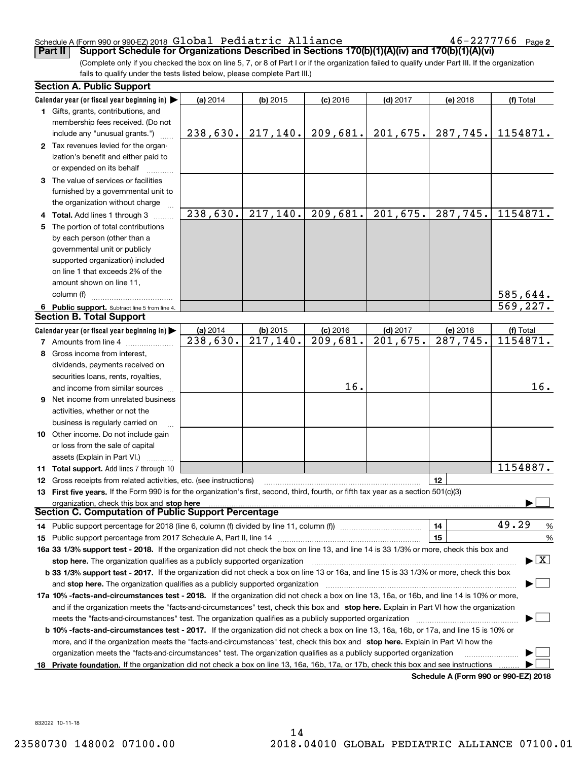#### Schedule A (Form 990 or 990-EZ) 2018  ${\bf Gla}$   ${\bf Dola1}$   ${\bf Pediatric}$   ${\bf Alliance}$   ${\bf 46-2277766}$   ${\bf Page}$

46-2277766 Page 2

(Complete only if you checked the box on line 5, 7, or 8 of Part I or if the organization failed to qualify under Part III. If the organization fails to qualify under the tests listed below, please complete Part III.) **Part II Support Schedule for Organizations Described in Sections 170(b)(1)(A)(iv) and 170(b)(1)(A)(vi)**

| <b>Section A. Public Support</b>                                                                                                               |                                    |                                      |                        |                        |                                      |                                         |
|------------------------------------------------------------------------------------------------------------------------------------------------|------------------------------------|--------------------------------------|------------------------|------------------------|--------------------------------------|-----------------------------------------|
| Calendar year (or fiscal year beginning in) $\blacktriangleright$                                                                              | (a) 2014                           | $(b)$ 2015                           | $(c)$ 2016             | $(d)$ 2017             | (e) 2018                             | (f) Total                               |
| <b>1</b> Gifts, grants, contributions, and                                                                                                     |                                    |                                      |                        |                        |                                      |                                         |
| membership fees received. (Do not                                                                                                              |                                    |                                      |                        |                        |                                      |                                         |
| include any "unusual grants.")                                                                                                                 | 238,630.                           | 217,140.                             | 209,681.               | 201,675.               | 287,745.                             | 1154871.                                |
| 2 Tax revenues levied for the organ-                                                                                                           |                                    |                                      |                        |                        |                                      |                                         |
| ization's benefit and either paid to                                                                                                           |                                    |                                      |                        |                        |                                      |                                         |
| or expended on its behalf                                                                                                                      |                                    |                                      |                        |                        |                                      |                                         |
| 3 The value of services or facilities                                                                                                          |                                    |                                      |                        |                        |                                      |                                         |
| furnished by a governmental unit to                                                                                                            |                                    |                                      |                        |                        |                                      |                                         |
| the organization without charge                                                                                                                |                                    |                                      |                        |                        |                                      |                                         |
| 4 Total. Add lines 1 through 3                                                                                                                 | 238,630.                           | $\overline{217,140}$ .               | 209,681.               | 201,675.               | 287,745.                             | 1154871.                                |
| 5 The portion of total contributions                                                                                                           |                                    |                                      |                        |                        |                                      |                                         |
| by each person (other than a                                                                                                                   |                                    |                                      |                        |                        |                                      |                                         |
| governmental unit or publicly                                                                                                                  |                                    |                                      |                        |                        |                                      |                                         |
| supported organization) included                                                                                                               |                                    |                                      |                        |                        |                                      |                                         |
| on line 1 that exceeds 2% of the                                                                                                               |                                    |                                      |                        |                        |                                      |                                         |
| amount shown on line 11,                                                                                                                       |                                    |                                      |                        |                        |                                      |                                         |
| column (f)                                                                                                                                     |                                    |                                      |                        |                        |                                      | 585,644.                                |
| 6 Public support. Subtract line 5 from line 4.                                                                                                 |                                    |                                      |                        |                        |                                      | $\overline{569,227}$ .                  |
| <b>Section B. Total Support</b>                                                                                                                |                                    |                                      |                        |                        |                                      |                                         |
| Calendar year (or fiscal year beginning in)                                                                                                    |                                    |                                      |                        |                        |                                      |                                         |
| <b>7</b> Amounts from line 4                                                                                                                   | (a) 2014<br>$\overline{238,630}$ . | $(b)$ 2015<br>$\overline{217,140}$ . | $(c)$ 2016<br>209,681. | $(d)$ 2017<br>201,675. | (e) 2018<br>$\overline{287,745}$ .   | (f) Total<br>1154871.                   |
| 8 Gross income from interest,                                                                                                                  |                                    |                                      |                        |                        |                                      |                                         |
|                                                                                                                                                |                                    |                                      |                        |                        |                                      |                                         |
| dividends, payments received on                                                                                                                |                                    |                                      |                        |                        |                                      |                                         |
| securities loans, rents, royalties,                                                                                                            |                                    |                                      | 16.                    |                        |                                      | 16.                                     |
| and income from similar sources                                                                                                                |                                    |                                      |                        |                        |                                      |                                         |
| 9 Net income from unrelated business                                                                                                           |                                    |                                      |                        |                        |                                      |                                         |
| activities, whether or not the                                                                                                                 |                                    |                                      |                        |                        |                                      |                                         |
| business is regularly carried on                                                                                                               |                                    |                                      |                        |                        |                                      |                                         |
| <b>10</b> Other income. Do not include gain                                                                                                    |                                    |                                      |                        |                        |                                      |                                         |
| or loss from the sale of capital                                                                                                               |                                    |                                      |                        |                        |                                      |                                         |
| assets (Explain in Part VI.) <b>Constant</b>                                                                                                   |                                    |                                      |                        |                        |                                      |                                         |
| <b>11 Total support.</b> Add lines 7 through 10                                                                                                |                                    |                                      |                        |                        |                                      | 1154887.                                |
| <b>12</b> Gross receipts from related activities, etc. (see instructions)                                                                      |                                    |                                      |                        |                        | 12                                   |                                         |
| 13 First five years. If the Form 990 is for the organization's first, second, third, fourth, or fifth tax year as a section 501(c)(3)          |                                    |                                      |                        |                        |                                      |                                         |
| organization, check this box and stop here                                                                                                     |                                    |                                      |                        |                        |                                      |                                         |
| Section C. Computation of Public Support Percentage                                                                                            |                                    |                                      |                        |                        |                                      |                                         |
| 14 Public support percentage for 2018 (line 6, column (f) divided by line 11, column (f) <i>manumeronoming</i>                                 |                                    |                                      |                        |                        | 14                                   | 49.29<br>$\frac{9}{6}$                  |
|                                                                                                                                                |                                    |                                      |                        |                        | 15                                   | %                                       |
| 16a 33 1/3% support test - 2018. If the organization did not check the box on line 13, and line 14 is 33 1/3% or more, check this box and      |                                    |                                      |                        |                        |                                      |                                         |
| stop here. The organization qualifies as a publicly supported organization                                                                     |                                    |                                      |                        |                        |                                      | $\blacktriangleright$ $\vert$ X $\vert$ |
| b 33 1/3% support test - 2017. If the organization did not check a box on line 13 or 16a, and line 15 is 33 1/3% or more, check this box       |                                    |                                      |                        |                        |                                      |                                         |
| and stop here. The organization qualifies as a publicly supported organization                                                                 |                                    |                                      |                        |                        |                                      |                                         |
| 17a 10% -facts-and-circumstances test - 2018. If the organization did not check a box on line 13, 16a, or 16b, and line 14 is 10% or more,     |                                    |                                      |                        |                        |                                      |                                         |
| and if the organization meets the "facts-and-circumstances" test, check this box and stop here. Explain in Part VI how the organization        |                                    |                                      |                        |                        |                                      |                                         |
| meets the "facts-and-circumstances" test. The organization qualifies as a publicly supported organization <i>marroummumumumum</i>              |                                    |                                      |                        |                        |                                      |                                         |
| <b>b 10% -facts-and-circumstances test - 2017.</b> If the organization did not check a box on line 13, 16a, 16b, or 17a, and line 15 is 10% or |                                    |                                      |                        |                        |                                      |                                         |
| more, and if the organization meets the "facts-and-circumstances" test, check this box and stop here. Explain in Part VI how the               |                                    |                                      |                        |                        |                                      |                                         |
| organization meets the "facts-and-circumstances" test. The organization qualifies as a publicly supported organization                         |                                    |                                      |                        |                        |                                      |                                         |
| 18 Private foundation. If the organization did not check a box on line 13, 16a, 16b, 17a, or 17b, check this box and see instructions          |                                    |                                      |                        |                        |                                      |                                         |
|                                                                                                                                                |                                    |                                      |                        |                        | Schedule A (Form 990 or 990-F7) 2018 |                                         |

**Schedule A (Form 990 or 990-EZ) 2018**

832022 10-11-18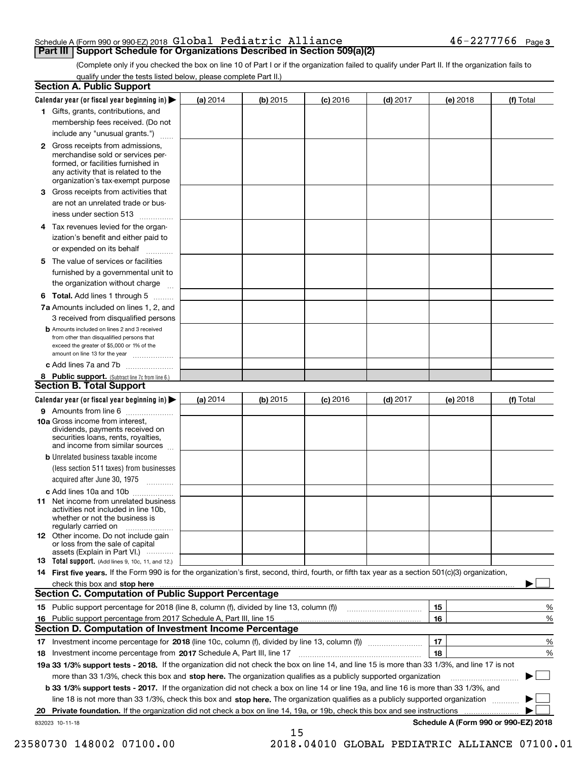# Schedule A (Form 990 or 990-EZ) 2018  ${\bf Gla}$   ${\bf Dola1}$   ${\bf Pediatric}$   ${\bf Alliance}$   ${\bf 46-2277766}$   ${\bf Page}$

(Complete only if you checked the box on line 10 of Part I or if the organization failed to qualify under Part II. If the organization fails to qualify under the tests listed below, please complete Part II.)

|    | <b>Section A. Public Support</b>                                                                                                                                                                                                  |          |            |                 |            |          |                                      |
|----|-----------------------------------------------------------------------------------------------------------------------------------------------------------------------------------------------------------------------------------|----------|------------|-----------------|------------|----------|--------------------------------------|
|    | Calendar year (or fiscal year beginning in) $\blacktriangleright$                                                                                                                                                                 | (a) 2014 | $(b)$ 2015 | <b>(c)</b> 2016 | $(d)$ 2017 | (e) 2018 | (f) Total                            |
|    | 1 Gifts, grants, contributions, and                                                                                                                                                                                               |          |            |                 |            |          |                                      |
|    | membership fees received. (Do not                                                                                                                                                                                                 |          |            |                 |            |          |                                      |
|    | include any "unusual grants.")                                                                                                                                                                                                    |          |            |                 |            |          |                                      |
|    | <b>2</b> Gross receipts from admissions,<br>merchandise sold or services per-<br>formed, or facilities furnished in<br>any activity that is related to the<br>organization's tax-exempt purpose                                   |          |            |                 |            |          |                                      |
|    | 3 Gross receipts from activities that<br>are not an unrelated trade or bus-                                                                                                                                                       |          |            |                 |            |          |                                      |
|    | iness under section 513                                                                                                                                                                                                           |          |            |                 |            |          |                                      |
|    | 4 Tax revenues levied for the organ-                                                                                                                                                                                              |          |            |                 |            |          |                                      |
|    | ization's benefit and either paid to<br>or expended on its behalf<br>.                                                                                                                                                            |          |            |                 |            |          |                                      |
|    | 5 The value of services or facilities<br>furnished by a governmental unit to                                                                                                                                                      |          |            |                 |            |          |                                      |
|    | the organization without charge                                                                                                                                                                                                   |          |            |                 |            |          |                                      |
|    | <b>6 Total.</b> Add lines 1 through 5                                                                                                                                                                                             |          |            |                 |            |          |                                      |
|    | 7a Amounts included on lines 1, 2, and<br>3 received from disqualified persons                                                                                                                                                    |          |            |                 |            |          |                                      |
|    | <b>b</b> Amounts included on lines 2 and 3 received<br>from other than disqualified persons that<br>exceed the greater of \$5,000 or 1% of the<br>amount on line 13 for the year                                                  |          |            |                 |            |          |                                      |
|    | c Add lines 7a and 7b                                                                                                                                                                                                             |          |            |                 |            |          |                                      |
|    | 8 Public support. (Subtract line 7c from line 6.)<br><b>Section B. Total Support</b>                                                                                                                                              |          |            |                 |            |          |                                      |
|    | Calendar year (or fiscal year beginning in)                                                                                                                                                                                       | (a) 2014 | $(b)$ 2015 | <b>(c)</b> 2016 | $(d)$ 2017 | (e) 2018 | (f) Total                            |
|    | 9 Amounts from line 6                                                                                                                                                                                                             |          |            |                 |            |          |                                      |
|    | <b>10a</b> Gross income from interest,<br>dividends, payments received on<br>securities loans, rents, royalties,<br>and income from similar sources                                                                               |          |            |                 |            |          |                                      |
|    | <b>b</b> Unrelated business taxable income<br>(less section 511 taxes) from businesses                                                                                                                                            |          |            |                 |            |          |                                      |
|    | acquired after June 30, 1975                                                                                                                                                                                                      |          |            |                 |            |          |                                      |
|    | c Add lines 10a and 10b<br>11 Net income from unrelated business<br>activities not included in line 10b,<br>whether or not the business is<br>regularly carried on                                                                |          |            |                 |            |          |                                      |
|    | 12 Other income. Do not include gain<br>or loss from the sale of capital<br>assets (Explain in Part VI.)                                                                                                                          |          |            |                 |            |          |                                      |
|    | 13 Total support. (Add lines 9, 10c, 11, and 12.)                                                                                                                                                                                 |          |            |                 |            |          |                                      |
|    | 14 First five years. If the Form 990 is for the organization's first, second, third, fourth, or fifth tax year as a section 501(c)(3) organization,                                                                               |          |            |                 |            |          |                                      |
|    | check this box and stop here <b>contained and intervention contained</b> and intervention and stop here <b>contained and stop here contained and stop here contained and stop here contained and stop here contained and stop</b> |          |            |                 |            |          |                                      |
|    | <b>Section C. Computation of Public Support Percentage</b>                                                                                                                                                                        |          |            |                 |            |          |                                      |
|    |                                                                                                                                                                                                                                   |          |            |                 |            | 15       | %                                    |
|    | 16 Public support percentage from 2017 Schedule A, Part III, line 15                                                                                                                                                              |          |            |                 |            | 16       | %                                    |
|    | <b>Section D. Computation of Investment Income Percentage</b>                                                                                                                                                                     |          |            |                 |            |          |                                      |
| 17 | Investment income percentage for 2018 (line 10c, column (f), divided by line 13, column (f))                                                                                                                                      |          |            |                 |            | 17       | $\%$                                 |
| 18 | Investment income percentage from 2017 Schedule A, Part III, line 17                                                                                                                                                              |          |            |                 |            | 18       | %                                    |
|    | 19a 33 1/3% support tests - 2018. If the organization did not check the box on line 14, and line 15 is more than 33 1/3%, and line 17 is not                                                                                      |          |            |                 |            |          |                                      |
|    | more than 33 1/3%, check this box and stop here. The organization qualifies as a publicly supported organization                                                                                                                  |          |            |                 |            |          | ▶                                    |
|    | b 33 1/3% support tests - 2017. If the organization did not check a box on line 14 or line 19a, and line 16 is more than 33 1/3%, and                                                                                             |          |            |                 |            |          |                                      |
|    | line 18 is not more than 33 1/3%, check this box and stop here. The organization qualifies as a publicly supported organization                                                                                                   |          |            |                 |            |          |                                      |
| 20 | Private foundation. If the organization did not check a box on line 14, 19a, or 19b, check this box and see instructions                                                                                                          |          |            |                 |            |          |                                      |
|    | 832023 10-11-18                                                                                                                                                                                                                   |          | 15         |                 |            |          | Schedule A (Form 990 or 990-EZ) 2018 |

23580730 148002 07100.00 2018.04010 GLOBAL PEDIATRIC ALLIANCE 07100.01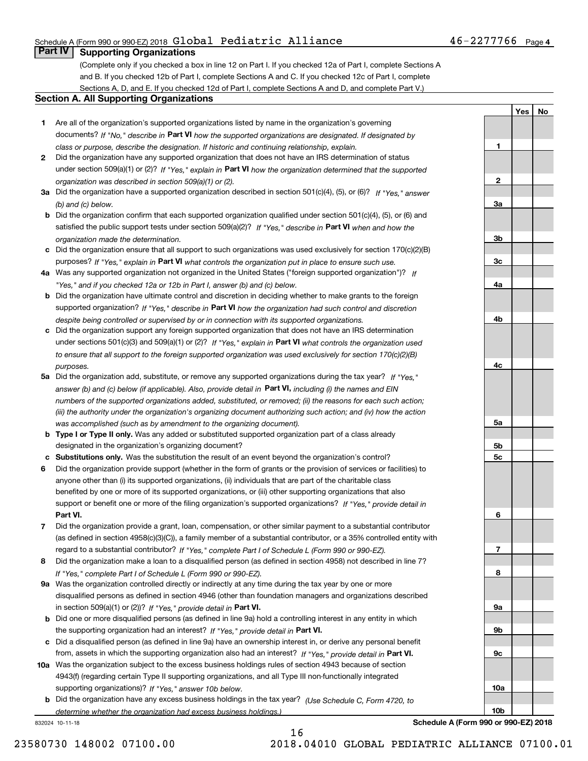## Schedule A (Form 990 or 990-EZ) 2018  ${\bf Gla}$   ${\bf Dola1}$   ${\bf Pediatric}$   ${\bf Alliance}$   ${\bf 46-2277766}$   ${\bf Page}$

# **Part IV Supporting Organizations**

(Complete only if you checked a box in line 12 on Part I. If you checked 12a of Part I, complete Sections A and B. If you checked 12b of Part I, complete Sections A and C. If you checked 12c of Part I, complete Sections A, D, and E. If you checked 12d of Part I, complete Sections A and D, and complete Part V.)

#### **Section A. All Supporting Organizations**

- **1** Are all of the organization's supported organizations listed by name in the organization's governing documents? If "No," describe in **Part VI** how the supported organizations are designated. If designated by *class or purpose, describe the designation. If historic and continuing relationship, explain.*
- **2** Did the organization have any supported organization that does not have an IRS determination of status under section 509(a)(1) or (2)? If "Yes," explain in Part VI how the organization determined that the supported *organization was described in section 509(a)(1) or (2).*
- **3a** Did the organization have a supported organization described in section 501(c)(4), (5), or (6)? If "Yes," answer *(b) and (c) below.*
- **b** Did the organization confirm that each supported organization qualified under section 501(c)(4), (5), or (6) and satisfied the public support tests under section 509(a)(2)? If "Yes," describe in **Part VI** when and how the *organization made the determination.*
- **c**Did the organization ensure that all support to such organizations was used exclusively for section 170(c)(2)(B) purposes? If "Yes," explain in **Part VI** what controls the organization put in place to ensure such use.
- **4a***If* Was any supported organization not organized in the United States ("foreign supported organization")? *"Yes," and if you checked 12a or 12b in Part I, answer (b) and (c) below.*
- **b** Did the organization have ultimate control and discretion in deciding whether to make grants to the foreign supported organization? If "Yes," describe in **Part VI** how the organization had such control and discretion *despite being controlled or supervised by or in connection with its supported organizations.*
- **c** Did the organization support any foreign supported organization that does not have an IRS determination under sections 501(c)(3) and 509(a)(1) or (2)? If "Yes," explain in **Part VI** what controls the organization used *to ensure that all support to the foreign supported organization was used exclusively for section 170(c)(2)(B) purposes.*
- **5a** Did the organization add, substitute, or remove any supported organizations during the tax year? If "Yes," answer (b) and (c) below (if applicable). Also, provide detail in **Part VI,** including (i) the names and EIN *numbers of the supported organizations added, substituted, or removed; (ii) the reasons for each such action; (iii) the authority under the organization's organizing document authorizing such action; and (iv) how the action was accomplished (such as by amendment to the organizing document).*
- **b** Type I or Type II only. Was any added or substituted supported organization part of a class already designated in the organization's organizing document?
- **cSubstitutions only.**  Was the substitution the result of an event beyond the organization's control?
- **6** Did the organization provide support (whether in the form of grants or the provision of services or facilities) to **Part VI.** *If "Yes," provide detail in* support or benefit one or more of the filing organization's supported organizations? anyone other than (i) its supported organizations, (ii) individuals that are part of the charitable class benefited by one or more of its supported organizations, or (iii) other supporting organizations that also
- **7**Did the organization provide a grant, loan, compensation, or other similar payment to a substantial contributor *If "Yes," complete Part I of Schedule L (Form 990 or 990-EZ).* regard to a substantial contributor? (as defined in section 4958(c)(3)(C)), a family member of a substantial contributor, or a 35% controlled entity with
- **8** Did the organization make a loan to a disqualified person (as defined in section 4958) not described in line 7? *If "Yes," complete Part I of Schedule L (Form 990 or 990-EZ).*
- **9a** Was the organization controlled directly or indirectly at any time during the tax year by one or more in section 509(a)(1) or (2))? If "Yes," *provide detail in* <code>Part VI.</code> disqualified persons as defined in section 4946 (other than foundation managers and organizations described
- **b** Did one or more disqualified persons (as defined in line 9a) hold a controlling interest in any entity in which the supporting organization had an interest? If "Yes," provide detail in P**art VI**.
- **c**Did a disqualified person (as defined in line 9a) have an ownership interest in, or derive any personal benefit from, assets in which the supporting organization also had an interest? If "Yes," provide detail in P**art VI.**
- **10a** Was the organization subject to the excess business holdings rules of section 4943 because of section supporting organizations)? If "Yes," answer 10b below. 4943(f) (regarding certain Type II supporting organizations, and all Type III non-functionally integrated
- **b** Did the organization have any excess business holdings in the tax year? (Use Schedule C, Form 4720, to *determine whether the organization had excess business holdings.)*

16

832024 10-11-18

**Schedule A (Form 990 or 990-EZ) 2018**

**1**

**2**

**3a**

**3b**

**3c**

**4a**

**4b**

**4c**

**5a**

**5b5c**

**6**

**7**

**8**

**9a**

**9b**

**9c**

**10a**

**10b**

**YesNo**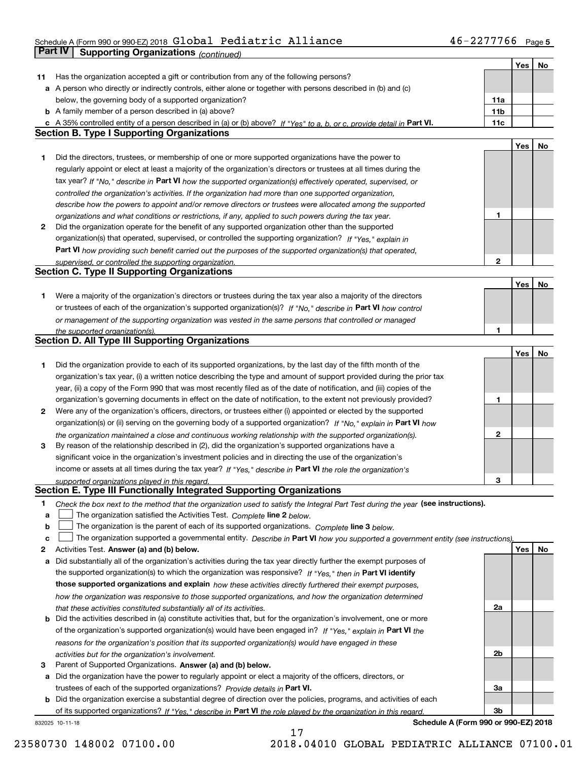# Schedule A (Form 990 or 990-EZ) 2018  ${\bf Gla}$   ${\bf Dola1}$   ${\bf Pediatric}$   ${\bf Alliance}$   ${\bf 46-2277766}$   ${\bf Page}$ **Part IV** Supporting Organizations *(continued)*

|    |                                                                                                                                   |                 | Yes | No |
|----|-----------------------------------------------------------------------------------------------------------------------------------|-----------------|-----|----|
| 11 | Has the organization accepted a gift or contribution from any of the following persons?                                           |                 |     |    |
|    | a A person who directly or indirectly controls, either alone or together with persons described in (b) and (c)                    |                 |     |    |
|    | below, the governing body of a supported organization?                                                                            | 11a             |     |    |
|    | <b>b</b> A family member of a person described in (a) above?                                                                      | 11 <sub>b</sub> |     |    |
|    | c A 35% controlled entity of a person described in (a) or (b) above? If "Yes" to a, b, or c, provide detail in Part VI.           | 11c             |     |    |
|    | <b>Section B. Type I Supporting Organizations</b>                                                                                 |                 |     |    |
|    |                                                                                                                                   |                 | Yes | No |
| 1. | Did the directors, trustees, or membership of one or more supported organizations have the power to                               |                 |     |    |
|    | regularly appoint or elect at least a majority of the organization's directors or trustees at all times during the                |                 |     |    |
|    | tax year? If "No," describe in Part VI how the supported organization(s) effectively operated, supervised, or                     |                 |     |    |
|    | controlled the organization's activities. If the organization had more than one supported organization,                           |                 |     |    |
|    | describe how the powers to appoint and/or remove directors or trustees were allocated among the supported                         |                 |     |    |
|    | organizations and what conditions or restrictions, if any, applied to such powers during the tax year.                            | 1               |     |    |
| 2  | Did the organization operate for the benefit of any supported organization other than the supported                               |                 |     |    |
|    | organization(s) that operated, supervised, or controlled the supporting organization? If "Yes," explain in                        |                 |     |    |
|    |                                                                                                                                   |                 |     |    |
|    | Part VI how providing such benefit carried out the purposes of the supported organization(s) that operated,                       | $\overline{2}$  |     |    |
|    | supervised, or controlled the supporting organization.<br><b>Section C. Type II Supporting Organizations</b>                      |                 |     |    |
|    |                                                                                                                                   |                 |     |    |
|    |                                                                                                                                   |                 | Yes | No |
| 1  | Were a majority of the organization's directors or trustees during the tax year also a majority of the directors                  |                 |     |    |
|    | or trustees of each of the organization's supported organization(s)? If "No," describe in Part VI how control                     |                 |     |    |
|    | or management of the supporting organization was vested in the same persons that controlled or managed                            |                 |     |    |
|    | the supported organization(s).                                                                                                    | 1               |     |    |
|    | <b>Section D. All Type III Supporting Organizations</b>                                                                           |                 |     |    |
|    |                                                                                                                                   |                 | Yes | No |
| 1  | Did the organization provide to each of its supported organizations, by the last day of the fifth month of the                    |                 |     |    |
|    | organization's tax year, (i) a written notice describing the type and amount of support provided during the prior tax             |                 |     |    |
|    | year, (ii) a copy of the Form 990 that was most recently filed as of the date of notification, and (iii) copies of the            |                 |     |    |
|    | organization's governing documents in effect on the date of notification, to the extent not previously provided?                  | 1               |     |    |
| 2  | Were any of the organization's officers, directors, or trustees either (i) appointed or elected by the supported                  |                 |     |    |
|    | organization(s) or (ii) serving on the governing body of a supported organization? If "No," explain in Part VI how                |                 |     |    |
|    | the organization maintained a close and continuous working relationship with the supported organization(s).                       | 2               |     |    |
| 3  | By reason of the relationship described in (2), did the organization's supported organizations have a                             |                 |     |    |
|    | significant voice in the organization's investment policies and in directing the use of the organization's                        |                 |     |    |
|    | income or assets at all times during the tax year? If "Yes," describe in Part VI the role the organization's                      |                 |     |    |
|    | supported organizations played in this regard.                                                                                    | 3               |     |    |
|    | Section E. Type III Functionally Integrated Supporting Organizations                                                              |                 |     |    |
| 1  | Check the box next to the method that the organization used to satisfy the Integral Part Test during the year (see instructions). |                 |     |    |
| а  | The organization satisfied the Activities Test. Complete line 2 below.                                                            |                 |     |    |
| b  | The organization is the parent of each of its supported organizations. Complete line 3 below.                                     |                 |     |    |
| c  | The organization supported a governmental entity. Describe in Part VI how you supported a government entity (see instructions),   |                 |     |    |
| 2  | Activities Test. Answer (a) and (b) below.                                                                                        |                 | Yes | No |
| а  | Did substantially all of the organization's activities during the tax year directly further the exempt purposes of                |                 |     |    |
|    | the supported organization(s) to which the organization was responsive? If "Yes," then in Part VI identify                        |                 |     |    |
|    | those supported organizations and explain how these activities directly furthered their exempt purposes,                          |                 |     |    |
|    | how the organization was responsive to those supported organizations, and how the organization determined                         |                 |     |    |
|    | that these activities constituted substantially all of its activities.                                                            | 2a              |     |    |
| b  | Did the activities described in (a) constitute activities that, but for the organization's involvement, one or more               |                 |     |    |
|    | of the organization's supported organization(s) would have been engaged in? If "Yes," explain in Part VI the                      |                 |     |    |
|    | reasons for the organization's position that its supported organization(s) would have engaged in these                            |                 |     |    |
|    |                                                                                                                                   | 2 <sub>b</sub>  |     |    |
| З  | activities but for the organization's involvement.<br>Parent of Supported Organizations. Answer (a) and (b) below.                |                 |     |    |
|    |                                                                                                                                   |                 |     |    |
| а  | Did the organization have the power to regularly appoint or elect a majority of the officers, directors, or                       |                 |     |    |
|    | trustees of each of the supported organizations? Provide details in Part VI.                                                      | За              |     |    |
| b  | Did the organization exercise a substantial degree of direction over the policies, programs, and activities of each               |                 |     |    |
|    | of its supported organizations? If "Yes," describe in Part VI the role played by the organization in this regard.                 | 3b              |     |    |

17

832025 10-11-18

**Schedule A (Form 990 or 990-EZ) 2018**

23580730 148002 07100.00 2018.04010 GLOBAL PEDIATRIC ALLIANCE 07100.01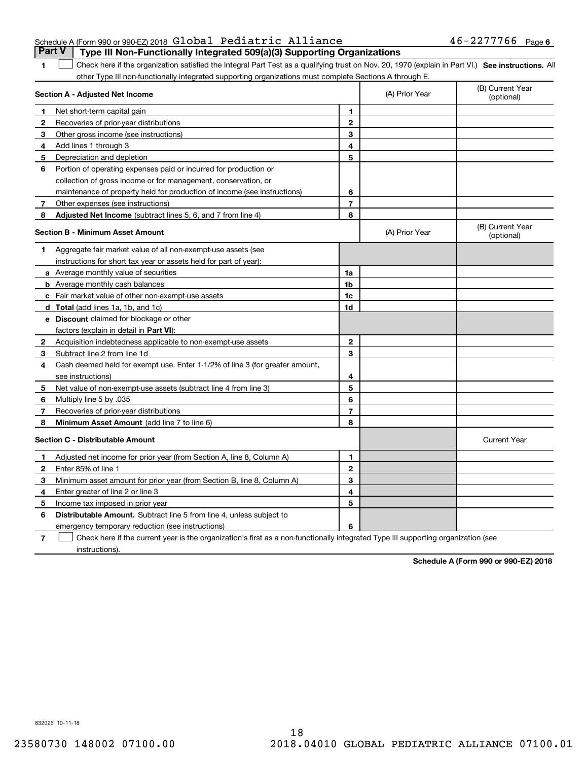|  | Schedule A (Form 990 or 990-EZ) 2018 Global Pediatric Alliance |  |                                                                                       | $46 - 2277766$ Page 6 |  |
|--|----------------------------------------------------------------|--|---------------------------------------------------------------------------------------|-----------------------|--|
|  |                                                                |  | <b>Part V</b> Type III Non-Functionally Integrated 509(a)(3) Supporting Organizations |                       |  |

1 Check here if the organization satisfied the Integral Part Test as a qualifying trust on Nov. 20, 1970 (explain in Part VI.) See instructions. All other Type III non-functionally integrated supporting organizations must complete Sections A through E.

|              | Section A - Adjusted Net Income                                              |                | (A) Prior Year | (B) Current Year<br>(optional) |
|--------------|------------------------------------------------------------------------------|----------------|----------------|--------------------------------|
| 1.           | Net short-term capital gain                                                  | 1              |                |                                |
| $\mathbf{2}$ | Recoveries of prior-year distributions                                       | $\overline{2}$ |                |                                |
| 3            | Other gross income (see instructions)                                        | 3              |                |                                |
| 4            | Add lines 1 through 3                                                        | 4              |                |                                |
| 5            | Depreciation and depletion                                                   | 5              |                |                                |
| 6            | Portion of operating expenses paid or incurred for production or             |                |                |                                |
|              | collection of gross income or for management, conservation, or               |                |                |                                |
|              | maintenance of property held for production of income (see instructions)     | 6              |                |                                |
| 7            | Other expenses (see instructions)                                            | $\overline{7}$ |                |                                |
| 8            | <b>Adjusted Net Income</b> (subtract lines 5, 6, and 7 from line 4)          | 8              |                |                                |
|              | <b>Section B - Minimum Asset Amount</b>                                      |                | (A) Prior Year | (B) Current Year<br>(optional) |
| 1.           | Aggregate fair market value of all non-exempt-use assets (see                |                |                |                                |
|              | instructions for short tax year or assets held for part of year):            |                |                |                                |
|              | a Average monthly value of securities                                        | 1a             |                |                                |
|              | <b>b</b> Average monthly cash balances                                       | 1 <sub>b</sub> |                |                                |
|              | c Fair market value of other non-exempt-use assets                           | 1c             |                |                                |
|              | d Total (add lines 1a, 1b, and 1c)                                           | 1d             |                |                                |
|              | <b>e</b> Discount claimed for blockage or other                              |                |                |                                |
|              | factors (explain in detail in Part VI):                                      |                |                |                                |
| 2            | Acquisition indebtedness applicable to non-exempt-use assets                 | $\mathbf{2}$   |                |                                |
| 3            | Subtract line 2 from line 1d                                                 | 3              |                |                                |
| 4            | Cash deemed held for exempt use. Enter 1-1/2% of line 3 (for greater amount, |                |                |                                |
|              | see instructions)                                                            | 4              |                |                                |
| 5.           | Net value of non-exempt-use assets (subtract line 4 from line 3)             | 5              |                |                                |
| 6            | Multiply line 5 by .035                                                      | 6              |                |                                |
| 7            | Recoveries of prior-year distributions                                       | $\overline{7}$ |                |                                |
| 8            | Minimum Asset Amount (add line 7 to line 6)                                  | 8              |                |                                |
|              | <b>Section C - Distributable Amount</b>                                      |                |                | <b>Current Year</b>            |
| 1            | Adjusted net income for prior year (from Section A, line 8, Column A)        | 1              |                |                                |
| $\mathbf{2}$ | Enter 85% of line 1                                                          | $\overline{2}$ |                |                                |
| 3            | Minimum asset amount for prior year (from Section B, line 8, Column A)       | 3              |                |                                |
| 4            | Enter greater of line 2 or line 3                                            | 4              |                |                                |
| 5.           | Income tax imposed in prior year                                             | 5              |                |                                |
| 6            | <b>Distributable Amount.</b> Subtract line 5 from line 4, unless subject to  |                |                |                                |
|              | emergency temporary reduction (see instructions)                             | 6              |                |                                |
|              |                                                                              |                |                |                                |

**7**Check here if the current year is the organization's first as a non-functionally integrated Type III supporting organization (see instructions).

**Schedule A (Form 990 or 990-EZ) 2018**

832026 10-11-18

**1**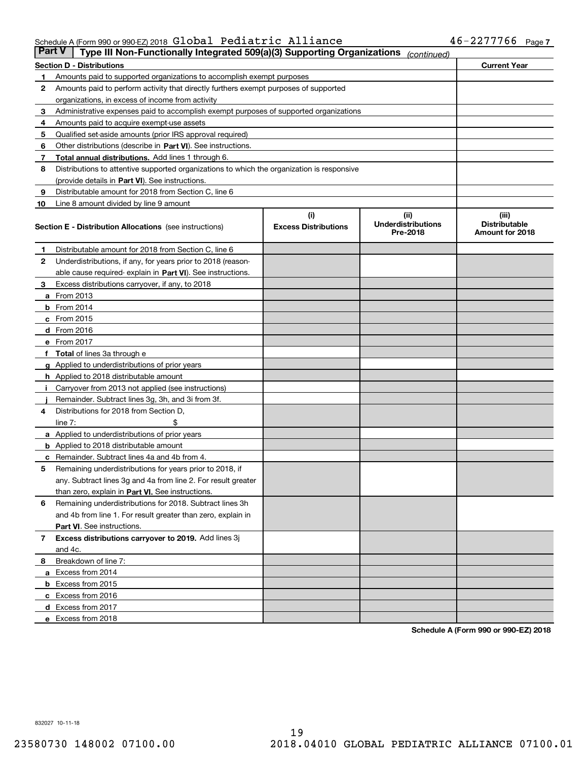#### Schedule A (Form 990 or 990-EZ) 2018 GIODAI Pediatric Alliance 46-2277766 Page Global Pediatric Alliance 46-2277766

| <b>Part V</b> | Type III Non-Functionally Integrated 509(a)(3) Supporting Organizations                    |                                    | (continued)                                    |                                                  |  |  |  |  |
|---------------|--------------------------------------------------------------------------------------------|------------------------------------|------------------------------------------------|--------------------------------------------------|--|--|--|--|
|               | <b>Section D - Distributions</b>                                                           |                                    |                                                | <b>Current Year</b>                              |  |  |  |  |
| 1             | Amounts paid to supported organizations to accomplish exempt purposes                      |                                    |                                                |                                                  |  |  |  |  |
| 2             | Amounts paid to perform activity that directly furthers exempt purposes of supported       |                                    |                                                |                                                  |  |  |  |  |
|               | organizations, in excess of income from activity                                           |                                    |                                                |                                                  |  |  |  |  |
| 3             | Administrative expenses paid to accomplish exempt purposes of supported organizations      |                                    |                                                |                                                  |  |  |  |  |
| 4             | Amounts paid to acquire exempt-use assets                                                  |                                    |                                                |                                                  |  |  |  |  |
| 5             | Qualified set-aside amounts (prior IRS approval required)                                  |                                    |                                                |                                                  |  |  |  |  |
| 6             | Other distributions (describe in Part VI). See instructions.                               |                                    |                                                |                                                  |  |  |  |  |
| 7             | <b>Total annual distributions.</b> Add lines 1 through 6.                                  |                                    |                                                |                                                  |  |  |  |  |
| 8             | Distributions to attentive supported organizations to which the organization is responsive |                                    |                                                |                                                  |  |  |  |  |
|               | (provide details in Part VI). See instructions.                                            |                                    |                                                |                                                  |  |  |  |  |
| 9             | Distributable amount for 2018 from Section C, line 6                                       |                                    |                                                |                                                  |  |  |  |  |
| 10            | Line 8 amount divided by line 9 amount                                                     |                                    |                                                |                                                  |  |  |  |  |
|               | <b>Section E - Distribution Allocations</b> (see instructions)                             | (i)<br><b>Excess Distributions</b> | (iii)<br><b>Underdistributions</b><br>Pre-2018 | (iii)<br><b>Distributable</b><br>Amount for 2018 |  |  |  |  |
| 1             | Distributable amount for 2018 from Section C, line 6                                       |                                    |                                                |                                                  |  |  |  |  |
| 2             | Underdistributions, if any, for years prior to 2018 (reason-                               |                                    |                                                |                                                  |  |  |  |  |
|               | able cause required- explain in Part VI). See instructions.                                |                                    |                                                |                                                  |  |  |  |  |
| З             | Excess distributions carryover, if any, to 2018                                            |                                    |                                                |                                                  |  |  |  |  |
|               | <b>a</b> From 2013                                                                         |                                    |                                                |                                                  |  |  |  |  |
|               | <b>b</b> From 2014                                                                         |                                    |                                                |                                                  |  |  |  |  |
|               | $c$ From 2015                                                                              |                                    |                                                |                                                  |  |  |  |  |
|               | d From 2016                                                                                |                                    |                                                |                                                  |  |  |  |  |
|               | e From 2017                                                                                |                                    |                                                |                                                  |  |  |  |  |
|               | Total of lines 3a through e                                                                |                                    |                                                |                                                  |  |  |  |  |
| g             | Applied to underdistributions of prior years                                               |                                    |                                                |                                                  |  |  |  |  |
|               | <b>h</b> Applied to 2018 distributable amount                                              |                                    |                                                |                                                  |  |  |  |  |
|               | Carryover from 2013 not applied (see instructions)                                         |                                    |                                                |                                                  |  |  |  |  |
|               | Remainder. Subtract lines 3g, 3h, and 3i from 3f.                                          |                                    |                                                |                                                  |  |  |  |  |
| 4             | Distributions for 2018 from Section D,                                                     |                                    |                                                |                                                  |  |  |  |  |
|               | line $7:$                                                                                  |                                    |                                                |                                                  |  |  |  |  |
|               | <b>a</b> Applied to underdistributions of prior years                                      |                                    |                                                |                                                  |  |  |  |  |
|               | <b>b</b> Applied to 2018 distributable amount                                              |                                    |                                                |                                                  |  |  |  |  |
|               | c Remainder. Subtract lines 4a and 4b from 4.                                              |                                    |                                                |                                                  |  |  |  |  |
| 5             | Remaining underdistributions for years prior to 2018, if                                   |                                    |                                                |                                                  |  |  |  |  |
|               | any. Subtract lines 3g and 4a from line 2. For result greater                              |                                    |                                                |                                                  |  |  |  |  |
|               | than zero, explain in Part VI. See instructions.                                           |                                    |                                                |                                                  |  |  |  |  |
| 6             | Remaining underdistributions for 2018. Subtract lines 3h                                   |                                    |                                                |                                                  |  |  |  |  |
|               | and 4b from line 1. For result greater than zero, explain in                               |                                    |                                                |                                                  |  |  |  |  |
|               | Part VI. See instructions.                                                                 |                                    |                                                |                                                  |  |  |  |  |
| 7             | Excess distributions carryover to 2019. Add lines 3j                                       |                                    |                                                |                                                  |  |  |  |  |
|               | and 4c.                                                                                    |                                    |                                                |                                                  |  |  |  |  |
| 8             | Breakdown of line 7:                                                                       |                                    |                                                |                                                  |  |  |  |  |
|               | a Excess from 2014                                                                         |                                    |                                                |                                                  |  |  |  |  |
|               | <b>b</b> Excess from 2015                                                                  |                                    |                                                |                                                  |  |  |  |  |
|               | c Excess from 2016                                                                         |                                    |                                                |                                                  |  |  |  |  |
|               | d Excess from 2017                                                                         |                                    |                                                |                                                  |  |  |  |  |
|               | e Excess from 2018                                                                         |                                    |                                                |                                                  |  |  |  |  |

**Schedule A (Form 990 or 990-EZ) 2018**

832027 10-11-18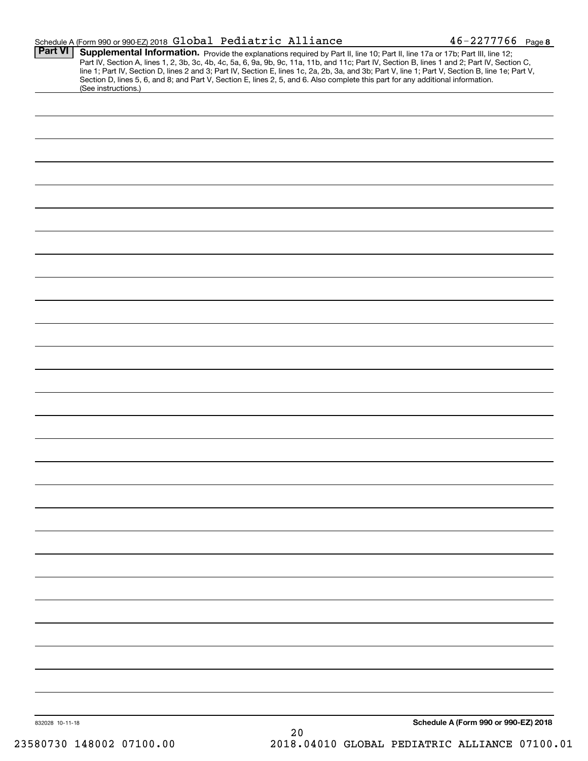|                 | Schedule A (Form 990 or 990-EZ) 2018 Global Pediatric Alliance                                                                                                                                                                                                                                                                                                                                                                                                                                                                                                                              |          | $46 - 2277766$ Page 8                |
|-----------------|---------------------------------------------------------------------------------------------------------------------------------------------------------------------------------------------------------------------------------------------------------------------------------------------------------------------------------------------------------------------------------------------------------------------------------------------------------------------------------------------------------------------------------------------------------------------------------------------|----------|--------------------------------------|
| <b>Part VI</b>  | Supplemental Information. Provide the explanations required by Part II, line 10; Part II, line 17a or 17b; Part III, line 12;<br>Part IV, Section A, lines 1, 2, 3b, 3c, 4b, 4c, 5a, 6, 9a, 9b, 9c, 11a, 11b, and 11c; Part IV, Section B, lines 1 and 2; Part IV, Section C,<br>line 1; Part IV, Section D, lines 2 and 3; Part IV, Section E, lines 1c, 2a, 2b, 3a, and 3b; Part V, line 1; Part V, Section B, line 1e; Part V,<br>Section D, lines 5, 6, and 8; and Part V, Section E, lines 2, 5, and 6. Also complete this part for any additional information.<br>(See instructions.) |          |                                      |
|                 |                                                                                                                                                                                                                                                                                                                                                                                                                                                                                                                                                                                             |          |                                      |
|                 |                                                                                                                                                                                                                                                                                                                                                                                                                                                                                                                                                                                             |          |                                      |
|                 |                                                                                                                                                                                                                                                                                                                                                                                                                                                                                                                                                                                             |          |                                      |
|                 |                                                                                                                                                                                                                                                                                                                                                                                                                                                                                                                                                                                             |          |                                      |
|                 |                                                                                                                                                                                                                                                                                                                                                                                                                                                                                                                                                                                             |          |                                      |
|                 |                                                                                                                                                                                                                                                                                                                                                                                                                                                                                                                                                                                             |          |                                      |
|                 |                                                                                                                                                                                                                                                                                                                                                                                                                                                                                                                                                                                             |          |                                      |
|                 |                                                                                                                                                                                                                                                                                                                                                                                                                                                                                                                                                                                             |          |                                      |
|                 |                                                                                                                                                                                                                                                                                                                                                                                                                                                                                                                                                                                             |          |                                      |
|                 |                                                                                                                                                                                                                                                                                                                                                                                                                                                                                                                                                                                             |          |                                      |
|                 |                                                                                                                                                                                                                                                                                                                                                                                                                                                                                                                                                                                             |          |                                      |
|                 |                                                                                                                                                                                                                                                                                                                                                                                                                                                                                                                                                                                             |          |                                      |
|                 |                                                                                                                                                                                                                                                                                                                                                                                                                                                                                                                                                                                             |          |                                      |
|                 |                                                                                                                                                                                                                                                                                                                                                                                                                                                                                                                                                                                             |          |                                      |
|                 |                                                                                                                                                                                                                                                                                                                                                                                                                                                                                                                                                                                             |          |                                      |
|                 |                                                                                                                                                                                                                                                                                                                                                                                                                                                                                                                                                                                             |          |                                      |
|                 |                                                                                                                                                                                                                                                                                                                                                                                                                                                                                                                                                                                             |          |                                      |
|                 |                                                                                                                                                                                                                                                                                                                                                                                                                                                                                                                                                                                             |          |                                      |
|                 |                                                                                                                                                                                                                                                                                                                                                                                                                                                                                                                                                                                             |          |                                      |
|                 |                                                                                                                                                                                                                                                                                                                                                                                                                                                                                                                                                                                             |          |                                      |
|                 |                                                                                                                                                                                                                                                                                                                                                                                                                                                                                                                                                                                             |          |                                      |
|                 |                                                                                                                                                                                                                                                                                                                                                                                                                                                                                                                                                                                             |          |                                      |
|                 |                                                                                                                                                                                                                                                                                                                                                                                                                                                                                                                                                                                             |          |                                      |
|                 |                                                                                                                                                                                                                                                                                                                                                                                                                                                                                                                                                                                             |          |                                      |
|                 |                                                                                                                                                                                                                                                                                                                                                                                                                                                                                                                                                                                             |          |                                      |
|                 |                                                                                                                                                                                                                                                                                                                                                                                                                                                                                                                                                                                             |          |                                      |
|                 |                                                                                                                                                                                                                                                                                                                                                                                                                                                                                                                                                                                             |          |                                      |
| 832028 10-11-18 |                                                                                                                                                                                                                                                                                                                                                                                                                                                                                                                                                                                             | $\Omega$ | Schedule A (Form 990 or 990-EZ) 2018 |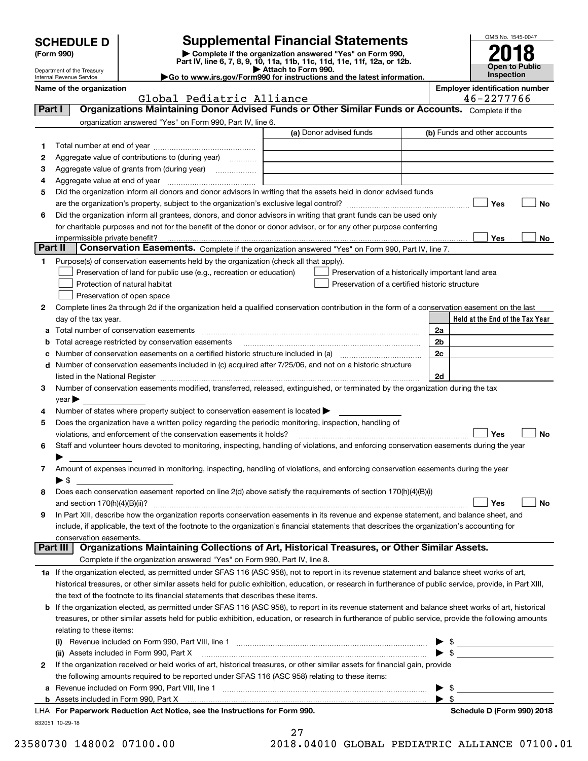| <b>SCHEDULE D</b> |  |
|-------------------|--|
|-------------------|--|

Department of the Treasury

# **Supplemental Financial Statements**

**(Form 990)** (**Form 990,**<br>Part IV, line 6, 7, 8, 9, 10, 11a, 11b, 11c, 11d, 11e, 11f, 12a, or 12b.<br>Department of the Treasury **and Exercise Connect Connect Connect Connect Connect Connect Connect Connect Connect** 



| Go to www.irs.gov/Form990 for instructions and the latest information. |  |  |  |
|------------------------------------------------------------------------|--|--|--|
|                                                                        |  |  |  |

|         | Internal Revenue Service   |                                                                                                                                                           | $\blacktriangleright$ Go to www.irs.gov/Form990 for instructions and the latest information. |    | <b>Inspection</b>                                   |  |  |  |
|---------|----------------------------|-----------------------------------------------------------------------------------------------------------------------------------------------------------|----------------------------------------------------------------------------------------------|----|-----------------------------------------------------|--|--|--|
|         | Name of the organization   | Global Pediatric Alliance                                                                                                                                 |                                                                                              |    | <b>Employer identification number</b><br>46-2277766 |  |  |  |
| Part I  |                            | Organizations Maintaining Donor Advised Funds or Other Similar Funds or Accounts. Complete if the                                                         |                                                                                              |    |                                                     |  |  |  |
|         |                            | organization answered "Yes" on Form 990, Part IV, line 6.                                                                                                 |                                                                                              |    |                                                     |  |  |  |
|         |                            |                                                                                                                                                           | (a) Donor advised funds                                                                      |    | (b) Funds and other accounts                        |  |  |  |
| 1       |                            |                                                                                                                                                           |                                                                                              |    |                                                     |  |  |  |
| 2       |                            | Aggregate value of contributions to (during year)                                                                                                         |                                                                                              |    |                                                     |  |  |  |
| з       |                            | Aggregate value of grants from (during year)                                                                                                              |                                                                                              |    |                                                     |  |  |  |
| 4       |                            |                                                                                                                                                           |                                                                                              |    |                                                     |  |  |  |
| 5       |                            | Did the organization inform all donors and donor advisors in writing that the assets held in donor advised funds                                          |                                                                                              |    |                                                     |  |  |  |
|         |                            |                                                                                                                                                           |                                                                                              |    | Yes<br>No                                           |  |  |  |
| 6       |                            | Did the organization inform all grantees, donors, and donor advisors in writing that grant funds can be used only                                         |                                                                                              |    |                                                     |  |  |  |
|         |                            | for charitable purposes and not for the benefit of the donor or donor advisor, or for any other purpose conferring                                        |                                                                                              |    |                                                     |  |  |  |
|         |                            |                                                                                                                                                           |                                                                                              |    | Yes<br>No                                           |  |  |  |
| Part II |                            | Conservation Easements. Complete if the organization answered "Yes" on Form 990, Part IV, line 7.                                                         |                                                                                              |    |                                                     |  |  |  |
| 1       |                            | Purpose(s) of conservation easements held by the organization (check all that apply).                                                                     |                                                                                              |    |                                                     |  |  |  |
|         |                            | Preservation of land for public use (e.g., recreation or education)                                                                                       | Preservation of a historically important land area                                           |    |                                                     |  |  |  |
|         |                            | Protection of natural habitat                                                                                                                             | Preservation of a certified historic structure                                               |    |                                                     |  |  |  |
|         | Preservation of open space |                                                                                                                                                           |                                                                                              |    |                                                     |  |  |  |
| 2       |                            | Complete lines 2a through 2d if the organization held a qualified conservation contribution in the form of a conservation easement on the last            |                                                                                              |    |                                                     |  |  |  |
|         | day of the tax year.       |                                                                                                                                                           |                                                                                              |    | Held at the End of the Tax Year                     |  |  |  |
| а       |                            | Total number of conservation easements                                                                                                                    |                                                                                              | 2a |                                                     |  |  |  |
| b       |                            | Total acreage restricted by conservation easements                                                                                                        |                                                                                              | 2b |                                                     |  |  |  |
| с       |                            |                                                                                                                                                           |                                                                                              | 2c |                                                     |  |  |  |
| d       |                            | Number of conservation easements included in (c) acquired after 7/25/06, and not on a historic structure                                                  |                                                                                              |    |                                                     |  |  |  |
|         |                            |                                                                                                                                                           |                                                                                              | 2d |                                                     |  |  |  |
| 3       |                            | Number of conservation easements modified, transferred, released, extinguished, or terminated by the organization during the tax                          |                                                                                              |    |                                                     |  |  |  |
|         | year                       |                                                                                                                                                           |                                                                                              |    |                                                     |  |  |  |
| 4       |                            | Number of states where property subject to conservation easement is located $\blacktriangleright$                                                         |                                                                                              |    |                                                     |  |  |  |
| 5       |                            | Does the organization have a written policy regarding the periodic monitoring, inspection, handling of                                                    |                                                                                              |    |                                                     |  |  |  |
|         |                            | violations, and enforcement of the conservation easements it holds?                                                                                       |                                                                                              |    | Yes<br>No                                           |  |  |  |
| 6       |                            | Staff and volunteer hours devoted to monitoring, inspecting, handling of violations, and enforcing conservation easements during the year                 |                                                                                              |    |                                                     |  |  |  |
|         |                            |                                                                                                                                                           |                                                                                              |    |                                                     |  |  |  |
| 7       |                            | Amount of expenses incurred in monitoring, inspecting, handling of violations, and enforcing conservation easements during the year                       |                                                                                              |    |                                                     |  |  |  |
|         | $\blacktriangleright$ \$   |                                                                                                                                                           |                                                                                              |    |                                                     |  |  |  |
| 8       |                            | Does each conservation easement reported on line $2(d)$ above satisfy the requirements of section 170(h)(4)(B)(i)                                         |                                                                                              |    |                                                     |  |  |  |
|         |                            |                                                                                                                                                           |                                                                                              |    | Yes<br>No                                           |  |  |  |
| 9       |                            | In Part XIII, describe how the organization reports conservation easements in its revenue and expense statement, and balance sheet, and                   |                                                                                              |    |                                                     |  |  |  |
|         |                            | include, if applicable, the text of the footnote to the organization's financial statements that describes the organization's accounting for              |                                                                                              |    |                                                     |  |  |  |
|         | conservation easements.    |                                                                                                                                                           |                                                                                              |    |                                                     |  |  |  |
|         | Part III                   | Organizations Maintaining Collections of Art, Historical Treasures, or Other Similar Assets.                                                              |                                                                                              |    |                                                     |  |  |  |
|         |                            | Complete if the organization answered "Yes" on Form 990, Part IV, line 8.                                                                                 |                                                                                              |    |                                                     |  |  |  |
|         |                            | 1a If the organization elected, as permitted under SFAS 116 (ASC 958), not to report in its revenue statement and balance sheet works of art,             |                                                                                              |    |                                                     |  |  |  |
|         |                            | historical treasures, or other similar assets held for public exhibition, education, or research in furtherance of public service, provide, in Part XIII, |                                                                                              |    |                                                     |  |  |  |
|         |                            | the text of the footnote to its financial statements that describes these items.                                                                          |                                                                                              |    |                                                     |  |  |  |
| b       |                            | If the organization elected, as permitted under SFAS 116 (ASC 958), to report in its revenue statement and balance sheet works of art, historical         |                                                                                              |    |                                                     |  |  |  |
|         |                            | treasures, or other similar assets held for public exhibition, education, or research in furtherance of public service, provide the following amounts     |                                                                                              |    |                                                     |  |  |  |
|         | relating to these items:   |                                                                                                                                                           |                                                                                              |    |                                                     |  |  |  |
|         |                            | (i) Revenue included on Form 990, Part VIII, line 1                                                                                                       |                                                                                              | ▶  | - \$                                                |  |  |  |

|   | 832051 10-29-18                                                                                                              |  |                            |  |  |  |
|---|------------------------------------------------------------------------------------------------------------------------------|--|----------------------------|--|--|--|
|   | LHA For Paperwork Reduction Act Notice, see the Instructions for Form 990.                                                   |  | Schedule D (Form 990) 2018 |  |  |  |
|   |                                                                                                                              |  |                            |  |  |  |
|   |                                                                                                                              |  |                            |  |  |  |
|   | the following amounts required to be reported under SFAS 116 (ASC 958) relating to these items:                              |  |                            |  |  |  |
| 2 | If the organization received or held works of art, historical treasures, or other similar assets for financial gain, provide |  |                            |  |  |  |
|   |                                                                                                                              |  |                            |  |  |  |
|   | Revenue included on Form 990, Part VIII, line 1<br>(i)                                                                       |  |                            |  |  |  |

27 23580730 148002 07100.00 2018.04010 GLOBAL PEDIATRIC ALLIANCE 07100.01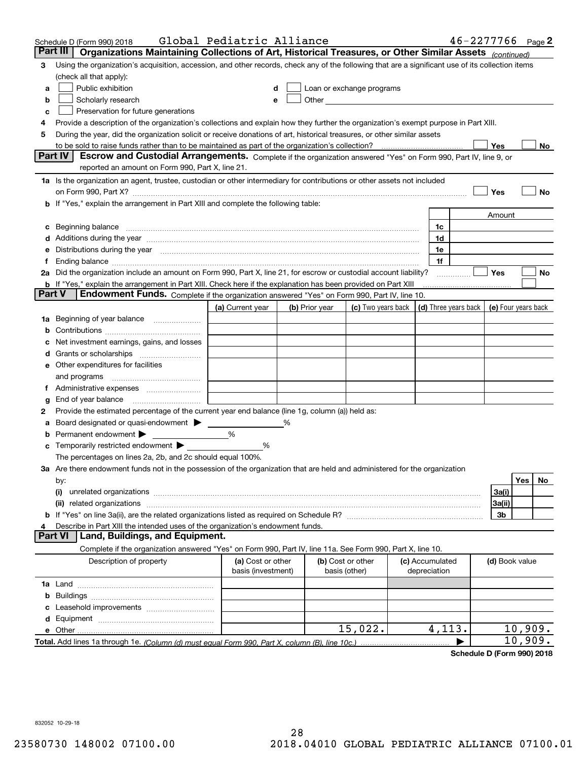|        | Schedule D (Form 990) 2018                                                                                                                                                                                                     | Global Pediatric Alliance               |   |                |                                                                                                                                                                                                                               |  |                                 | $46 - 2277766$ Page 2 |                |         |     |
|--------|--------------------------------------------------------------------------------------------------------------------------------------------------------------------------------------------------------------------------------|-----------------------------------------|---|----------------|-------------------------------------------------------------------------------------------------------------------------------------------------------------------------------------------------------------------------------|--|---------------------------------|-----------------------|----------------|---------|-----|
|        | Part III<br>Organizations Maintaining Collections of Art, Historical Treasures, or Other Similar Assets (continued)                                                                                                            |                                         |   |                |                                                                                                                                                                                                                               |  |                                 |                       |                |         |     |
| 3      | Using the organization's acquisition, accession, and other records, check any of the following that are a significant use of its collection items                                                                              |                                         |   |                |                                                                                                                                                                                                                               |  |                                 |                       |                |         |     |
|        | (check all that apply):                                                                                                                                                                                                        |                                         |   |                |                                                                                                                                                                                                                               |  |                                 |                       |                |         |     |
| a      | Public exhibition                                                                                                                                                                                                              |                                         |   |                | Loan or exchange programs                                                                                                                                                                                                     |  |                                 |                       |                |         |     |
| b      | Scholarly research                                                                                                                                                                                                             |                                         |   |                | Other and the contract of the contract of the contract of the contract of the contract of the contract of the contract of the contract of the contract of the contract of the contract of the contract of the contract of the |  |                                 |                       |                |         |     |
| с      | Preservation for future generations                                                                                                                                                                                            |                                         |   |                |                                                                                                                                                                                                                               |  |                                 |                       |                |         |     |
| 4      | Provide a description of the organization's collections and explain how they further the organization's exempt purpose in Part XIII.                                                                                           |                                         |   |                |                                                                                                                                                                                                                               |  |                                 |                       |                |         |     |
| 5      | During the year, did the organization solicit or receive donations of art, historical treasures, or other similar assets                                                                                                       |                                         |   |                |                                                                                                                                                                                                                               |  |                                 |                       |                |         |     |
|        | to be sold to raise funds rather than to be maintained as part of the organization's collection?                                                                                                                               |                                         |   |                |                                                                                                                                                                                                                               |  | . <u>.</u>                      |                       | <b>Yes</b>     |         | No  |
|        | Escrow and Custodial Arrangements. Complete if the organization answered "Yes" on Form 990, Part IV, line 9, or<br><b>Part IV</b><br>reported an amount on Form 990, Part X, line 21.                                          |                                         |   |                |                                                                                                                                                                                                                               |  |                                 |                       |                |         |     |
|        |                                                                                                                                                                                                                                |                                         |   |                |                                                                                                                                                                                                                               |  |                                 |                       |                |         |     |
|        | 1a Is the organization an agent, trustee, custodian or other intermediary for contributions or other assets not included                                                                                                       |                                         |   |                |                                                                                                                                                                                                                               |  |                                 |                       |                |         |     |
|        | on Form 990, Part X? [11] matter and the contract of the contract of the contract of the contract of the contract of the contract of the contract of the contract of the contract of the contract of the contract of the contr |                                         |   |                |                                                                                                                                                                                                                               |  |                                 |                       | Yes            |         | No  |
|        | <b>b</b> If "Yes," explain the arrangement in Part XIII and complete the following table:                                                                                                                                      |                                         |   |                |                                                                                                                                                                                                                               |  |                                 |                       |                |         |     |
|        |                                                                                                                                                                                                                                |                                         |   |                |                                                                                                                                                                                                                               |  |                                 |                       | Amount         |         |     |
| c      | Beginning balance <u>www.maren.communication.communication.communication.communication.com</u>                                                                                                                                 |                                         |   |                |                                                                                                                                                                                                                               |  | 1c<br>1d                        |                       |                |         |     |
|        |                                                                                                                                                                                                                                |                                         |   |                |                                                                                                                                                                                                                               |  |                                 |                       |                |         |     |
|        | e Distributions during the year manufactured and continuum and contact the year manufactured and contact the year manufactured and contact the year manufactured and contact the year manufactured and contact the year manufa |                                         |   |                |                                                                                                                                                                                                                               |  | 1e<br>1f                        |                       |                |         |     |
|        | 2a Did the organization include an amount on Form 990, Part X, line 21, for escrow or custodial account liability?                                                                                                             |                                         |   |                |                                                                                                                                                                                                                               |  |                                 |                       | Yes            |         | No  |
|        | <b>b</b> If "Yes," explain the arrangement in Part XIII. Check here if the explanation has been provided on Part XIII                                                                                                          |                                         |   |                |                                                                                                                                                                                                                               |  |                                 | .                     |                |         |     |
| Part V | Endowment Funds. Complete if the organization answered "Yes" on Form 990, Part IV, line 10.                                                                                                                                    |                                         |   |                |                                                                                                                                                                                                                               |  |                                 |                       |                |         |     |
|        |                                                                                                                                                                                                                                | (a) Current year                        |   | (b) Prior year | (c) Two years back $\vert$ (d) Three years back $\vert$ (e) Four years back                                                                                                                                                   |  |                                 |                       |                |         |     |
|        | 1a Beginning of year balance                                                                                                                                                                                                   |                                         |   |                |                                                                                                                                                                                                                               |  |                                 |                       |                |         |     |
| b      |                                                                                                                                                                                                                                |                                         |   |                |                                                                                                                                                                                                                               |  |                                 |                       |                |         |     |
|        | Net investment earnings, gains, and losses                                                                                                                                                                                     |                                         |   |                |                                                                                                                                                                                                                               |  |                                 |                       |                |         |     |
|        |                                                                                                                                                                                                                                |                                         |   |                |                                                                                                                                                                                                                               |  |                                 |                       |                |         |     |
|        | e Other expenditures for facilities                                                                                                                                                                                            |                                         |   |                |                                                                                                                                                                                                                               |  |                                 |                       |                |         |     |
|        | and programs                                                                                                                                                                                                                   |                                         |   |                |                                                                                                                                                                                                                               |  |                                 |                       |                |         |     |
|        | f Administrative expenses                                                                                                                                                                                                      |                                         |   |                |                                                                                                                                                                                                                               |  |                                 |                       |                |         |     |
| g      | End of year balance                                                                                                                                                                                                            |                                         |   |                |                                                                                                                                                                                                                               |  |                                 |                       |                |         |     |
| 2      | Provide the estimated percentage of the current year end balance (line 1g, column (a)) held as:                                                                                                                                |                                         |   |                |                                                                                                                                                                                                                               |  |                                 |                       |                |         |     |
| а      | Board designated or quasi-endowment                                                                                                                                                                                            |                                         | % |                |                                                                                                                                                                                                                               |  |                                 |                       |                |         |     |
| b      | Permanent endowment                                                                                                                                                                                                            | %                                       |   |                |                                                                                                                                                                                                                               |  |                                 |                       |                |         |     |
| c      | Temporarily restricted endowment $\blacktriangleright$                                                                                                                                                                         | %                                       |   |                |                                                                                                                                                                                                                               |  |                                 |                       |                |         |     |
|        | The percentages on lines 2a, 2b, and 2c should equal 100%.                                                                                                                                                                     |                                         |   |                |                                                                                                                                                                                                                               |  |                                 |                       |                |         |     |
|        | 3a Are there endowment funds not in the possession of the organization that are held and administered for the organization                                                                                                     |                                         |   |                |                                                                                                                                                                                                                               |  |                                 |                       |                |         |     |
|        | by:                                                                                                                                                                                                                            |                                         |   |                |                                                                                                                                                                                                                               |  |                                 |                       |                | Yes     | No. |
|        | (i)                                                                                                                                                                                                                            |                                         |   |                |                                                                                                                                                                                                                               |  |                                 |                       | 3a(i)          |         |     |
|        | 3a(ii)                                                                                                                                                                                                                         |                                         |   |                |                                                                                                                                                                                                                               |  |                                 |                       |                |         |     |
|        |                                                                                                                                                                                                                                |                                         |   |                |                                                                                                                                                                                                                               |  | 3b                              |                       |                |         |     |
|        | Describe in Part XIII the intended uses of the organization's endowment funds.                                                                                                                                                 |                                         |   |                |                                                                                                                                                                                                                               |  |                                 |                       |                |         |     |
|        | Land, Buildings, and Equipment.<br>Part VI                                                                                                                                                                                     |                                         |   |                |                                                                                                                                                                                                                               |  |                                 |                       |                |         |     |
|        | Complete if the organization answered "Yes" on Form 990, Part IV, line 11a. See Form 990, Part X, line 10.                                                                                                                     |                                         |   |                |                                                                                                                                                                                                                               |  |                                 |                       |                |         |     |
|        | Description of property                                                                                                                                                                                                        | (a) Cost or other<br>basis (investment) |   |                | (b) Cost or other<br>basis (other)                                                                                                                                                                                            |  | (c) Accumulated<br>depreciation |                       | (d) Book value |         |     |
|        |                                                                                                                                                                                                                                |                                         |   |                |                                                                                                                                                                                                                               |  |                                 |                       |                |         |     |
| b      |                                                                                                                                                                                                                                |                                         |   |                |                                                                                                                                                                                                                               |  |                                 |                       |                |         |     |
|        |                                                                                                                                                                                                                                |                                         |   |                |                                                                                                                                                                                                                               |  |                                 |                       |                |         |     |
|        |                                                                                                                                                                                                                                |                                         |   |                |                                                                                                                                                                                                                               |  |                                 |                       |                |         |     |
|        |                                                                                                                                                                                                                                |                                         |   |                | 15,022.                                                                                                                                                                                                                       |  | 4,113.                          |                       |                | 10,909. |     |
|        |                                                                                                                                                                                                                                |                                         |   |                |                                                                                                                                                                                                                               |  |                                 |                       |                | 10,909. |     |

**Schedule D (Form 990) 2018**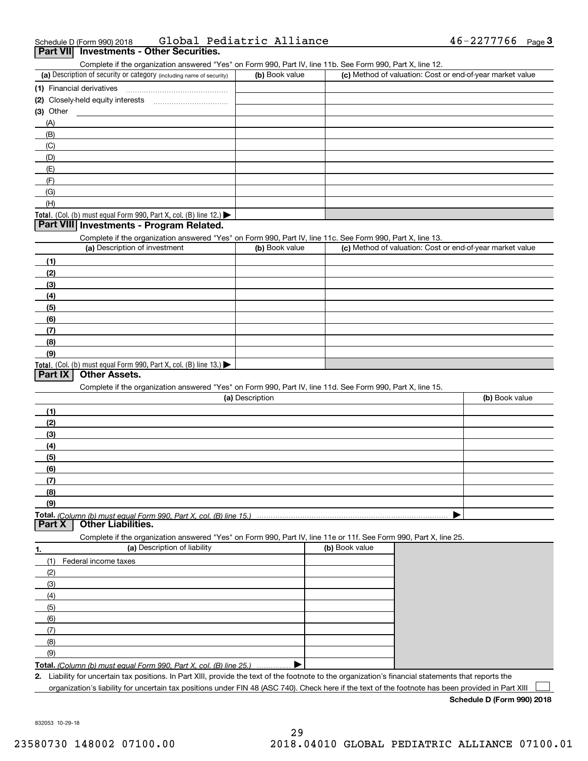| Schedule D (Form 990) 2018 | Global Pediatric Alliance                | $46 - 2277766$ Page |
|----------------------------|------------------------------------------|---------------------|
|                            | Part VII Investments - Other Securities. |                     |

Complete if the organization answered "Yes" on Form 990, Part IV, line 11b. See Form 990, Part X, line 12.

| (a) Description of security or category (including name of security)                   | (b) Book value | (c) Method of valuation: Cost or end-of-year market value |
|----------------------------------------------------------------------------------------|----------------|-----------------------------------------------------------|
| (1) Financial derivatives                                                              |                |                                                           |
| (2) Closely-held equity interests<br>                                                  |                |                                                           |
| $(3)$ Other                                                                            |                |                                                           |
| (A)                                                                                    |                |                                                           |
| (B)                                                                                    |                |                                                           |
| (C)                                                                                    |                |                                                           |
| (D)                                                                                    |                |                                                           |
| (E)                                                                                    |                |                                                           |
| (F)                                                                                    |                |                                                           |
| (G)                                                                                    |                |                                                           |
| (H)                                                                                    |                |                                                           |
| Total. (Col. (b) must equal Form 990, Part X, col. (B) line 12.) $\blacktriangleright$ |                |                                                           |

## **Part VIII Investments - Program Related.**

Complete if the organization answered "Yes" on Form 990, Part IV, line 11c. See Form 990, Part X, line 13.

| (a) Description of investment                                       | (b) Book value | (c) Method of valuation: Cost or end-of-year market value |
|---------------------------------------------------------------------|----------------|-----------------------------------------------------------|
| (1)                                                                 |                |                                                           |
| (2)                                                                 |                |                                                           |
| $\frac{1}{2}$                                                       |                |                                                           |
| (4)                                                                 |                |                                                           |
| $\frac{1}{2}$                                                       |                |                                                           |
| (6)                                                                 |                |                                                           |
| $\sqrt{(7)}$                                                        |                |                                                           |
| (8)                                                                 |                |                                                           |
| (9)                                                                 |                |                                                           |
| Total. (Col. (b) must equal Form 990, Part X, col. (B) line $13.$ ) |                |                                                           |

### **Part IX Other Assets.**

Complete if the organization answered "Yes" on Form 990, Part IV, line 11d. See Form 990, Part X, line 15.

| (a) Description | (b) Book value |
|-----------------|----------------|
| (1)             |                |
| (2)             |                |
| $\frac{1}{2}$   |                |
| (4)             |                |
| $\frac{1}{2}$   |                |
| (6)             |                |
| (7)             |                |
| (8)             |                |
| (9)             |                |
|                 |                |

#### **Part X Other Liabilities.**

Complete if the organization answered "Yes" on Form 990, Part IV, line 11e or 11f. See Form 990, Part X, line 25.

|     | (a) Description of liability                                       | (b) Book value |
|-----|--------------------------------------------------------------------|----------------|
| (1) | Federal income taxes                                               |                |
| (2) |                                                                    |                |
| (3) |                                                                    |                |
| (4) |                                                                    |                |
| (5) |                                                                    |                |
| (6) |                                                                    |                |
| (7) |                                                                    |                |
| (8) |                                                                    |                |
| (9) |                                                                    |                |
|     | Total. (Column (b) must equal Form 990, Part X, col. (B) line 25.) |                |

**2.** Liability for uncertain tax positions. In Part XIII, provide the text of the footnote to the organization's financial statements that reports the organization's liability for uncertain tax positions under FIN 48 (ASC 740). Check here if the text of the footnote has been provided in Part XIII

 $\mathcal{L}^{\text{max}}$ 

**Schedule D (Form 990) 2018**

832053 10-29-18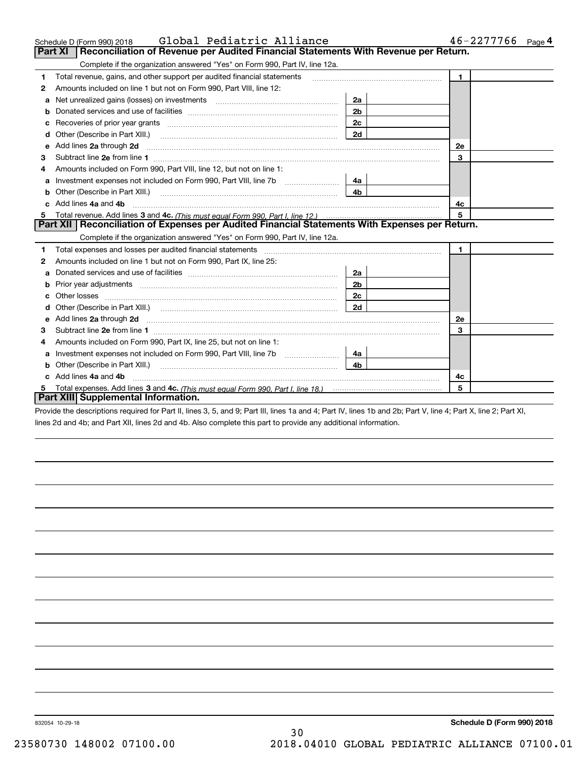|    | Global Pediatric Alliance<br>Schedule D (Form 990) 2018                                                                                                                                                                        | 46-2277766<br>Page <sup>4</sup> |              |
|----|--------------------------------------------------------------------------------------------------------------------------------------------------------------------------------------------------------------------------------|---------------------------------|--------------|
|    | Reconciliation of Revenue per Audited Financial Statements With Revenue per Return.<br>Part XI                                                                                                                                 |                                 |              |
|    | Complete if the organization answered "Yes" on Form 990, Part IV, line 12a.                                                                                                                                                    |                                 |              |
| 1  | Total revenue, gains, and other support per audited financial statements                                                                                                                                                       |                                 | $\mathbf{1}$ |
| 2  | Amounts included on line 1 but not on Form 990, Part VIII, line 12:                                                                                                                                                            |                                 |              |
| a  | Net unrealized gains (losses) on investments [11] matter contracts and the unrealized gains (losses) on investments                                                                                                            | 2a                              |              |
|    |                                                                                                                                                                                                                                | 2 <sub>b</sub>                  |              |
|    |                                                                                                                                                                                                                                | 2c                              |              |
|    |                                                                                                                                                                                                                                | 2d                              |              |
| е  | Add lines 2a through 2d <b>must be a constructed as the constant of the constant of the constant of the construction</b>                                                                                                       |                                 | <b>2e</b>    |
| 3  |                                                                                                                                                                                                                                |                                 | 3            |
| 4  | Amounts included on Form 990. Part VIII, line 12, but not on line 1:                                                                                                                                                           |                                 |              |
|    |                                                                                                                                                                                                                                | 4a                              |              |
| b  |                                                                                                                                                                                                                                |                                 |              |
| c. | Add lines 4a and 4b                                                                                                                                                                                                            | 4c                              |              |
| 5  |                                                                                                                                                                                                                                |                                 | 5            |
|    | Part XII   Reconciliation of Expenses per Audited Financial Statements With Expenses per Return.                                                                                                                               |                                 |              |
|    | Complete if the organization answered "Yes" on Form 990, Part IV, line 12a.                                                                                                                                                    |                                 |              |
| 1  | Total expenses and losses per audited financial statements [11] [12] manuscription control in the statements [13] [13] and the statements [13] and the statements [13] and the statements and the statements and the statement |                                 | $\mathbf{1}$ |
| 2  | Amounts included on line 1 but not on Form 990, Part IX, line 25:                                                                                                                                                              |                                 |              |
| a  |                                                                                                                                                                                                                                | 2a                              |              |
|    |                                                                                                                                                                                                                                | 2 <sub>b</sub>                  |              |
| c  |                                                                                                                                                                                                                                | 2 <sub>c</sub>                  |              |
|    |                                                                                                                                                                                                                                | 2d                              |              |
|    |                                                                                                                                                                                                                                |                                 | <b>2e</b>    |
| 3  |                                                                                                                                                                                                                                |                                 | 3            |
| 4  | Amounts included on Form 990, Part IX, line 25, but not on line 1:                                                                                                                                                             |                                 |              |
| a  | Investment expenses not included on Form 990, Part VIII, line 7b [1000000000000000000000000000000000                                                                                                                           | 4a                              |              |
|    |                                                                                                                                                                                                                                | 4b.                             |              |
|    | Add lines 4a and 4b                                                                                                                                                                                                            |                                 | 4c           |
|    |                                                                                                                                                                                                                                |                                 | 5            |
|    | Part XIII Supplemental Information.                                                                                                                                                                                            |                                 |              |

Provide the descriptions required for Part II, lines 3, 5, and 9; Part III, lines 1a and 4; Part IV, lines 1b and 2b; Part V, line 4; Part X, line 2; Part XI, lines 2d and 4b; and Part XII, lines 2d and 4b. Also complete this part to provide any additional information.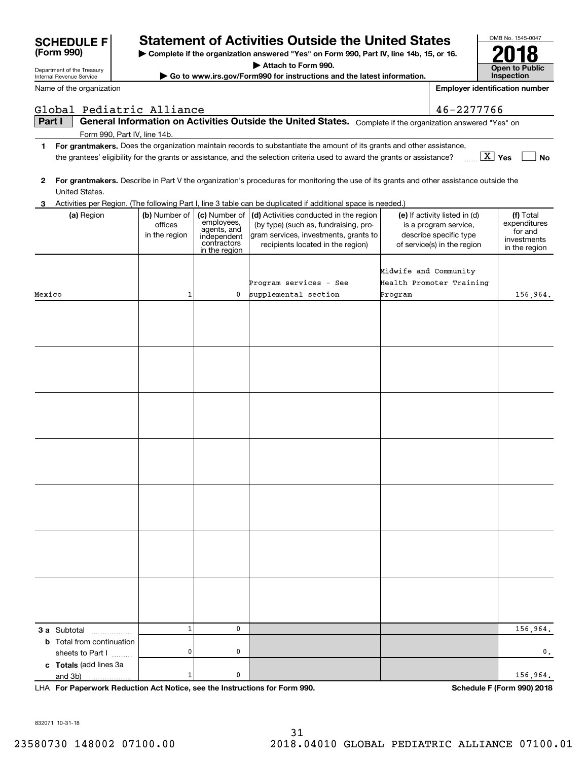| Part I       | Global Pediatric Alliance                            |                                           |                                                                                           | General Information on Activities Outside the United States. Complete if the organization answered "Yes" on                                                   |                       | 46-2277766                                                                                                      |                                                                      |
|--------------|------------------------------------------------------|-------------------------------------------|-------------------------------------------------------------------------------------------|---------------------------------------------------------------------------------------------------------------------------------------------------------------|-----------------------|-----------------------------------------------------------------------------------------------------------------|----------------------------------------------------------------------|
|              | Form 990, Part IV, line 14b.                         |                                           |                                                                                           |                                                                                                                                                               |                       |                                                                                                                 |                                                                      |
| 1.           |                                                      |                                           |                                                                                           | For grantmakers. Does the organization maintain records to substantiate the amount of its grants and other assistance,                                        |                       |                                                                                                                 |                                                                      |
|              |                                                      |                                           |                                                                                           | the grantees' eligibility for the grants or assistance, and the selection criteria used to award the grants or assistance?                                    |                       | $\boxed{\text{X}}$ Yes                                                                                          | No                                                                   |
| $\mathbf{2}$ | United States.                                       |                                           |                                                                                           | For grantmakers. Describe in Part V the organization's procedures for monitoring the use of its grants and other assistance outside the                       |                       |                                                                                                                 |                                                                      |
| 3            |                                                      |                                           |                                                                                           | Activities per Region. (The following Part I, line 3 table can be duplicated if additional space is needed.)                                                  |                       |                                                                                                                 |                                                                      |
|              | (a) Region                                           | (b) Number of<br>offices<br>in the region | (c) Number of<br>employees,<br>agents, and<br>independent<br>contractors<br>in the region | (d) Activities conducted in the region<br>(by type) (such as, fundraising, pro-<br>gram services, investments, grants to<br>recipients located in the region) |                       | (e) If activity listed in (d)<br>is a program service,<br>describe specific type<br>of service(s) in the region | (f) Total<br>expenditures<br>for and<br>investments<br>in the region |
|              |                                                      |                                           |                                                                                           | Program services - See                                                                                                                                        | Midwife and Community | Health Promoter Training                                                                                        |                                                                      |
| Mexico       |                                                      | 1                                         | 0                                                                                         | supplemental section                                                                                                                                          | Program               |                                                                                                                 | 156,964.                                                             |
|              |                                                      |                                           |                                                                                           |                                                                                                                                                               |                       |                                                                                                                 |                                                                      |
|              |                                                      |                                           |                                                                                           |                                                                                                                                                               |                       |                                                                                                                 |                                                                      |
|              |                                                      |                                           |                                                                                           |                                                                                                                                                               |                       |                                                                                                                 |                                                                      |
|              |                                                      |                                           |                                                                                           |                                                                                                                                                               |                       |                                                                                                                 |                                                                      |
|              |                                                      |                                           |                                                                                           |                                                                                                                                                               |                       |                                                                                                                 |                                                                      |
|              |                                                      |                                           |                                                                                           |                                                                                                                                                               |                       |                                                                                                                 |                                                                      |
|              |                                                      |                                           |                                                                                           |                                                                                                                                                               |                       |                                                                                                                 |                                                                      |
|              | <b>3 a</b> Subtotal                                  | $\mathbf 1$                               | $\mathbf 0$                                                                               |                                                                                                                                                               |                       |                                                                                                                 | 156,964.                                                             |
|              | <b>b</b> Total from continuation<br>sheets to Part I | 0                                         | 0                                                                                         |                                                                                                                                                               |                       |                                                                                                                 | 0.                                                                   |
|              | c Totals (add lines 3a<br>and 3b)                    | $\mathbf 1$                               | 0                                                                                         |                                                                                                                                                               |                       |                                                                                                                 | 156,964.                                                             |

**| Complete if the organization answered "Yes" on Form 990, Part IV, line 14b, 15, or 16. | Attach to Form 990. | Go to www.irs.gov/Form990 for instructions and the latest information.**

**Statement of Activities Outside the United States** 

**For Paperwork Reduction Act Notice, see the Instructions for Form 990. Schedule F (Form 990) 2018** LHA

832071 10-31-18

Department of the Treasury Internal Revenue Service

**(Form 990)**

Name of the organization



OMB No. 1545-0047

**Open to Public Inspection**

**2018**

**Employer identification number**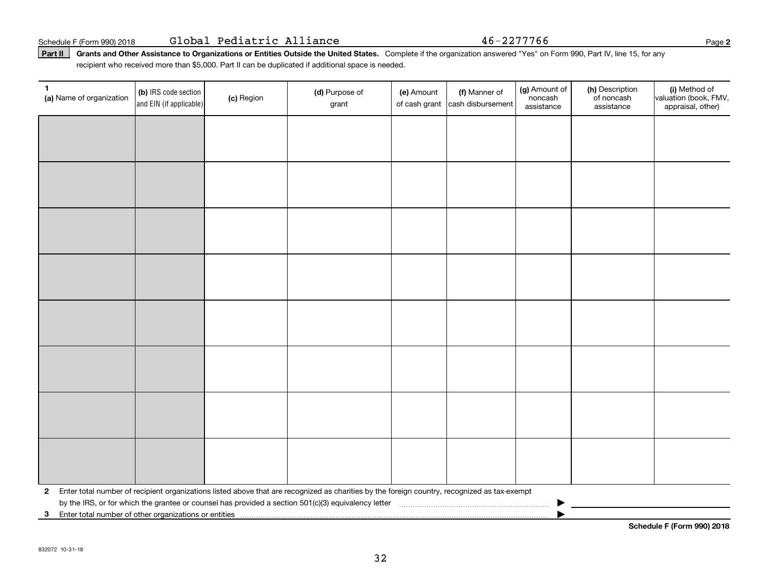Schedule F (Form 990) 2018 Page Global Pediatric Alliance 46-2277766

Part II | Grants and Other Assistance to Organizations or Entities Outside the United States. Complete if the organization answered "Yes" on Form 990, Part IV, line 15, for any recipient who received more than \$5,000. Part II can be duplicated if additional space is needed.

| (b) IRS code section<br>and EIN (if applicable) | (c) Region | (d) Purpose of<br>grant | (e) Amount<br>of cash grant | (f) Manner of<br>cash disbursement | (g) Amount of<br>noncash<br>assistance | (h) Description<br>of noncash<br>assistance                                                                                                  | (i) Method of<br>valuation (book, FMV,<br>appraisal, other) |
|-------------------------------------------------|------------|-------------------------|-----------------------------|------------------------------------|----------------------------------------|----------------------------------------------------------------------------------------------------------------------------------------------|-------------------------------------------------------------|
|                                                 |            |                         |                             |                                    |                                        |                                                                                                                                              |                                                             |
|                                                 |            |                         |                             |                                    |                                        |                                                                                                                                              |                                                             |
|                                                 |            |                         |                             |                                    |                                        |                                                                                                                                              |                                                             |
|                                                 |            |                         |                             |                                    |                                        |                                                                                                                                              |                                                             |
|                                                 |            |                         |                             |                                    |                                        |                                                                                                                                              |                                                             |
|                                                 |            |                         |                             |                                    |                                        |                                                                                                                                              |                                                             |
|                                                 |            |                         |                             |                                    |                                        |                                                                                                                                              |                                                             |
|                                                 |            |                         |                             |                                    |                                        |                                                                                                                                              |                                                             |
|                                                 |            |                         |                             |                                    |                                        |                                                                                                                                              |                                                             |
|                                                 |            |                         |                             |                                    |                                        |                                                                                                                                              |                                                             |
|                                                 |            |                         |                             |                                    |                                        |                                                                                                                                              |                                                             |
|                                                 |            |                         |                             |                                    |                                        |                                                                                                                                              |                                                             |
|                                                 |            |                         |                             |                                    |                                        |                                                                                                                                              |                                                             |
|                                                 |            |                         |                             |                                    |                                        |                                                                                                                                              |                                                             |
|                                                 |            |                         |                             |                                    |                                        |                                                                                                                                              |                                                             |
|                                                 |            |                         |                             |                                    |                                        |                                                                                                                                              |                                                             |
|                                                 |            |                         |                             |                                    |                                        |                                                                                                                                              |                                                             |
|                                                 |            |                         |                             |                                    |                                        |                                                                                                                                              |                                                             |
|                                                 |            |                         |                             |                                    |                                        | Enter total number of recipient organizations listed above that are recognized as charities by the foreign country, recognized as tax-exempt | 3 Enter total number of other organizations or entities     |

**Schedule F (Form 990) 2018**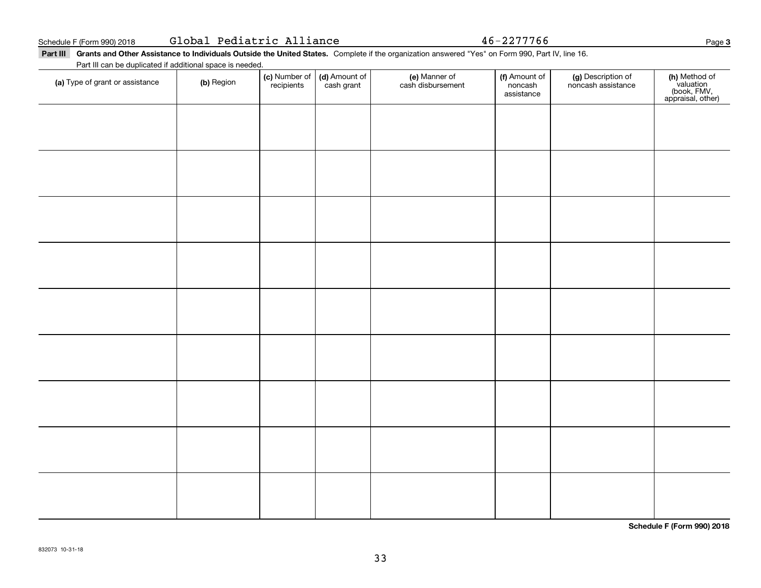|  | Global Pediatric Alliance |  |
|--|---------------------------|--|
|--|---------------------------|--|

Global Pediatric Alliance 46-2277766

Part III Grants and Other Assistance to Individuals Outside the United States. Complete if the organization answered "Yes" on Form 990, Part IV, line 16. Part III can be duplicated if additional space is needed.

| (a) Type of grant or assistance | (b) Region | (c) Number of<br>recipients | (d) Amount of<br>cash grant | (e) Manner of<br>cash disbursement | (f) Amount of<br>noncash<br>assistance | (g) Description of<br>noncash assistance | (h) Method of<br>valuation<br>(book, FMV,<br>appraisal, other) |
|---------------------------------|------------|-----------------------------|-----------------------------|------------------------------------|----------------------------------------|------------------------------------------|----------------------------------------------------------------|
|                                 |            |                             |                             |                                    |                                        |                                          |                                                                |
|                                 |            |                             |                             |                                    |                                        |                                          |                                                                |
|                                 |            |                             |                             |                                    |                                        |                                          |                                                                |
|                                 |            |                             |                             |                                    |                                        |                                          |                                                                |
|                                 |            |                             |                             |                                    |                                        |                                          |                                                                |
|                                 |            |                             |                             |                                    |                                        |                                          |                                                                |
|                                 |            |                             |                             |                                    |                                        |                                          |                                                                |
|                                 |            |                             |                             |                                    |                                        |                                          |                                                                |
|                                 |            |                             |                             |                                    |                                        |                                          |                                                                |
|                                 |            |                             |                             |                                    |                                        |                                          |                                                                |
|                                 |            |                             |                             |                                    |                                        |                                          |                                                                |

**Schedule F (Form 990) 2018**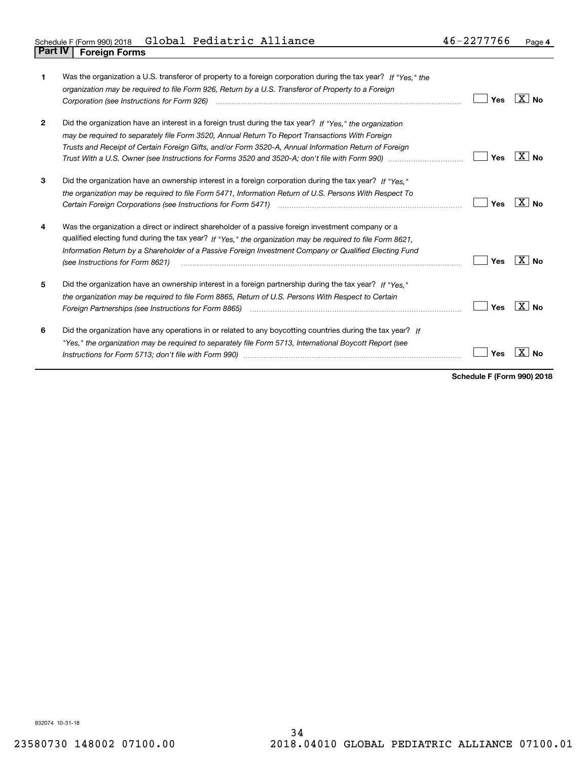| 1            | Was the organization a U.S. transferor of property to a foreign corporation during the tax year? If "Yes," the<br>organization may be required to file Form 926, Return by a U.S. Transferor of Property to a Foreign                                                                                                                                          | Yes | ∣X∣ No              |
|--------------|----------------------------------------------------------------------------------------------------------------------------------------------------------------------------------------------------------------------------------------------------------------------------------------------------------------------------------------------------------------|-----|---------------------|
| $\mathbf{2}$ | Did the organization have an interest in a foreign trust during the tax year? If "Yes." the organization<br>may be required to separately file Form 3520, Annual Return To Report Transactions With Foreign<br>Trusts and Receipt of Certain Foreign Gifts, and/or Form 3520-A, Annual Information Return of Foreign                                           | Yes | X∣No                |
| 3            | Did the organization have an ownership interest in a foreign corporation during the tax year? If "Yes."<br>the organization may be required to file Form 5471, Information Return of U.S. Persons With Respect To                                                                                                                                              | Yes | $X _{N0}$           |
| 4            | Was the organization a direct or indirect shareholder of a passive foreign investment company or a<br>qualified electing fund during the tax year? If "Yes," the organization may be required to file Form 8621,<br>Information Return by a Shareholder of a Passive Foreign Investment Company or Qualified Electing Fund<br>(see Instructions for Form 8621) | Yes | ∣X I No             |
| 5            | Did the organization have an ownership interest in a foreign partnership during the tax year? If "Yes."<br>the organization may be required to file Form 8865, Return of U.S. Persons With Respect to Certain<br>Foreign Partnerships (see Instructions for Form 8865)                                                                                         | Yes | $X \mid N_{\Omega}$ |
| 6            | Did the organization have any operations in or related to any boycotting countries during the tax year? If<br>"Yes," the organization may be required to separately file Form 5713, International Boycott Report (see                                                                                                                                          | Yes |                     |

**Schedule F (Form 990) 2018**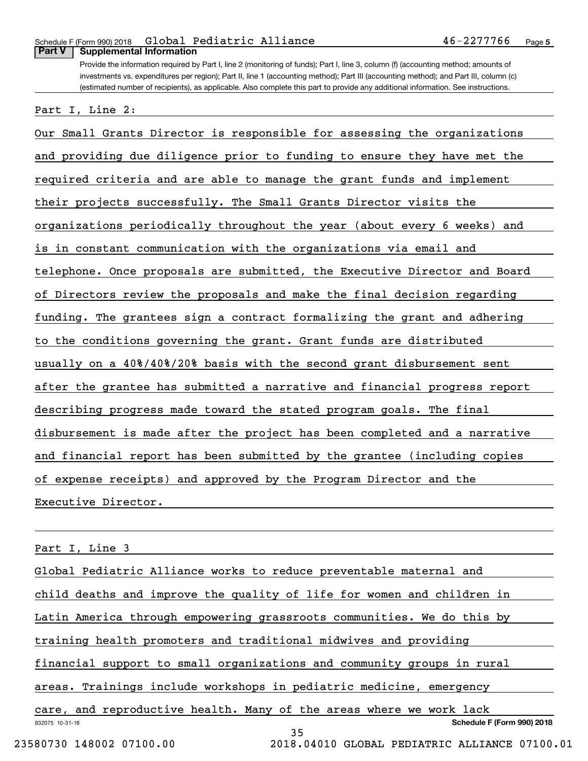### **Part V Supplemental Information**

Provide the information required by Part I, line 2 (monitoring of funds); Part I, line 3, column (f) (accounting method; amounts of investments vs. expenditures per region); Part II, line 1 (accounting method); Part III (accounting method); and Part III, column (c) (estimated number of recipients), as applicable. Also complete this part to provide any additional information. See instructions.

Part I, Line 2:

Our Small Grants Director is responsible for assessing the organizations and providing due diligence prior to funding to ensure they have met the required criteria and are able to manage the grant funds and implement their projects successfully. The Small Grants Director visits the organizations periodically throughout the year (about every 6 weeks) and is in constant communication with the organizations via email and telephone. Once proposals are submitted, the Executive Director and Board of Directors review the proposals and make the final decision regarding funding. The grantees sign a contract formalizing the grant and adhering to the conditions governing the grant. Grant funds are distributed usually on a 40%/40%/20% basis with the second grant disbursement sent after the grantee has submitted a narrative and financial progress report describing progress made toward the stated program goals. The final disbursement is made after the project has been completed and a narrative and financial report has been submitted by the grantee (including copies of expense receipts) and approved by the Program Director and the Executive Director.

Part I, Line 3

|                          | Global Pediatric Alliance works to reduce preventable maternal and     |
|--------------------------|------------------------------------------------------------------------|
|                          | child deaths and improve the quality of life for women and children in |
|                          | Latin America through empowering grassroots communities. We do this by |
|                          | training health promoters and traditional midwives and providing       |
|                          | financial support to small organizations and community groups in rural |
|                          | areas. Trainings include workshops in pediatric medicine, emergency    |
|                          | care, and reproductive health. Many of the areas where we work lack    |
| 832075 10-31-18          | <b>Schedule F (Form 990) 2018</b>                                      |
| 23580730 148002 07100.00 | 35<br>2018.04010 GLOBAL PEDIATRIC ALLIANCE 07100.01                    |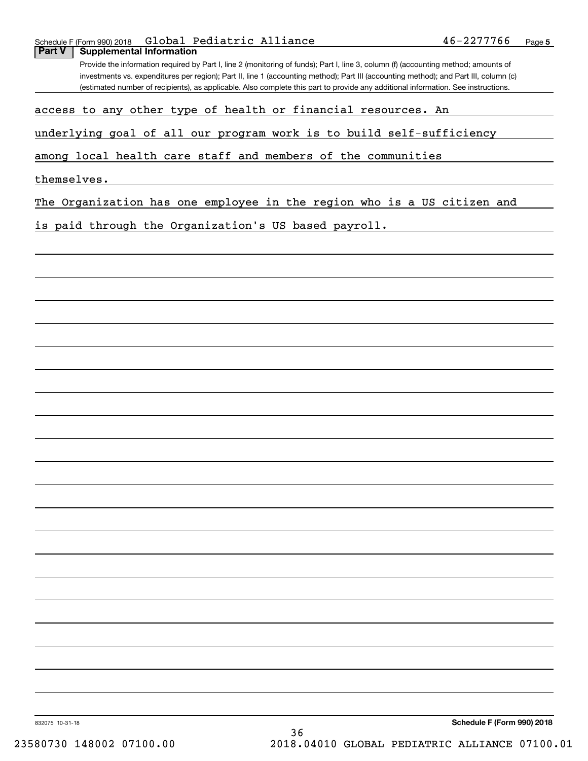|  |                                          | Schedule F (Form 990) 2018 $\;$ <code>Global Pediatric Alliance</code> |  | 46-2277766 | Page |
|--|------------------------------------------|------------------------------------------------------------------------|--|------------|------|
|  | <b>Part V</b>   Supplemental Information |                                                                        |  |            |      |

Provide the information required by Part I, line 2 (monitoring of funds); Part I, line 3, column (f) (accounting method; amounts of investments vs. expenditures per region); Part II, line 1 (accounting method); Part III (accounting method); and Part III, column (c) (estimated number of recipients), as applicable. Also complete this part to provide any additional information. See instructions.

# access to any other type of health or financial resources. An

underlying goal of all our program work is to build self-sufficiency

among local health care staff and members of the communities

themselves.

The Organization has one employee in the region who is a US citizen and

is paid through the Organization's US based payroll.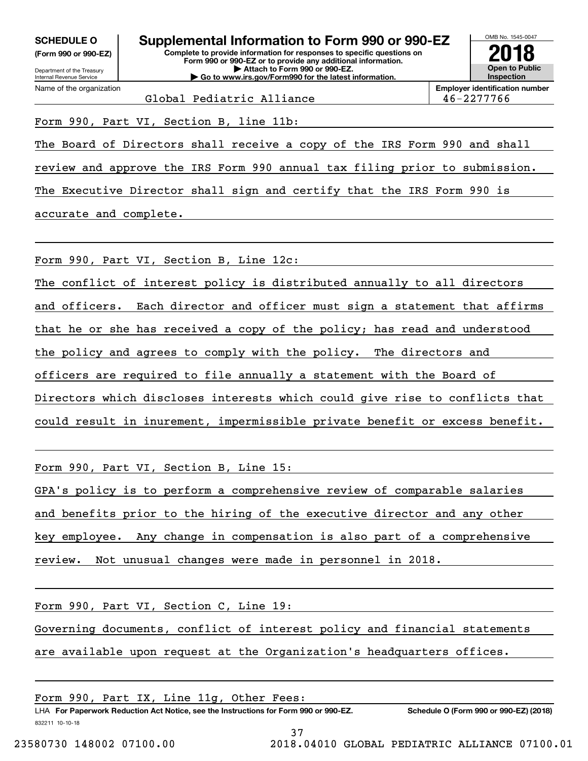**(Form 990 or 990-EZ)**

**Complete to provide information for responses to specific questions on Form 990 or 990-EZ or to provide any additional information. | Attach to Form 990 or 990-EZ. | Go to www.irs.gov/Form990 for the latest information. SCHEDULE O Supplemental Information to Form 990 or 990-EZ**



**Employer identification number** Global Pediatric Alliance  $\vert$  46-2277766

Form 990, Part VI, Section B, line 11b:

The Board of Directors shall receive a copy of the IRS Form 990 and shall

review and approve the IRS Form 990 annual tax filing prior to submission.

The Executive Director shall sign and certify that the IRS Form 990 is

accurate and complete.

Form 990, Part VI, Section B, Line 12c:

The conflict of interest policy is distributed annually to all directors and officers. Each director and officer must sign a statement that affirms that he or she has received a copy of the policy; has read and understood the policy and agrees to comply with the policy. The directors and officers are required to file annually a statement with the Board of Directors which discloses interests which could give rise to conflicts that could result in inurement, impermissible private benefit or excess benefit.

Form 990, Part VI, Section B, Line 15:

GPA's policy is to perform a comprehensive review of comparable salaries

and benefits prior to the hiring of the executive director and any other

key employee. Any change in compensation is also part of a comprehensive

review. Not unusual changes were made in personnel in 2018.

Form 990, Part VI, Section C, Line 19:

Governing documents, conflict of interest policy and financial statements

are available upon request at the Organization's headquarters offices.

832211 10-10-18 LHA For Paperwork Reduction Act Notice, see the Instructions for Form 990 or 990-EZ. Schedule O (Form 990 or 990-EZ) (2018) Form 990, Part IX, Line 11g, Other Fees: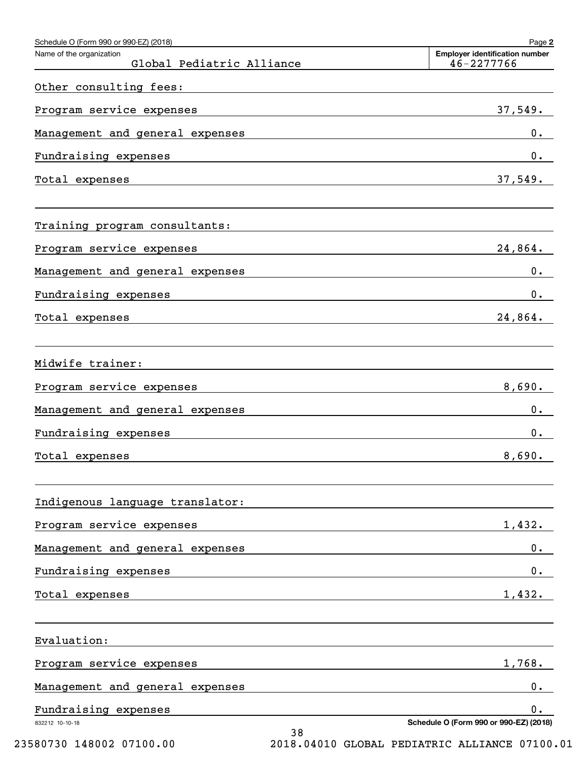| Schedule O (Form 990 or 990-EZ) (2018)                                                                                                                                                                                                          | Page 2                                              |
|-------------------------------------------------------------------------------------------------------------------------------------------------------------------------------------------------------------------------------------------------|-----------------------------------------------------|
| Name of the organization<br>Global Pediatric Alliance                                                                                                                                                                                           | <b>Employer identification number</b><br>46-2277766 |
| Other consulting fees:                                                                                                                                                                                                                          |                                                     |
| Program service expenses                                                                                                                                                                                                                        | 37,549.                                             |
| Management and general expenses                                                                                                                                                                                                                 | 0.                                                  |
| Fundraising expenses and a series of the series of the series of the series of the series of the series of the                                                                                                                                  | $0$ .                                               |
| Total expenses<br><u> 1989 - John Stein, marking and de families and de families and de families and design and design and design a</u>                                                                                                         | 37,549.                                             |
| Training program consultants:                                                                                                                                                                                                                   |                                                     |
|                                                                                                                                                                                                                                                 |                                                     |
| Program service expenses                                                                                                                                                                                                                        | 24,864.                                             |
| Management and general expenses                                                                                                                                                                                                                 | 0.                                                  |
| Fundraising expenses                                                                                                                                                                                                                            | $0$ .                                               |
| Total expenses<br>the control of the control of the control of the control of the control of the control of the control of the control of the control of the control of the control of the control of the control of the control of the control | 24,864.                                             |
| Midwife trainer:                                                                                                                                                                                                                                |                                                     |
| Program service expenses                                                                                                                                                                                                                        | 8,690.                                              |
| Management and general expenses                                                                                                                                                                                                                 | 0.                                                  |
| Fundraising expenses                                                                                                                                                                                                                            | $0$ .                                               |
| Total expenses                                                                                                                                                                                                                                  | 8,690.                                              |
| Indigenous language translator:                                                                                                                                                                                                                 |                                                     |
| Program service expenses                                                                                                                                                                                                                        | 1,432.                                              |
| Management and general expenses                                                                                                                                                                                                                 | $0$ .                                               |
| Fundraising expenses                                                                                                                                                                                                                            | $0$ .                                               |
| Total expenses                                                                                                                                                                                                                                  | 1,432.                                              |
| Evaluation:                                                                                                                                                                                                                                     |                                                     |
| Program service expenses                                                                                                                                                                                                                        | 1,768.                                              |
| Management and general expenses                                                                                                                                                                                                                 | $0$ .                                               |
| Fundraising expenses                                                                                                                                                                                                                            | $0$ .                                               |
| 832212 10-10-18<br>38                                                                                                                                                                                                                           | Schedule O (Form 990 or 990-EZ) (2018)              |

23580730 148002 07100.00 2018.04010 GLOBAL PEDIATRIC ALLIANCE 07100.01